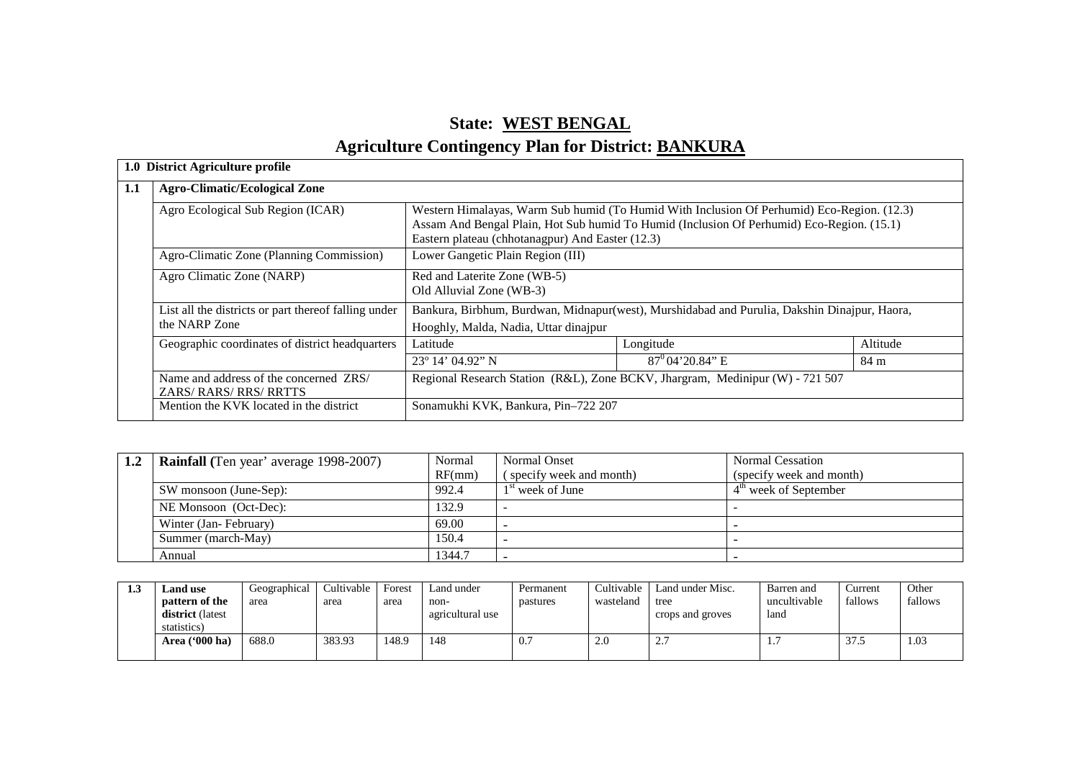# **State: WEST BENGALAgriculture Contingency Plan for District: BANKURA**

| <b>Agro-Climatic/Ecological Zone</b>                                  |                                                                                                                                       |                                                                                                                                                                                         |          |  |  |  |  |
|-----------------------------------------------------------------------|---------------------------------------------------------------------------------------------------------------------------------------|-----------------------------------------------------------------------------------------------------------------------------------------------------------------------------------------|----------|--|--|--|--|
| Agro Ecological Sub Region (ICAR)                                     | Eastern plateau (chhotanagpur) And Easter (12.3)                                                                                      | Western Himalayas, Warm Sub humid (To Humid With Inclusion Of Perhumid) Eco-Region. (12.3)<br>Assam And Bengal Plain, Hot Sub humid To Humid (Inclusion Of Perhumid) Eco-Region. (15.1) |          |  |  |  |  |
| Agro-Climatic Zone (Planning Commission)                              | Lower Gangetic Plain Region (III)                                                                                                     |                                                                                                                                                                                         |          |  |  |  |  |
| Agro Climatic Zone (NARP)                                             | Red and Laterite Zone (WB-5)<br>Old Alluvial Zone (WB-3)                                                                              |                                                                                                                                                                                         |          |  |  |  |  |
| List all the districts or part thereof falling under<br>the NARP Zone | Bankura, Birbhum, Burdwan, Midnapur(west), Murshidabad and Purulia, Dakshin Dinajpur, Haora,<br>Hooghly, Malda, Nadia, Uttar dinajpur |                                                                                                                                                                                         |          |  |  |  |  |
| Geographic coordinates of district headquarters                       | Latitude                                                                                                                              | Longitude                                                                                                                                                                               | Altitude |  |  |  |  |
|                                                                       | $23^{\circ}$ 14' 04.92" N                                                                                                             | $87^{\circ}$ 04' 20.84" E                                                                                                                                                               | 84 m     |  |  |  |  |
| Name and address of the concerned ZRS/<br>ZARS/RARS/RRS/RRTTS         | Regional Research Station (R&L), Zone BCKV, Jhargram, Medinipur (W) - 721 507                                                         |                                                                                                                                                                                         |          |  |  |  |  |
| Mention the KVK located in the district                               | Sonamukhi KVK, Bankura, Pin-722 207                                                                                                   |                                                                                                                                                                                         |          |  |  |  |  |

| 1.2 | <b>Rainfall</b> (Ten year' average 1998-2007) | Normal | Normal Onset            | <b>Normal Cessation</b>  |
|-----|-----------------------------------------------|--------|-------------------------|--------------------------|
|     |                                               | RF(mm) | specify week and month) | (specify week and month) |
|     | SW monsoon (June-Sep):                        | 992.4  | $1st$ week of June      | $4m$ week of September   |
|     | NE Monsoon (Oct-Dec):                         | 132.9  |                         |                          |
|     | Winter (Jan-February)                         | 69.00  |                         |                          |
|     | Summer (march-May)                            | 150.4  |                         |                          |
|     | Annual                                        | 1344.7 |                         |                          |

| 1.3 | and use.                | Geographical | Cultivable | Forest | Land under       | Permanent | Cultivable | Land under Misc.         | Barren and   | Current                            | Other   |
|-----|-------------------------|--------------|------------|--------|------------------|-----------|------------|--------------------------|--------------|------------------------------------|---------|
|     | pattern of the          | area         | area       | area   | non-             | pastures  | wasteland  | tree                     | uncultivable | fallows                            | fallows |
|     | <b>district</b> (latest |              |            |        | agricultural use |           |            | crops and groves         | land         |                                    |         |
|     | statistics)             |              |            |        |                  |           |            |                          |              |                                    |         |
|     | Area ('000 ha)          | 688.0        | 383.93     | 148.9  | 148              | 0.7       | 2.0        | $\overline{\phantom{a}}$ |              | $\overline{\phantom{a}}$<br>د. ا د | 1.03    |
|     |                         |              |            |        |                  |           |            |                          |              |                                    |         |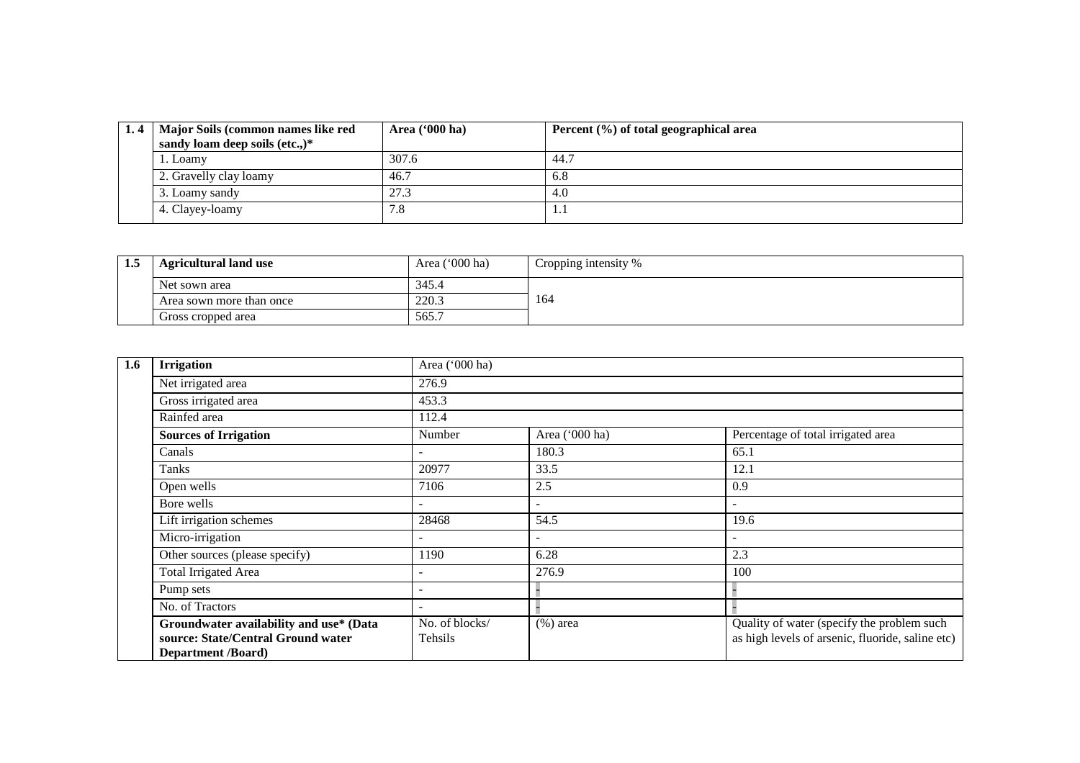| Major Soils (common names like red | Area $(900 \text{ ha})$ | Percent (%) of total geographical area |
|------------------------------------|-------------------------|----------------------------------------|
| sandy loam deep soils (etc.,)*     |                         |                                        |
| 1. Loamy                           | 307.6                   | 44.7                                   |
| 2. Gravelly clay loamy             | 46.7                    | 6.8                                    |
| 3. Loamy sandy                     | 27.3                    | 4.0                                    |
| 4. Clayey-loamy                    | 7.8                     | .                                      |

| 1.3 | <b>Agricultural land use</b> | Area $('000 ha)$ | Cropping intensity % |
|-----|------------------------------|------------------|----------------------|
|     | Net sown area                | 345.4            |                      |
|     | Area sown more than once     | 220.3            | 164                  |
|     | Gross cropped area           | 565.7            |                      |

| 1.6 | <b>Irrigation</b>                                                                                          | Area ('000 ha)            |                          |                                                                                                |
|-----|------------------------------------------------------------------------------------------------------------|---------------------------|--------------------------|------------------------------------------------------------------------------------------------|
|     | Net irrigated area                                                                                         | 276.9                     |                          |                                                                                                |
|     | Gross irrigated area                                                                                       | 453.3                     |                          |                                                                                                |
|     | Rainfed area                                                                                               | 112.4                     |                          |                                                                                                |
|     | <b>Sources of Irrigation</b>                                                                               | Number                    | Area ('000 ha)           | Percentage of total irrigated area                                                             |
|     | Canals                                                                                                     |                           | 180.3                    | 65.1                                                                                           |
|     | Tanks                                                                                                      | 20977                     | 33.5                     | 12.1                                                                                           |
|     | Open wells                                                                                                 | 7106                      | 2.5                      | 0.9                                                                                            |
|     | Bore wells                                                                                                 | $\overline{\phantom{0}}$  | $\overline{\phantom{0}}$ | $\overline{\phantom{a}}$                                                                       |
|     | Lift irrigation schemes                                                                                    | 28468                     | 54.5                     | 19.6                                                                                           |
|     | Micro-irrigation                                                                                           |                           |                          | $\blacksquare$                                                                                 |
|     | Other sources (please specify)                                                                             | 1190                      | 6.28                     | 2.3                                                                                            |
|     | <b>Total Irrigated Area</b>                                                                                |                           | 276.9                    | 100                                                                                            |
|     | Pump sets                                                                                                  |                           |                          |                                                                                                |
|     | No. of Tractors                                                                                            |                           |                          |                                                                                                |
|     | Groundwater availability and use* (Data<br>source: State/Central Ground water<br><b>Department</b> /Board) | No. of blocks/<br>Tehsils | $(\%)$ area              | Quality of water (specify the problem such<br>as high levels of arsenic, fluoride, saline etc) |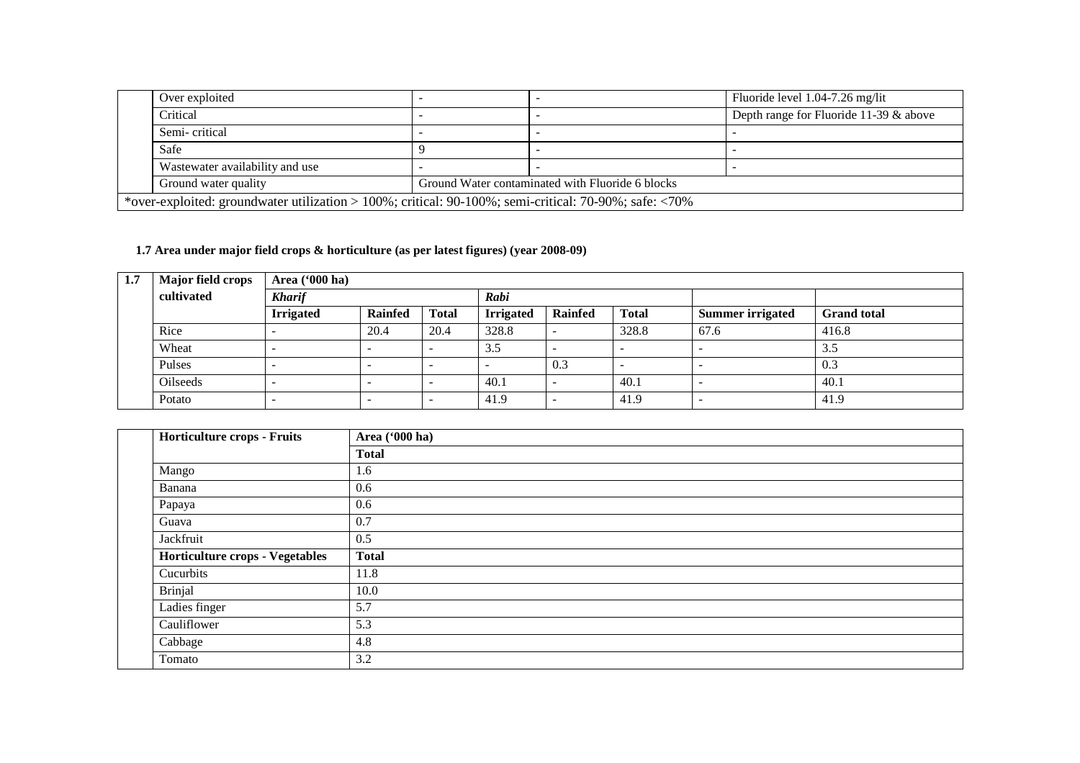| Over exploited                                                                                                          |  |                                                  | Fluoride level 1.04-7.26 mg/lit        |  |  |  |  |  |  |
|-------------------------------------------------------------------------------------------------------------------------|--|--------------------------------------------------|----------------------------------------|--|--|--|--|--|--|
| Critical                                                                                                                |  |                                                  | Depth range for Fluoride 11-39 & above |  |  |  |  |  |  |
| Semi-critical                                                                                                           |  |                                                  |                                        |  |  |  |  |  |  |
| Safe                                                                                                                    |  |                                                  |                                        |  |  |  |  |  |  |
| Wastewater availability and use                                                                                         |  |                                                  |                                        |  |  |  |  |  |  |
| Ground water quality                                                                                                    |  | Ground Water contaminated with Fluoride 6 blocks |                                        |  |  |  |  |  |  |
| *over-exploited: groundwater utilization > 100%; critical: $90-100\%$ ; semi-critical: $70-90\%$ ; safe: $\langle 70\%$ |  |                                                  |                                        |  |  |  |  |  |  |

### **1.7 Area under major field crops & horticulture (as per latest figures) (year 2008-09)**

| 1.7 | <b>Major field crops</b> | Area $(900 \text{ ha})$                              |                          |              |                                                    |                          |       |                         |                    |  |  |  |  |  |  |
|-----|--------------------------|------------------------------------------------------|--------------------------|--------------|----------------------------------------------------|--------------------------|-------|-------------------------|--------------------|--|--|--|--|--|--|
|     | cultivated               | <b>Kharif</b>                                        |                          |              | Rabi                                               |                          |       |                         |                    |  |  |  |  |  |  |
|     |                          | <b>Irrigated</b><br><b>Rainfed</b>                   |                          | <b>Total</b> | <b>Total</b><br><b>Irrigated</b><br><b>Rainfed</b> |                          |       | <b>Summer irrigated</b> | <b>Grand</b> total |  |  |  |  |  |  |
|     | Rice                     |                                                      | 20.4                     | 20.4         | 328.8                                              | $\overline{\phantom{0}}$ | 328.8 | 67.6                    | 416.8              |  |  |  |  |  |  |
|     | Wheat                    |                                                      | $\overline{\phantom{a}}$ |              | 3.5                                                |                          |       | -                       | 3.5                |  |  |  |  |  |  |
|     | Pulses                   | $\overline{\phantom{a}}$<br>$\overline{\phantom{a}}$ |                          |              |                                                    | 0.3                      |       |                         | 0.3                |  |  |  |  |  |  |
|     | <b>Oilseeds</b>          |                                                      |                          |              | 40.1                                               | -                        | 40.1  |                         | 40.1               |  |  |  |  |  |  |
|     | Potato                   |                                                      | $\overline{\phantom{a}}$ |              | 41.9                                               | -                        | 41.9  | -                       | 41.9               |  |  |  |  |  |  |

|               | Horticulture crops - Fruits            | Area ('000 ha) |
|---------------|----------------------------------------|----------------|
|               |                                        | <b>Total</b>   |
| Mango         |                                        | 1.6            |
| Banana        |                                        | 0.6            |
| Papaya        |                                        | 0.6            |
| Guava         |                                        | 0.7            |
| Jackfruit     |                                        | 0.5            |
|               | <b>Horticulture crops - Vegetables</b> | <b>Total</b>   |
| Cucurbits     |                                        | 11.8           |
| Brinjal       |                                        | 10.0           |
| Ladies finger |                                        | 5.7            |
| Cauliflower   |                                        | 5.3            |
| Cabbage       |                                        | 4.8            |
| Tomato        |                                        | 3.2            |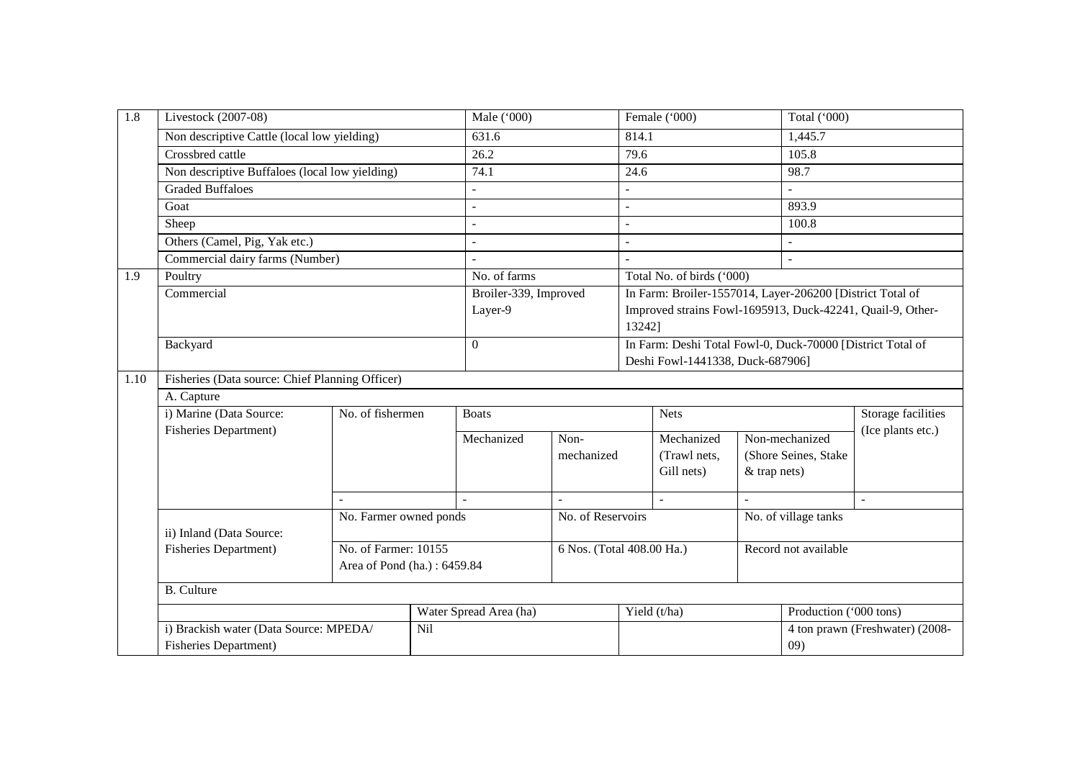| 1.8  | Livestock (2007-08)                             |                        |         | Male ('000)              |                           |                | Female ('000)                                              |                | Total ('000)                                               |                           |  |
|------|-------------------------------------------------|------------------------|---------|--------------------------|---------------------------|----------------|------------------------------------------------------------|----------------|------------------------------------------------------------|---------------------------|--|
|      | Non descriptive Cattle (local low yielding)     |                        |         | 631.6                    |                           | 814.1          |                                                            |                | 1,445.7                                                    |                           |  |
|      | Crossbred cattle                                |                        |         | 26.2                     |                           | 79.6           |                                                            |                | 105.8                                                      |                           |  |
|      | Non descriptive Buffaloes (local low yielding)  |                        |         | 74.1                     |                           | 24.6           |                                                            |                | 98.7                                                       |                           |  |
|      | <b>Graded Buffaloes</b>                         |                        |         | $\overline{a}$           |                           |                |                                                            |                |                                                            |                           |  |
|      | Goat                                            |                        |         | $\overline{a}$           |                           | $\overline{a}$ |                                                            |                | 893.9                                                      |                           |  |
|      | Sheep                                           |                        |         | $\sim$                   |                           |                |                                                            |                | 100.8                                                      |                           |  |
|      | Others (Camel, Pig, Yak etc.)                   |                        |         | $\overline{\phantom{a}}$ |                           | $\overline{a}$ |                                                            |                |                                                            |                           |  |
|      | Commercial dairy farms (Number)                 |                        |         | $\overline{\phantom{a}}$ |                           | $\overline{a}$ |                                                            |                | $\overline{a}$                                             |                           |  |
| 1.9  | Poultry                                         |                        |         | No. of farms             |                           |                | Total No. of birds ('000)                                  |                |                                                            |                           |  |
|      | Commercial                                      |                        |         | Broiler-339, Improved    |                           |                | In Farm: Broiler-1557014, Layer-206200 [District Total of  |                |                                                            |                           |  |
|      |                                                 |                        | Layer-9 |                          |                           |                |                                                            |                | Improved strains Fowl-1695913, Duck-42241, Quail-9, Other- |                           |  |
|      |                                                 |                        |         |                          |                           |                | 13242]                                                     |                |                                                            |                           |  |
|      | Backyard                                        |                        |         | $\Omega$                 |                           |                | In Farm: Deshi Total Fowl-0, Duck-70000 [District Total of |                |                                                            |                           |  |
|      |                                                 |                        |         |                          |                           |                | Deshi Fowl-1441338, Duck-687906]                           |                |                                                            |                           |  |
| 1.10 | Fisheries (Data source: Chief Planning Officer) |                        |         |                          |                           |                |                                                            |                |                                                            |                           |  |
|      | A. Capture                                      |                        |         |                          |                           |                |                                                            |                |                                                            |                           |  |
|      | i) Marine (Data Source:                         | No. of fishermen       |         | <b>Boats</b>             |                           |                | <b>Nets</b>                                                |                |                                                            | <b>Storage facilities</b> |  |
|      | Fisheries Department)                           |                        |         | Mechanized               | Non-                      | Mechanized     |                                                            | Non-mechanized |                                                            | (Ice plants etc.)         |  |
|      |                                                 |                        |         |                          | mechanized                |                | (Trawl nets,                                               |                | (Shore Seines, Stake                                       |                           |  |
|      |                                                 |                        |         |                          |                           |                | Gill nets)                                                 | & trap nets)   |                                                            |                           |  |
|      |                                                 |                        |         |                          |                           |                |                                                            |                |                                                            |                           |  |
|      |                                                 |                        |         |                          |                           |                |                                                            |                |                                                            | $\overline{\phantom{a}}$  |  |
|      | ii) Inland (Data Source:                        | No. Farmer owned ponds |         |                          | No. of Reservoirs         |                |                                                            |                | No. of village tanks                                       |                           |  |
|      | <b>Fisheries Department)</b>                    | No. of Farmer: 10155   |         |                          | 6 Nos. (Total 408.00 Ha.) |                |                                                            |                | Record not available                                       |                           |  |
|      | Area of Pond (ha.): 6459.84                     |                        |         |                          |                           |                |                                                            |                |                                                            |                           |  |
|      | <b>B.</b> Culture                               |                        |         |                          |                           |                |                                                            |                |                                                            |                           |  |
|      |                                                 |                        |         | Water Spread Area (ha)   |                           |                | Yield (t/ha)                                               |                | Production ('000 tons)                                     |                           |  |
|      | i) Brackish water (Data Source: MPEDA/          |                        | Nil     |                          |                           |                |                                                            |                | 4 ton prawn (Freshwater) (2008-                            |                           |  |
|      | Fisheries Department)                           |                        |         |                          |                           |                |                                                            |                | (09)                                                       |                           |  |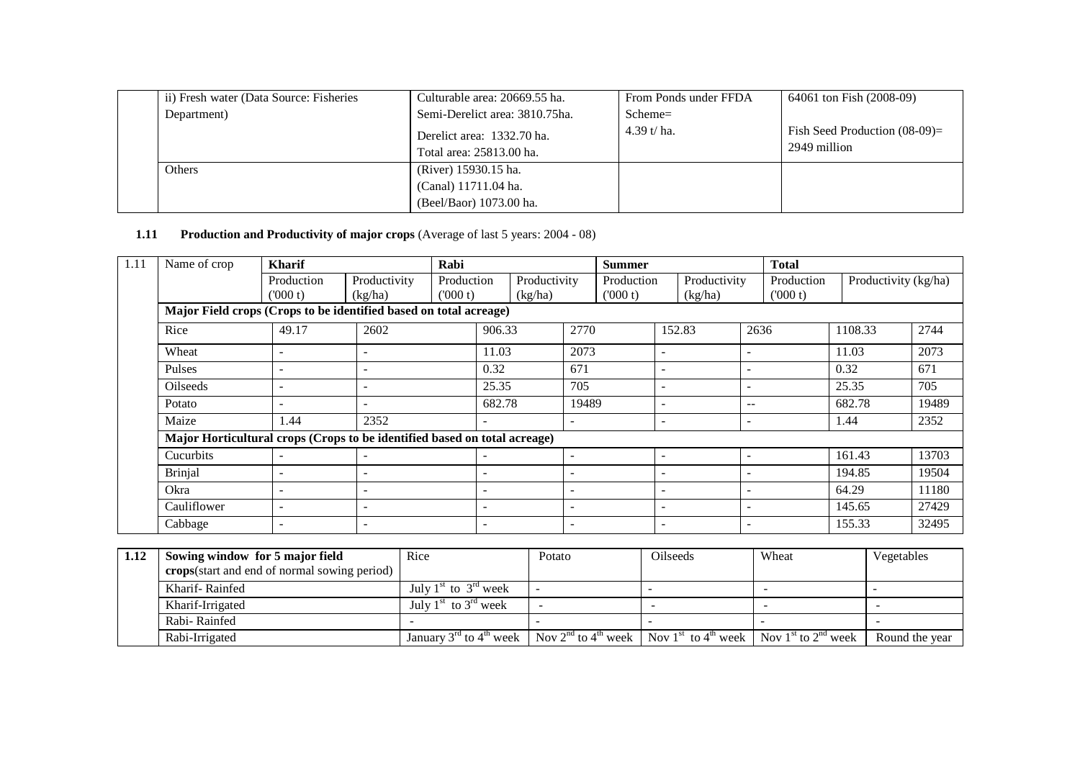| ii) Fresh water (Data Source: Fisheries | Culturable area: 20669.55 ha.  | From Ponds under FFDA | 64061 ton Fish (2008-09)         |  |  |
|-----------------------------------------|--------------------------------|-----------------------|----------------------------------|--|--|
| Department)                             | Semi-Derelict area: 3810.75ha. | $Scheme =$            |                                  |  |  |
|                                         | Derelict area: 1332.70 ha.     | 4.39 t/ ha.           | Fish Seed Production $(08-09)$ = |  |  |
|                                         | Total area: 25813.00 ha.       |                       | 2949 million                     |  |  |
| Others                                  | (River) 15930.15 ha.           |                       |                                  |  |  |
|                                         | (Canal) 11711.04 ha.           |                       |                                  |  |  |
|                                         | (Beel/Baor) 1073.00 ha.        |                       |                                  |  |  |

#### **1.11 Production and Productivity of major crops** (Average of last 5 years: 2004 - 08)

| 1.11 | Name of crop                                                              | <b>Kharif</b>            |                          | Rabi                   | <b>Summer</b>            |                         |                          |                       |                               | <b>Total</b>             |                          |                       |        |                      |       |
|------|---------------------------------------------------------------------------|--------------------------|--------------------------|------------------------|--------------------------|-------------------------|--------------------------|-----------------------|-------------------------------|--------------------------|--------------------------|-----------------------|--------|----------------------|-------|
|      |                                                                           | Production<br>(000 t)    | Productivity<br>(kg/ha)  | Production<br>('000 t) |                          | Productivity<br>(kg/ha) |                          | Production<br>(000 t) |                               | Productivity<br>(kg/ha)  |                          | Production<br>(000 t) |        | Productivity (kg/ha) |       |
|      | Major Field crops (Crops to be identified based on total acreage)         |                          |                          |                        |                          |                         |                          |                       |                               |                          |                          |                       |        |                      |       |
|      | Rice                                                                      | 49.17                    | 2602                     |                        | 906.33                   |                         | 2770                     |                       |                               | 152.83                   |                          | 2636                  |        | 1108.33              | 2744  |
|      | Wheat                                                                     | $\overline{\phantom{0}}$ |                          |                        | 11.03                    |                         | 2073                     |                       | ۰                             |                          | $\overline{\phantom{a}}$ |                       | 11.03  |                      | 2073  |
|      | Pulses                                                                    | $\overline{\phantom{0}}$ | $\overline{\phantom{a}}$ |                        | 0.32                     |                         | 671                      |                       | $\overline{\phantom{0}}$      | $\overline{\phantom{a}}$ |                          |                       | 0.32   |                      | 671   |
|      | Oilseeds                                                                  | $\overline{\phantom{0}}$ |                          |                        | 25.35                    |                         | 705                      |                       | $\overline{\phantom{0}}$<br>۰ |                          |                          |                       | 25.35  |                      | 705   |
|      | Potato                                                                    |                          |                          |                        |                          | 682.78<br>19489         |                          | ۰                     |                               | $-$                      |                          |                       | 682.78 |                      | 19489 |
|      | Maize                                                                     | 1.44                     | 2352                     |                        | $\overline{\phantom{a}}$ |                         |                          | ۰                     |                               |                          | $\overline{\phantom{a}}$ |                       | 1.44   |                      | 2352  |
|      | Major Horticultural crops (Crops to be identified based on total acreage) |                          |                          |                        |                          |                         |                          |                       |                               |                          |                          |                       |        |                      |       |
|      | <b>Cucurbits</b>                                                          |                          |                          |                        |                          |                         | $\overline{\phantom{a}}$ |                       | ۰                             |                          |                          |                       | 161.43 |                      | 13703 |
|      | <b>Brinjal</b>                                                            |                          |                          |                        | $\overline{\phantom{a}}$ |                         | $\overline{\phantom{a}}$ |                       | ۰                             |                          |                          |                       | 194.85 |                      | 19504 |
|      | Okra                                                                      | ۰                        |                          |                        | $\overline{\phantom{a}}$ |                         | $\overline{\phantom{a}}$ |                       | ۰                             |                          | $\overline{\phantom{0}}$ |                       | 64.29  |                      | 11180 |
|      | Cauliflower                                                               | ۰                        |                          |                        | $\overline{\phantom{a}}$ |                         | $\overline{\phantom{a}}$ |                       | ۰                             |                          |                          |                       | 145.65 |                      | 27429 |
|      | Cabbage                                                                   | $\overline{\phantom{0}}$ |                          |                        | $\overline{\phantom{a}}$ |                         | $\overline{\phantom{a}}$ |                       | ۰                             |                          |                          |                       | 155.33 |                      | 32495 |

| 1.12 | Sowing window for 5 major field              | Rice                                                                                                                                                                                      | Potato | <b>Oilseeds</b> | Wheat | Vegetables     |
|------|----------------------------------------------|-------------------------------------------------------------------------------------------------------------------------------------------------------------------------------------------|--------|-----------------|-------|----------------|
|      | crops(start and end of normal sowing period) |                                                                                                                                                                                           |        |                 |       |                |
|      | Kharif-Rainfed                               | July $1st$ to $3rd$ week                                                                                                                                                                  |        |                 |       |                |
|      | Kharif-Irrigated                             | July $1st$ to $3rd$ week                                                                                                                                                                  |        |                 |       |                |
|      | Rabi-Rainfed                                 |                                                                                                                                                                                           |        |                 |       |                |
|      | Rabi-Irrigated                               | January 3 <sup>rd</sup> to 4 <sup>th</sup> week   Nov 2 <sup>nd</sup> to 4 <sup>th</sup> week   Nov 1 <sup>st</sup> to 4 <sup>th</sup> week   Nov 1 <sup>st</sup> to 2 <sup>nd</sup> week |        |                 |       | Round the year |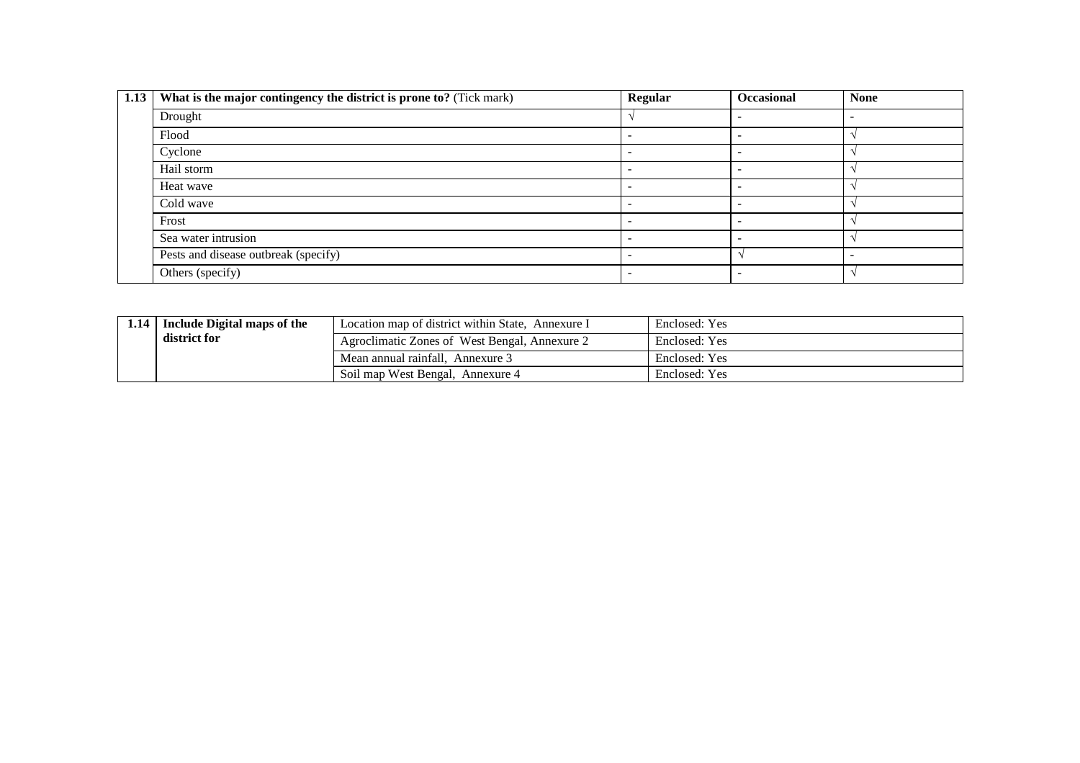| 1.13 | What is the major contingency the district is prone to? (Tick mark) | <b>Regular</b> | Occasional | <b>None</b> |
|------|---------------------------------------------------------------------|----------------|------------|-------------|
|      | Drought                                                             |                |            |             |
|      | Flood                                                               |                |            |             |
|      | Cyclone                                                             |                |            |             |
|      | Hail storm                                                          |                |            |             |
|      | Heat wave                                                           |                |            |             |
|      | Cold wave                                                           | -              |            |             |
|      | Frost                                                               |                |            |             |
|      | Sea water intrusion                                                 | -              |            |             |
|      | Pests and disease outbreak (specify)                                | -              |            |             |
|      | Others (specify)                                                    |                |            |             |

| 1.14 | Include Digital maps of the | Location map of district within State, Annexure I | Enclosed: Yes |
|------|-----------------------------|---------------------------------------------------|---------------|
|      | district for                | Agroclimatic Zones of West Bengal, Annexure 2     | Enclosed: Yes |
|      |                             | Mean annual rainfall. Annexure 3                  | Enclosed: Yes |
|      |                             | Soil map West Bengal, Annexure 4                  | Enclosed: Yes |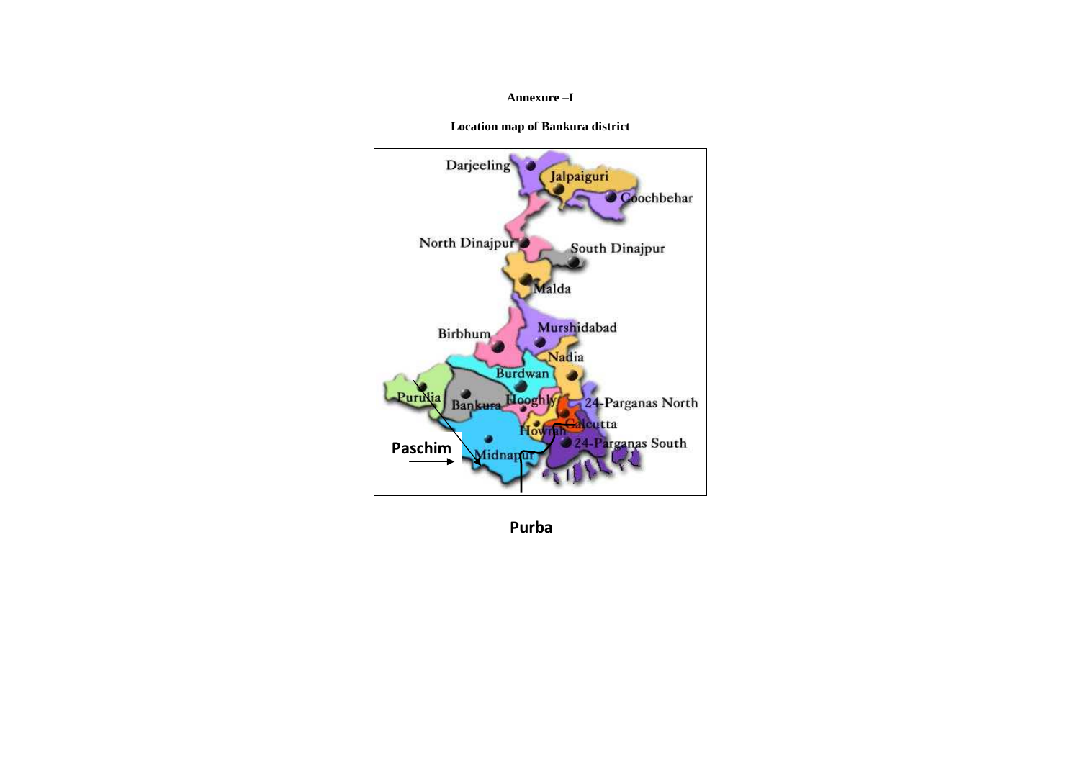#### **Annexure –I**

**Location map of Bankura district** 



**Purba**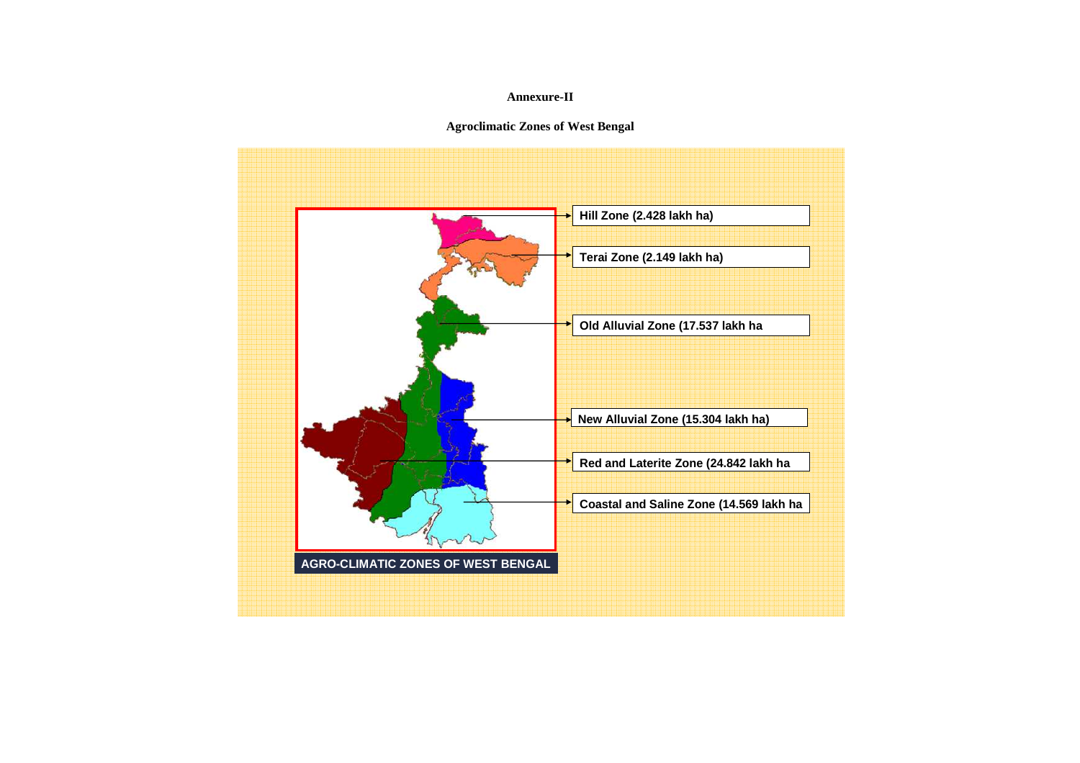#### **Annexure-II**

### **Agroclimatic Zones of West Bengal**

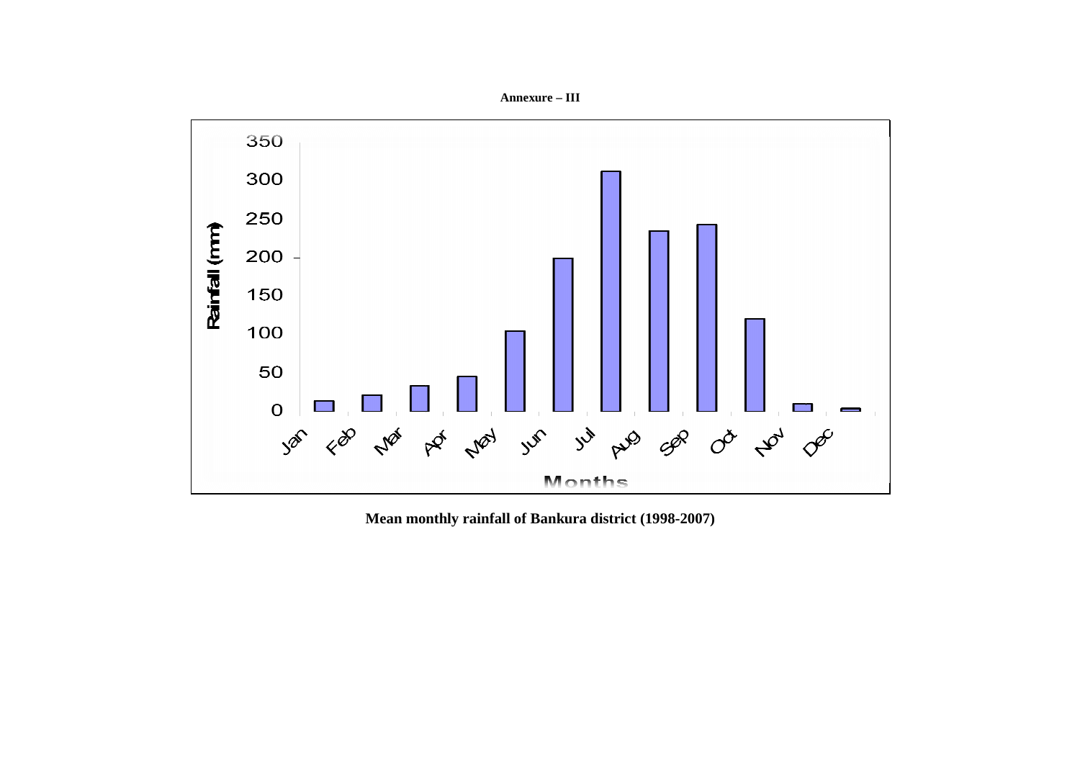



**Mean monthly rainfall of Bankura district (1998-2007)**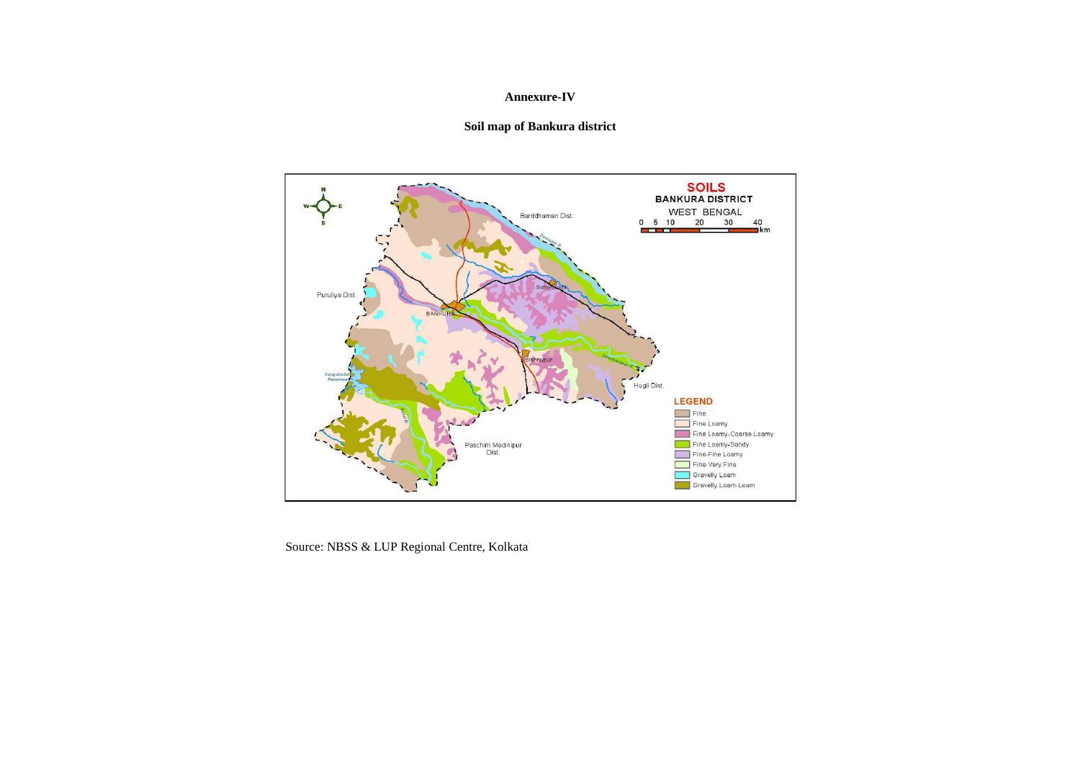#### **Annexure-IV**

#### **Soil map of Bankura district**



Source: NBSS & LUP Regional Centre, Kolkata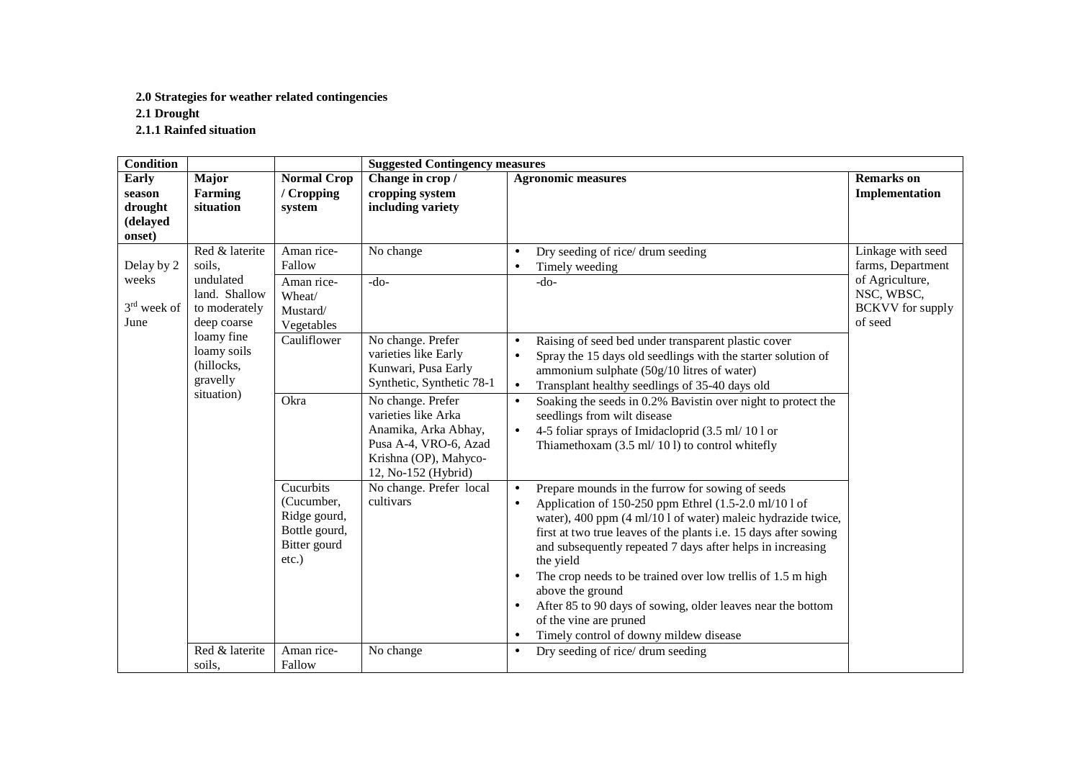#### **2.0 Strategies for weather related contingencies**

**2.1 Drought** 

**2.1.1 Rainfed situation** 

| <b>Condition</b>                                 |                                                                                        |                                                                                      | <b>Suggested Contingency measures</b>                                                                                                                                                                                                      |                                                                                                                                                                                                                                                                                                                                                                                                                                                                                                                                                                                                         |                                                                                                               |  |
|--------------------------------------------------|----------------------------------------------------------------------------------------|--------------------------------------------------------------------------------------|--------------------------------------------------------------------------------------------------------------------------------------------------------------------------------------------------------------------------------------------|---------------------------------------------------------------------------------------------------------------------------------------------------------------------------------------------------------------------------------------------------------------------------------------------------------------------------------------------------------------------------------------------------------------------------------------------------------------------------------------------------------------------------------------------------------------------------------------------------------|---------------------------------------------------------------------------------------------------------------|--|
| Early<br>season<br>drought<br>(delayed<br>onset) | Major<br>Farming<br>situation                                                          | <b>Normal Crop</b><br>/ Cropping<br>system                                           | Change in crop/<br>cropping system<br>including variety                                                                                                                                                                                    | <b>Agronomic measures</b>                                                                                                                                                                                                                                                                                                                                                                                                                                                                                                                                                                               | <b>Remarks</b> on<br>Implementation                                                                           |  |
| Delay by 2<br>weeks<br>$3rd$ week of<br>June     | Red & laterite<br>soils,<br>undulated<br>land. Shallow<br>to moderately<br>deep coarse | Aman rice-<br>Fallow<br>Aman rice-<br>Wheat/<br>Mustard/                             | No change<br>$-do-$                                                                                                                                                                                                                        | Dry seeding of rice/ drum seeding<br>$\bullet$<br>Timely weeding<br>$\bullet$<br>$-do-$                                                                                                                                                                                                                                                                                                                                                                                                                                                                                                                 | Linkage with seed<br>farms, Department<br>of Agriculture,<br>NSC, WBSC,<br><b>BCKVV</b> for supply<br>of seed |  |
|                                                  | loamy fine<br>loamy soils<br>(hillocks,<br>gravelly<br>situation)                      | Vegetables<br>Cauliflower<br>Okra                                                    | No change. Prefer<br>varieties like Early<br>Kunwari, Pusa Early<br>Synthetic, Synthetic 78-1<br>No change. Prefer<br>varieties like Arka<br>Anamika, Arka Abhay,<br>Pusa A-4, VRO-6, Azad<br>Krishna (OP), Mahyco-<br>12, No-152 (Hybrid) | Raising of seed bed under transparent plastic cover<br>$\bullet$<br>Spray the 15 days old seedlings with the starter solution of<br>$\bullet$<br>ammonium sulphate (50g/10 litres of water)<br>Transplant healthy seedlings of 35-40 days old<br>$\bullet$<br>Soaking the seeds in 0.2% Bavistin over night to protect the<br>$\bullet$<br>seedlings from wilt disease<br>4-5 foliar sprays of Imidacloprid (3.5 ml/ 101 or<br>Thiamethoxam (3.5 ml/ 101) to control whitefly                                                                                                                           |                                                                                                               |  |
|                                                  |                                                                                        | Cucurbits<br>(Cucumber,<br>Ridge gourd,<br>Bottle gourd,<br>Bitter gourd<br>$etc.$ ) | No change. Prefer local<br>cultivars                                                                                                                                                                                                       | Prepare mounds in the furrow for sowing of seeds<br>$\bullet$<br>Application of 150-250 ppm Ethrel (1.5-2.0 ml/10 l of<br>$\bullet$<br>water), 400 ppm (4 ml/10 l of water) maleic hydrazide twice,<br>first at two true leaves of the plants i.e. 15 days after sowing<br>and subsequently repeated 7 days after helps in increasing<br>the yield<br>The crop needs to be trained over low trellis of 1.5 m high<br>٠<br>above the ground<br>After 85 to 90 days of sowing, older leaves near the bottom<br>$\bullet$<br>of the vine are pruned<br>Timely control of downy mildew disease<br>$\bullet$ |                                                                                                               |  |
|                                                  | Red & laterite<br>soils,                                                               | Aman rice-<br>Fallow                                                                 | No change                                                                                                                                                                                                                                  | Dry seeding of rice/ drum seeding<br>$\bullet$                                                                                                                                                                                                                                                                                                                                                                                                                                                                                                                                                          |                                                                                                               |  |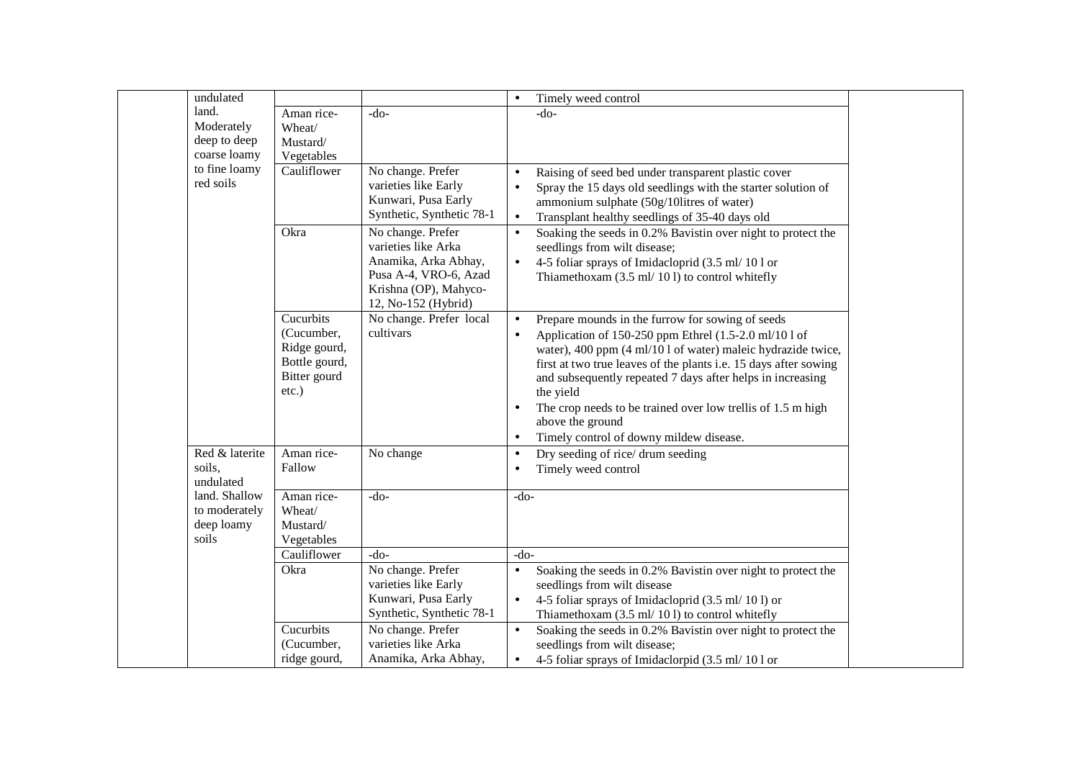| undulated                                             |                                                                                      |                                                                                                                                           | $\bullet$                           | Timely weed control                                                                                                                                                                                                                                                                                                                                                                                                                                    |  |
|-------------------------------------------------------|--------------------------------------------------------------------------------------|-------------------------------------------------------------------------------------------------------------------------------------------|-------------------------------------|--------------------------------------------------------------------------------------------------------------------------------------------------------------------------------------------------------------------------------------------------------------------------------------------------------------------------------------------------------------------------------------------------------------------------------------------------------|--|
| land.<br>Moderately<br>deep to deep<br>coarse loamy   | Aman rice-<br>Wheat/<br>Mustard/<br>Vegetables                                       | $-do-$                                                                                                                                    |                                     | $-do-$                                                                                                                                                                                                                                                                                                                                                                                                                                                 |  |
| to fine loamy<br>red soils                            | Cauliflower                                                                          | No change. Prefer<br>varieties like Early<br>Kunwari, Pusa Early<br>Synthetic, Synthetic 78-1                                             | $\bullet$<br>$\bullet$<br>$\bullet$ | Raising of seed bed under transparent plastic cover<br>Spray the 15 days old seedlings with the starter solution of<br>ammonium sulphate (50g/10litres of water)<br>Transplant healthy seedlings of 35-40 days old                                                                                                                                                                                                                                     |  |
|                                                       | Okra                                                                                 | No change. Prefer<br>varieties like Arka<br>Anamika, Arka Abhay,<br>Pusa A-4, VRO-6, Azad<br>Krishna (OP), Mahyco-<br>12, No-152 (Hybrid) | $\bullet$                           | Soaking the seeds in 0.2% Bavistin over night to protect the<br>seedlings from wilt disease;<br>4-5 foliar sprays of Imidacloprid (3.5 ml/ 10 l or<br>Thiamethoxam $(3.5 \text{ ml}/101)$ to control whitefly                                                                                                                                                                                                                                          |  |
|                                                       | Cucurbits<br>(Cucumber,<br>Ridge gourd,<br>Bottle gourd,<br>Bitter gourd<br>$etc.$ ) | No change. Prefer local<br>cultivars                                                                                                      | $\bullet$<br>$\bullet$<br>$\bullet$ | Prepare mounds in the furrow for sowing of seeds<br>Application of 150-250 ppm Ethrel (1.5-2.0 ml/10 l of<br>water), 400 ppm (4 ml/10 l of water) maleic hydrazide twice,<br>first at two true leaves of the plants i.e. 15 days after sowing<br>and subsequently repeated 7 days after helps in increasing<br>the yield<br>The crop needs to be trained over low trellis of 1.5 m high<br>above the ground<br>Timely control of downy mildew disease. |  |
| Red & laterite<br>soils,<br>undulated                 | Aman rice-<br>Fallow                                                                 | No change                                                                                                                                 | $\bullet$                           | Dry seeding of rice/ drum seeding<br>Timely weed control                                                                                                                                                                                                                                                                                                                                                                                               |  |
| land. Shallow<br>to moderately<br>deep loamy<br>soils | Aman rice-<br>Wheat/<br>Mustard/<br>Vegetables                                       | $-do-$                                                                                                                                    | $-do-$                              |                                                                                                                                                                                                                                                                                                                                                                                                                                                        |  |
|                                                       | Cauliflower                                                                          | $-do-$                                                                                                                                    | $-do-$                              |                                                                                                                                                                                                                                                                                                                                                                                                                                                        |  |
|                                                       | Okra                                                                                 | No change. Prefer<br>varieties like Early<br>Kunwari, Pusa Early<br>Synthetic, Synthetic 78-1                                             |                                     | Soaking the seeds in 0.2% Bavistin over night to protect the<br>seedlings from wilt disease<br>4-5 foliar sprays of Imidacloprid (3.5 ml/ 10 l) or<br>Thiamethoxam (3.5 ml/ 101) to control whitefly                                                                                                                                                                                                                                                   |  |
|                                                       | Cucurbits<br>(Cucumber,<br>ridge gourd,                                              | No change. Prefer<br>varieties like Arka<br>Anamika, Arka Abhay,                                                                          |                                     | Soaking the seeds in 0.2% Bavistin over night to protect the<br>seedlings from wilt disease;<br>4-5 foliar sprays of Imidaclorpid (3.5 ml/ 101 or                                                                                                                                                                                                                                                                                                      |  |
|                                                       |                                                                                      |                                                                                                                                           |                                     |                                                                                                                                                                                                                                                                                                                                                                                                                                                        |  |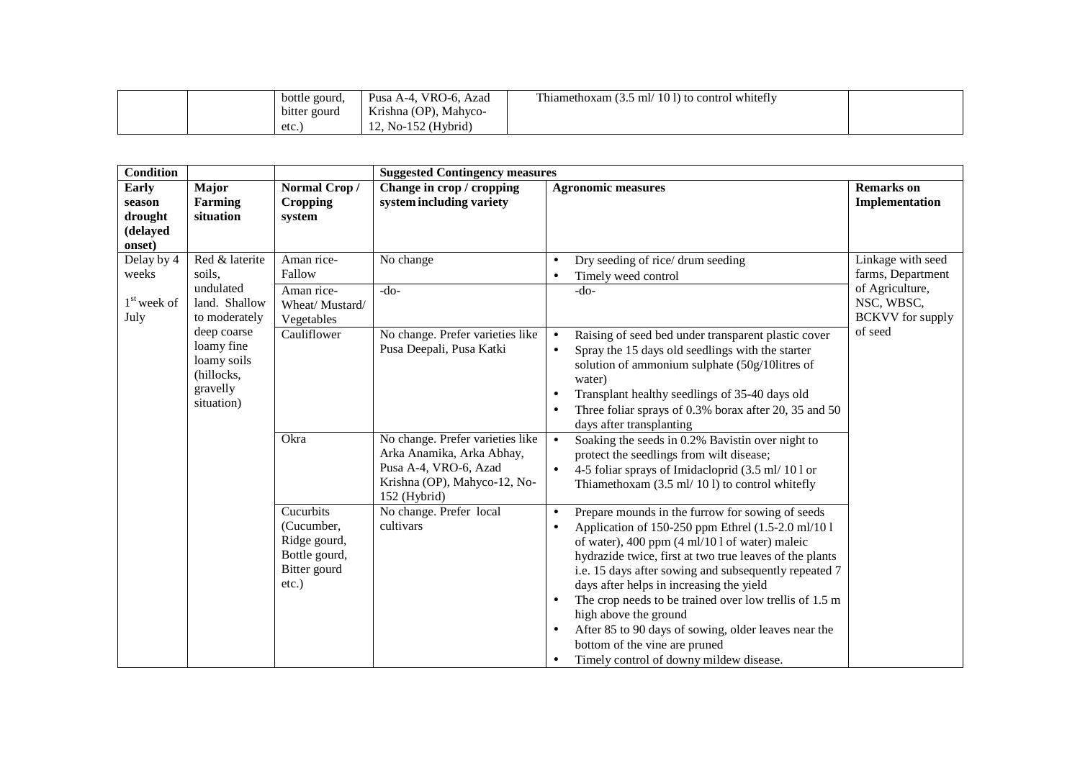|  | bottle gourd, | VRO-6.<br>Pusa A-4,<br>. Azad | <b>CONTRACTOR</b><br>Thiamethoxam $(3.5 \text{ ml} / 101)$ to control whitefly |  |
|--|---------------|-------------------------------|--------------------------------------------------------------------------------|--|
|  | bitter gourd  | Krishna (OP), Mahyco-         |                                                                                |  |
|  | etc.          | $12$ , No-152 (Hybrid)        |                                                                                |  |

| <b>Condition</b>                                        |                                                                                  |                                                                                      | <b>Suggested Contingency measures</b>                                                                                                  |                                                                                                                                                                                                                                                                                                                                                                                                                                                                                                                                                                                        |                                                                                                    |
|---------------------------------------------------------|----------------------------------------------------------------------------------|--------------------------------------------------------------------------------------|----------------------------------------------------------------------------------------------------------------------------------------|----------------------------------------------------------------------------------------------------------------------------------------------------------------------------------------------------------------------------------------------------------------------------------------------------------------------------------------------------------------------------------------------------------------------------------------------------------------------------------------------------------------------------------------------------------------------------------------|----------------------------------------------------------------------------------------------------|
| <b>Early</b><br>season<br>drought<br>(delayed<br>onset) | Major<br><b>Farming</b><br>situation                                             | Normal Crop/<br><b>Cropping</b><br>system                                            | Change in crop / cropping<br>system including variety                                                                                  | <b>Agronomic measures</b>                                                                                                                                                                                                                                                                                                                                                                                                                                                                                                                                                              | <b>Remarks</b> on<br>Implementation                                                                |
| Delay by 4<br>weeks<br>$1st$ week of<br>July            | Red $&$ laterite<br>soils,<br>undulated<br>land. Shallow<br>to moderately        | Aman rice-<br>Fallow<br>Aman rice-<br>Wheat/Mustard/<br>Vegetables                   | No change<br>$-do-$                                                                                                                    | Dry seeding of rice/ drum seeding<br>$\bullet$<br>Timely weed control<br>$\bullet$<br>$-do-$                                                                                                                                                                                                                                                                                                                                                                                                                                                                                           | Linkage with seed<br>farms, Department<br>of Agriculture,<br>NSC, WBSC,<br><b>BCKVV</b> for supply |
|                                                         | deep coarse<br>loamy fine<br>loamy soils<br>(hillocks,<br>gravelly<br>situation) | Cauliflower                                                                          | No change. Prefer varieties like<br>Pusa Deepali, Pusa Katki                                                                           | Raising of seed bed under transparent plastic cover<br>$\bullet$<br>Spray the 15 days old seedlings with the starter<br>$\bullet$<br>solution of ammonium sulphate (50g/10litres of<br>water)<br>Transplant healthy seedlings of 35-40 days old<br>$\bullet$<br>Three foliar sprays of 0.3% borax after 20, 35 and 50<br>$\bullet$<br>days after transplanting                                                                                                                                                                                                                         | of seed                                                                                            |
|                                                         |                                                                                  | Okra                                                                                 | No change. Prefer varieties like<br>Arka Anamika, Arka Abhay,<br>Pusa A-4, VRO-6, Azad<br>Krishna (OP), Mahyco-12, No-<br>152 (Hybrid) | Soaking the seeds in 0.2% Bavistin over night to<br>$\bullet$<br>protect the seedlings from wilt disease;<br>4-5 foliar sprays of Imidacloprid (3.5 ml/ 101 or<br>$\bullet$<br>Thiamethoxam $(3.5 \text{ ml}/101)$ to control whitefly                                                                                                                                                                                                                                                                                                                                                 |                                                                                                    |
|                                                         |                                                                                  | Cucurbits<br>(Cucumber,<br>Ridge gourd,<br>Bottle gourd,<br>Bitter gourd<br>$etc.$ ) | No change. Prefer local<br>cultivars                                                                                                   | Prepare mounds in the furrow for sowing of seeds<br>$\bullet$<br>Application of 150-250 ppm Ethrel (1.5-2.0 ml/101)<br>$\bullet$<br>of water), 400 ppm (4 ml/10 l of water) maleic<br>hydrazide twice, first at two true leaves of the plants<br>i.e. 15 days after sowing and subsequently repeated 7<br>days after helps in increasing the yield<br>The crop needs to be trained over low trellis of 1.5 m<br>$\bullet$<br>high above the ground<br>After 85 to 90 days of sowing, older leaves near the<br>bottom of the vine are pruned<br>Timely control of downy mildew disease. |                                                                                                    |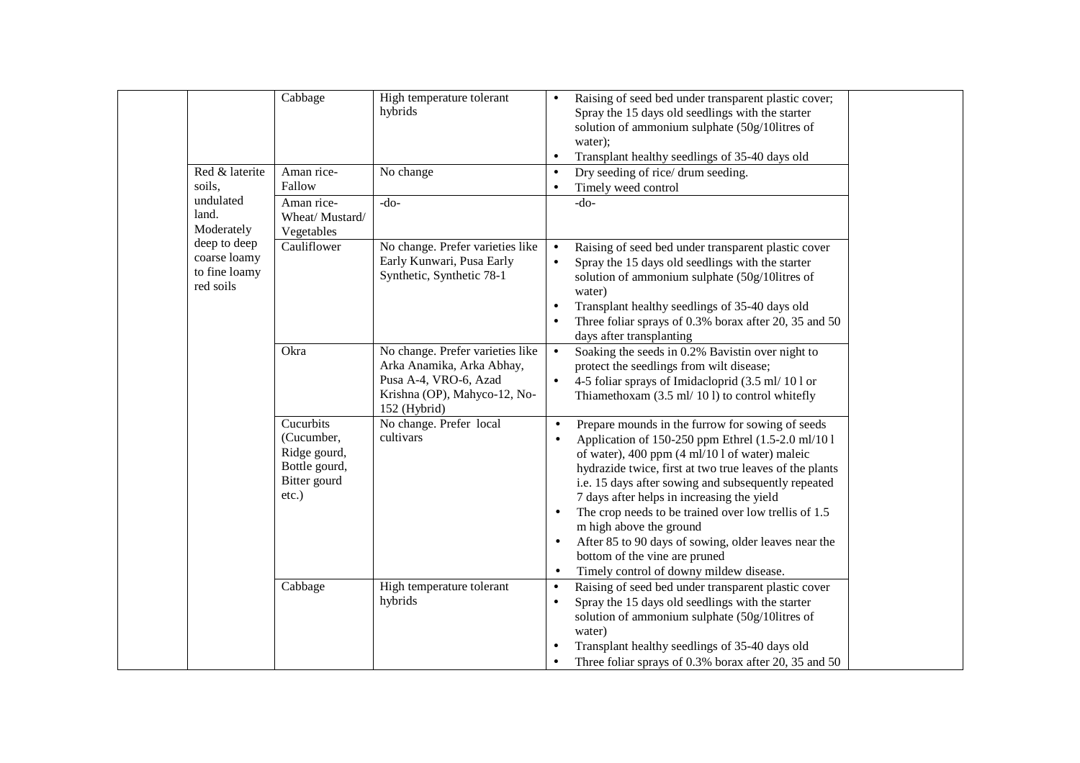|                                                            | Cabbage                                                                              | High temperature tolerant<br>hybrids                                                                                                   | Raising of seed bed under transparent plastic cover;<br>$\bullet$<br>Spray the 15 days old seedlings with the starter<br>solution of ammonium sulphate (50g/10litres of<br>water);<br>Transplant healthy seedlings of 35-40 days old<br>$\bullet$                                                                                                                                                                                                                                                                                                                                      |
|------------------------------------------------------------|--------------------------------------------------------------------------------------|----------------------------------------------------------------------------------------------------------------------------------------|----------------------------------------------------------------------------------------------------------------------------------------------------------------------------------------------------------------------------------------------------------------------------------------------------------------------------------------------------------------------------------------------------------------------------------------------------------------------------------------------------------------------------------------------------------------------------------------|
| Red & laterite<br>soils,                                   | Aman rice-<br>Fallow                                                                 | No change                                                                                                                              | Dry seeding of rice/ drum seeding.<br>$\bullet$<br>Timely weed control                                                                                                                                                                                                                                                                                                                                                                                                                                                                                                                 |
| undulated<br>land.<br>Moderately                           | Aman rice-<br>Wheat/ Mustard/<br>Vegetables                                          | $-do-$                                                                                                                                 | $-do-$                                                                                                                                                                                                                                                                                                                                                                                                                                                                                                                                                                                 |
| deep to deep<br>coarse loamy<br>to fine loamy<br>red soils | Cauliflower                                                                          | No change. Prefer varieties like<br>Early Kunwari, Pusa Early<br>Synthetic, Synthetic 78-1                                             | Raising of seed bed under transparent plastic cover<br>$\bullet$<br>Spray the 15 days old seedlings with the starter<br>$\bullet$<br>solution of ammonium sulphate (50g/10litres of<br>water)<br>Transplant healthy seedlings of 35-40 days old<br>Three foliar sprays of 0.3% borax after 20, 35 and 50<br>days after transplanting                                                                                                                                                                                                                                                   |
|                                                            | Okra                                                                                 | No change. Prefer varieties like<br>Arka Anamika, Arka Abhay,<br>Pusa A-4, VRO-6, Azad<br>Krishna (OP), Mahyco-12, No-<br>152 (Hybrid) | Soaking the seeds in 0.2% Bavistin over night to<br>$\bullet$<br>protect the seedlings from wilt disease;<br>$\bullet$<br>4-5 foliar sprays of Imidacloprid (3.5 ml/ 101 or<br>Thiamethoxam $(3.5 \text{ ml}/101)$ to control whitefly                                                                                                                                                                                                                                                                                                                                                 |
|                                                            | Cucurbits<br>(Cucumber,<br>Ridge gourd,<br>Bottle gourd,<br>Bitter gourd<br>$etc.$ ) | No change. Prefer local<br>cultivars                                                                                                   | Prepare mounds in the furrow for sowing of seeds<br>$\bullet$<br>Application of 150-250 ppm Ethrel (1.5-2.0 ml/10 l<br>of water), 400 ppm (4 ml/10 l of water) maleic<br>hydrazide twice, first at two true leaves of the plants<br>i.e. 15 days after sowing and subsequently repeated<br>7 days after helps in increasing the yield<br>The crop needs to be trained over low trellis of 1.5<br>$\bullet$<br>m high above the ground<br>After 85 to 90 days of sowing, older leaves near the<br>bottom of the vine are pruned<br>Timely control of downy mildew disease.<br>$\bullet$ |
|                                                            | Cabbage                                                                              | High temperature tolerant<br>hybrids                                                                                                   | Raising of seed bed under transparent plastic cover<br>$\bullet$<br>Spray the 15 days old seedlings with the starter<br>٠<br>solution of ammonium sulphate (50g/10litres of<br>water)<br>Transplant healthy seedlings of 35-40 days old<br>Three foliar sprays of 0.3% borax after 20, 35 and 50                                                                                                                                                                                                                                                                                       |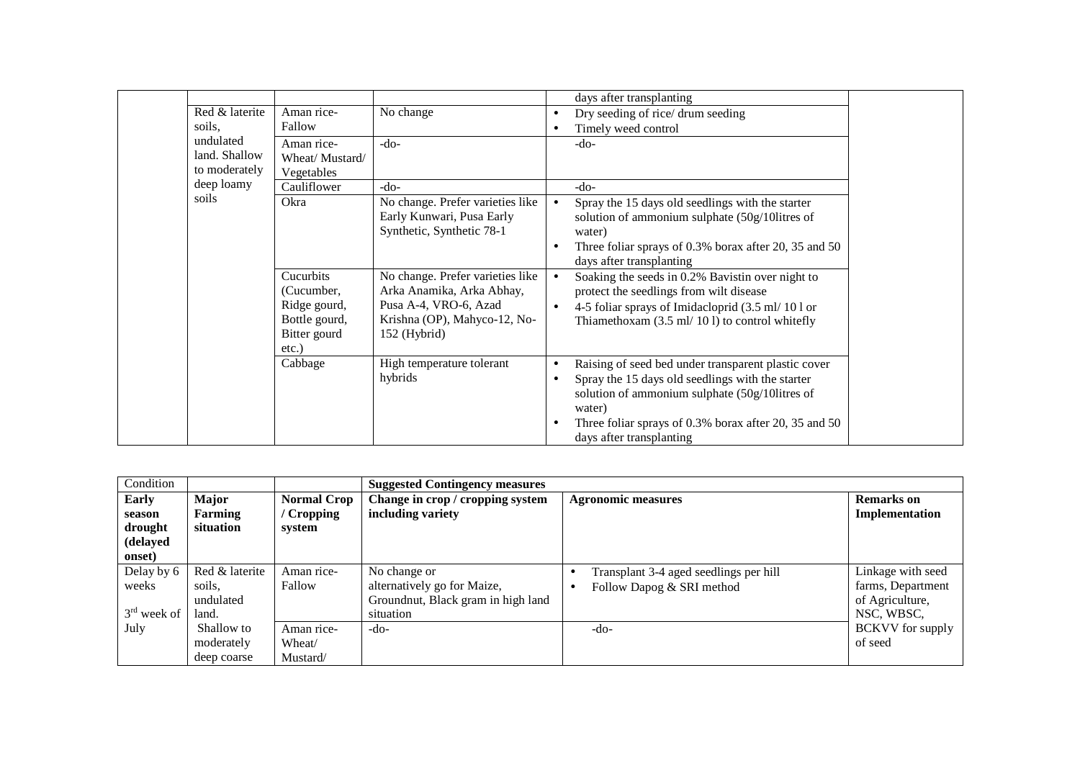|                |                |                                  |           | days after transplanting                              |
|----------------|----------------|----------------------------------|-----------|-------------------------------------------------------|
| Red & laterite | Aman rice-     | No change                        | $\bullet$ | Dry seeding of rice/ drum seeding                     |
| soils.         | Fallow         |                                  | $\bullet$ | Timely weed control                                   |
| undulated      | Aman rice-     | $-do-$                           |           | $-do-$                                                |
| land. Shallow  | Wheat/Mustard/ |                                  |           |                                                       |
| to moderately  | Vegetables     |                                  |           |                                                       |
| deep loamy     | Cauliflower    | $-do-$                           |           | $-do-$                                                |
| soils          | Okra           | No change. Prefer varieties like |           | Spray the 15 days old seedlings with the starter      |
|                |                | Early Kunwari, Pusa Early        |           | solution of ammonium sulphate (50g/10litres of        |
|                |                | Synthetic, Synthetic 78-1        |           | water)                                                |
|                |                |                                  | $\bullet$ | Three foliar sprays of 0.3% borax after 20, 35 and 50 |
|                |                |                                  |           | days after transplanting                              |
|                | Cucurbits      | No change. Prefer varieties like | $\bullet$ | Soaking the seeds in 0.2% Bavistin over night to      |
|                | (Cucumber,     | Arka Anamika, Arka Abhay,        |           | protect the seedlings from wilt disease               |
|                | Ridge gourd,   | Pusa A-4, VRO-6, Azad            | $\bullet$ | 4-5 foliar sprays of Imidacloprid (3.5 ml/ 10 l or    |
|                | Bottle gourd,  | Krishna (OP), Mahyco-12, No-     |           | Thiamethoxam (3.5 ml/ 10 l) to control whitefly       |
|                | Bitter gourd   | $152$ (Hybrid)                   |           |                                                       |
|                | etc.)          |                                  |           |                                                       |
|                | Cabbage        | High temperature tolerant        | $\bullet$ | Raising of seed bed under transparent plastic cover   |
|                |                | hybrids                          | $\bullet$ | Spray the 15 days old seedlings with the starter      |
|                |                |                                  |           | solution of ammonium sulphate (50g/10litres of        |
|                |                |                                  |           | water)                                                |
|                |                |                                  | $\bullet$ | Three foliar sprays of 0.3% borax after 20, 35 and 50 |
|                |                |                                  |           | days after transplanting                              |

| Condition              |                         |                                  | <b>Suggested Contingency measures</b>                 |                                        |                                     |
|------------------------|-------------------------|----------------------------------|-------------------------------------------------------|----------------------------------------|-------------------------------------|
| <b>Early</b><br>season | <b>Major</b><br>Farming | <b>Normal Crop</b><br>' Cropping | Change in crop / cropping system<br>including variety | <b>Agronomic measures</b>              | <b>Remarks</b> on<br>Implementation |
| drought<br>(delayed    | situation               | system                           |                                                       |                                        |                                     |
| onset)                 |                         |                                  |                                                       |                                        |                                     |
| Delay by 6             | Red & laterite          | Aman rice-                       | No change or                                          | Transplant 3-4 aged seedlings per hill | Linkage with seed                   |
| weeks                  | soils.                  | Fallow                           | alternatively go for Maize,                           | Follow Dapog & SRI method              | farms, Department                   |
|                        | undulated               |                                  | Groundnut, Black gram in high land                    |                                        | of Agriculture,                     |
| $3rd$ week of          | land.                   |                                  | situation                                             |                                        | NSC, WBSC,                          |
| July                   | Shallow to              | Aman rice-                       | -do-                                                  | -do-                                   | <b>BCKVV</b> for supply             |
|                        | moderately              | Wheat/                           |                                                       |                                        | of seed                             |
|                        | deep coarse             | Mustard/                         |                                                       |                                        |                                     |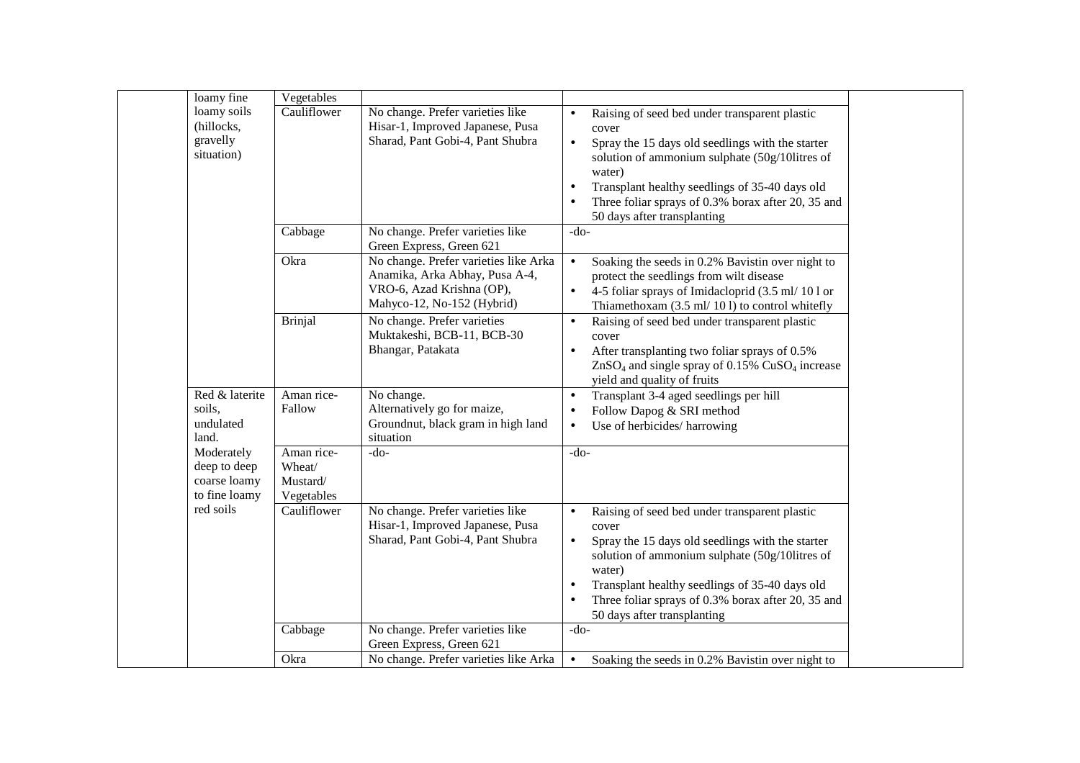| loamy fine                                                  | Vegetables                                     |                                                                                                                                    |                                                                                                                                                                                                                                                                                                                                                                   |  |
|-------------------------------------------------------------|------------------------------------------------|------------------------------------------------------------------------------------------------------------------------------------|-------------------------------------------------------------------------------------------------------------------------------------------------------------------------------------------------------------------------------------------------------------------------------------------------------------------------------------------------------------------|--|
| loamy soils<br>(hillocks,<br>gravelly<br>situation)         | Cauliflower                                    | No change. Prefer varieties like<br>Hisar-1, Improved Japanese, Pusa<br>Sharad, Pant Gobi-4, Pant Shubra                           | Raising of seed bed under transparent plastic<br>$\bullet$<br>cover<br>Spray the 15 days old seedlings with the starter<br>$\bullet$<br>solution of ammonium sulphate (50g/10litres of<br>water)                                                                                                                                                                  |  |
|                                                             |                                                |                                                                                                                                    | Transplant healthy seedlings of 35-40 days old<br>$\bullet$<br>Three foliar sprays of 0.3% borax after 20, 35 and<br>$\bullet$<br>50 days after transplanting                                                                                                                                                                                                     |  |
|                                                             | Cabbage                                        | No change. Prefer varieties like<br>Green Express, Green 621                                                                       | $-do-$                                                                                                                                                                                                                                                                                                                                                            |  |
|                                                             | Okra                                           | No change. Prefer varieties like Arka<br>Anamika, Arka Abhay, Pusa A-4,<br>VRO-6, Azad Krishna (OP),<br>Mahyco-12, No-152 (Hybrid) | Soaking the seeds in 0.2% Bavistin over night to<br>$\bullet$<br>protect the seedlings from wilt disease<br>4-5 foliar sprays of Imidacloprid (3.5 ml/ 10 l or<br>$\bullet$<br>Thiamethoxam (3.5 ml/ 101) to control whitefly                                                                                                                                     |  |
|                                                             | <b>Brinjal</b>                                 | No change. Prefer varieties<br>Muktakeshi, BCB-11, BCB-30<br>Bhangar, Patakata                                                     | Raising of seed bed under transparent plastic<br>$\bullet$<br>cover<br>After transplanting two foliar sprays of 0.5%<br>$\bullet$<br>$ZnSO4$ and single spray of 0.15% $CuSO4$ increase<br>yield and quality of fruits                                                                                                                                            |  |
| Red & laterite<br>soils,<br>undulated<br>land.              | Aman rice-<br>Fallow                           | No change.<br>Alternatively go for maize,<br>Groundnut, black gram in high land<br>situation                                       | Transplant 3-4 aged seedlings per hill<br>$\bullet$<br>Follow Dapog & SRI method<br>$\bullet$<br>Use of herbicides/ harrowing<br>$\bullet$                                                                                                                                                                                                                        |  |
| Moderately<br>deep to deep<br>coarse loamy<br>to fine loamy | Aman rice-<br>Wheat/<br>Mustard/<br>Vegetables | -do-                                                                                                                               | $-do-$                                                                                                                                                                                                                                                                                                                                                            |  |
| red soils                                                   | Cauliflower                                    | No change. Prefer varieties like<br>Hisar-1, Improved Japanese, Pusa<br>Sharad, Pant Gobi-4, Pant Shubra                           | Raising of seed bed under transparent plastic<br>$\bullet$<br>cover<br>Spray the 15 days old seedlings with the starter<br>$\bullet$<br>solution of ammonium sulphate (50g/10litres of<br>water)<br>Transplant healthy seedlings of 35-40 days old<br>$\bullet$<br>Three foliar sprays of 0.3% borax after 20, 35 and<br>$\bullet$<br>50 days after transplanting |  |
|                                                             | Cabbage                                        | No change. Prefer varieties like<br>Green Express, Green 621                                                                       | $-do-$                                                                                                                                                                                                                                                                                                                                                            |  |
|                                                             | Okra                                           | No change. Prefer varieties like Arka                                                                                              | Soaking the seeds in 0.2% Bavistin over night to<br>$\bullet$                                                                                                                                                                                                                                                                                                     |  |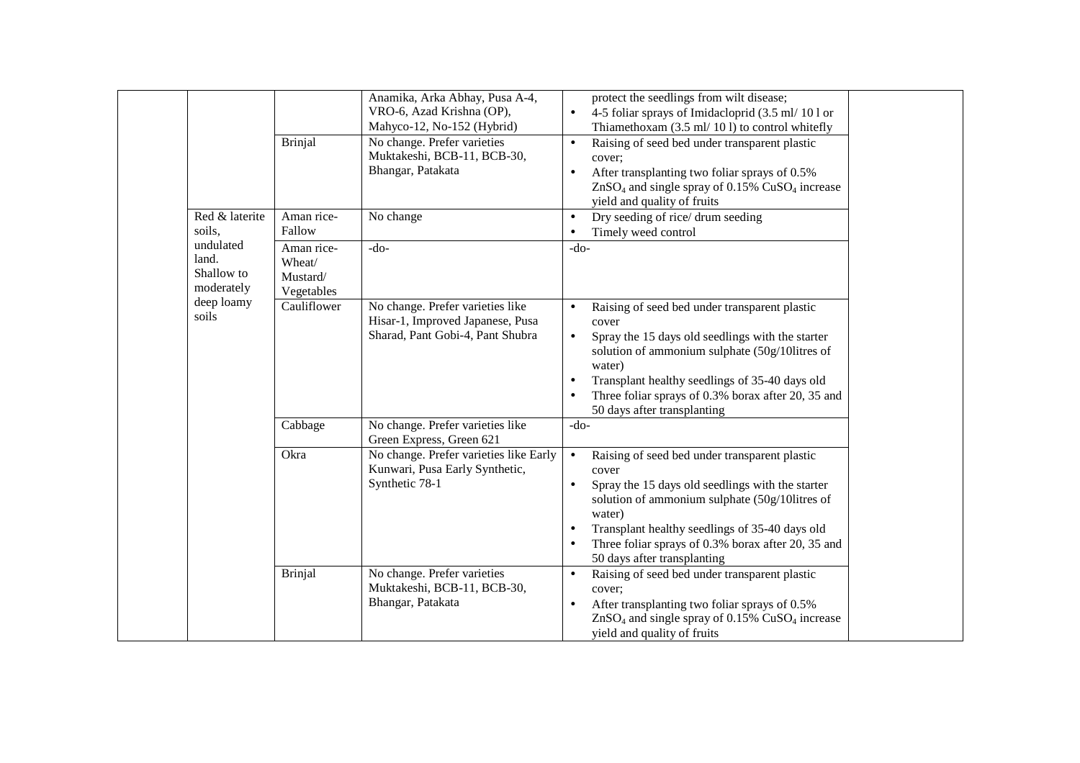|                                                | Brinjal                                        | Anamika, Arka Abhay, Pusa A-4,<br>VRO-6, Azad Krishna (OP),<br>Mahyco-12, No-152 (Hybrid)<br>No change. Prefer varieties<br>Muktakeshi, BCB-11, BCB-30,<br>Bhangar, Patakata | protect the seedlings from wilt disease;<br>4-5 foliar sprays of Imidacloprid (3.5 ml/ 10 l or<br>$\bullet$<br>Thiamethoxam $(3.5 \text{ ml}/101)$ to control whitefly<br>Raising of seed bed under transparent plastic<br>$\bullet$<br>cover;<br>After transplanting two foliar sprays of 0.5%<br>$\bullet$<br>$ZnSO4$ and single spray of 0.15% $CuSO4$ increase<br>yield and quality of fruits |
|------------------------------------------------|------------------------------------------------|------------------------------------------------------------------------------------------------------------------------------------------------------------------------------|---------------------------------------------------------------------------------------------------------------------------------------------------------------------------------------------------------------------------------------------------------------------------------------------------------------------------------------------------------------------------------------------------|
| Red & laterite<br>soils,                       | Aman rice-<br>Fallow                           | No change                                                                                                                                                                    | Dry seeding of rice/ drum seeding<br>$\bullet$<br>Timely weed control<br>$\bullet$                                                                                                                                                                                                                                                                                                                |
| undulated<br>land.<br>Shallow to<br>moderately | Aman rice-<br>Wheat/<br>Mustard/<br>Vegetables | $-do-$                                                                                                                                                                       | $-do-$                                                                                                                                                                                                                                                                                                                                                                                            |
| deep loamy<br>soils                            | Cauliflower                                    | No change. Prefer varieties like<br>Hisar-1, Improved Japanese, Pusa<br>Sharad, Pant Gobi-4, Pant Shubra                                                                     | Raising of seed bed under transparent plastic<br>$\bullet$<br>cover<br>Spray the 15 days old seedlings with the starter<br>$\bullet$<br>solution of ammonium sulphate (50g/10litres of<br>water)<br>Transplant healthy seedlings of 35-40 days old<br>Three foliar sprays of 0.3% borax after 20, 35 and<br>50 days after transplanting                                                           |
|                                                | Cabbage                                        | No change. Prefer varieties like<br>Green Express, Green 621                                                                                                                 | $-do-$                                                                                                                                                                                                                                                                                                                                                                                            |
|                                                | Okra                                           | No change. Prefer varieties like Early<br>Kunwari, Pusa Early Synthetic,<br>Synthetic 78-1                                                                                   | $\bullet$<br>Raising of seed bed under transparent plastic<br>cover<br>Spray the 15 days old seedlings with the starter<br>$\bullet$<br>solution of ammonium sulphate (50g/10litres of<br>water)<br>Transplant healthy seedlings of 35-40 days old<br>Three foliar sprays of 0.3% borax after 20, 35 and<br>50 days after transplanting                                                           |
|                                                | <b>Brinjal</b>                                 | No change. Prefer varieties<br>Muktakeshi, BCB-11, BCB-30,<br>Bhangar, Patakata                                                                                              | Raising of seed bed under transparent plastic<br>$\bullet$<br>cover;<br>After transplanting two foliar sprays of 0.5%<br>$ZnSO4$ and single spray of 0.15% $CuSO4$ increase<br>yield and quality of fruits                                                                                                                                                                                        |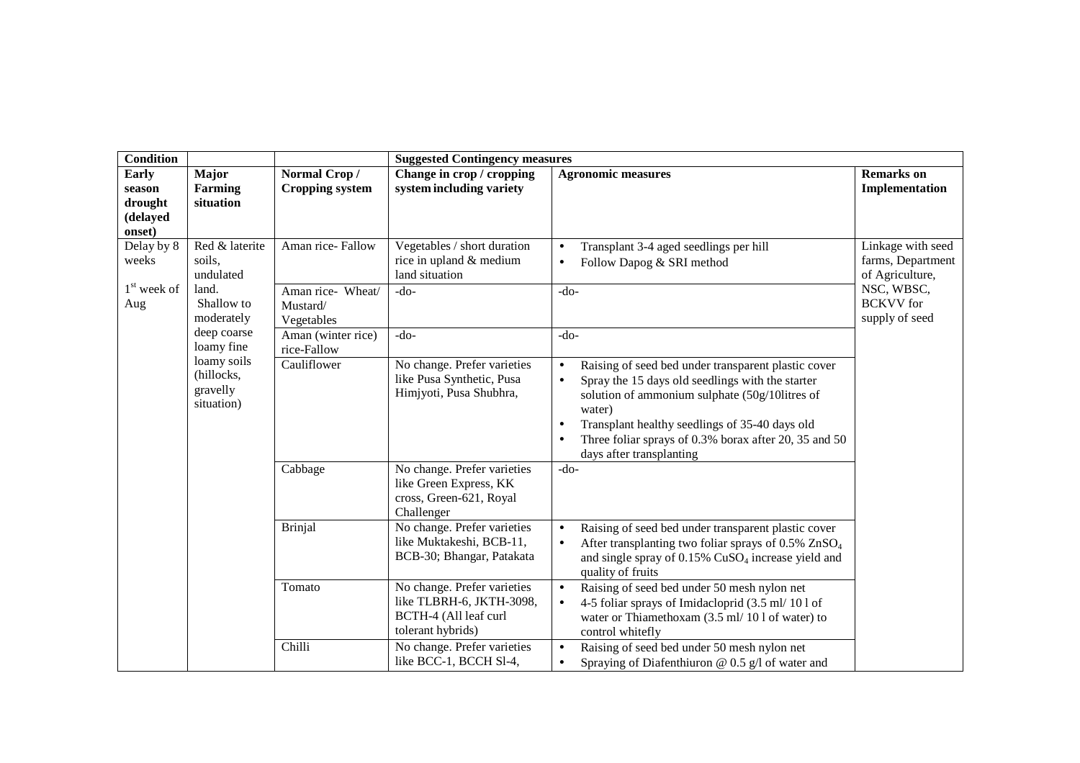| <b>Condition</b>                              |                                                     | <b>Suggested Contingency measures</b>       |                                                                                                       |                                                                                                                                                                                                                                                                                                                                      |                                                           |  |
|-----------------------------------------------|-----------------------------------------------------|---------------------------------------------|-------------------------------------------------------------------------------------------------------|--------------------------------------------------------------------------------------------------------------------------------------------------------------------------------------------------------------------------------------------------------------------------------------------------------------------------------------|-----------------------------------------------------------|--|
| <b>Early</b><br>season<br>drought<br>(delayed | Major<br><b>Farming</b><br>situation                | Normal Crop/<br><b>Cropping system</b>      | Change in crop / cropping<br>system including variety                                                 | <b>Agronomic measures</b>                                                                                                                                                                                                                                                                                                            | <b>Remarks</b> on<br>Implementation                       |  |
| onset)                                        |                                                     |                                             |                                                                                                       |                                                                                                                                                                                                                                                                                                                                      |                                                           |  |
| Delay by 8<br>weeks                           | Red & laterite<br>soils,<br>undulated               | Aman rice-Fallow                            | Vegetables / short duration<br>rice in upland & medium<br>land situation                              | Transplant 3-4 aged seedlings per hill<br>$\bullet$<br>Follow Dapog & SRI method<br>$\bullet$                                                                                                                                                                                                                                        | Linkage with seed<br>farms, Department<br>of Agriculture, |  |
| $1st$ week of<br>Aug                          | land.<br>Shallow to<br>moderately                   | Aman rice- Wheat/<br>Mustard/<br>Vegetables | $-do-$                                                                                                | $-do-$                                                                                                                                                                                                                                                                                                                               | NSC, WBSC,<br><b>BCKVV</b> for<br>supply of seed          |  |
|                                               | deep coarse<br>loamy fine                           | Aman (winter rice)<br>rice-Fallow           | $-do-$                                                                                                | $-do-$                                                                                                                                                                                                                                                                                                                               |                                                           |  |
|                                               | loamy soils<br>(hillocks,<br>gravelly<br>situation) | Cauliflower                                 | No change. Prefer varieties<br>like Pusa Synthetic, Pusa<br>Himjyoti, Pusa Shubhra,                   | Raising of seed bed under transparent plastic cover<br>$\bullet$<br>Spray the 15 days old seedlings with the starter<br>$\bullet$<br>solution of ammonium sulphate (50g/10litres of<br>water)<br>Transplant healthy seedlings of 35-40 days old<br>Three foliar sprays of 0.3% borax after 20, 35 and 50<br>days after transplanting |                                                           |  |
|                                               |                                                     | Cabbage                                     | No change. Prefer varieties<br>like Green Express, KK<br>cross, Green-621, Royal<br>Challenger        | $-do-$                                                                                                                                                                                                                                                                                                                               |                                                           |  |
|                                               |                                                     | <b>Brinjal</b>                              | No change. Prefer varieties<br>like Muktakeshi, BCB-11,<br>BCB-30; Bhangar, Patakata                  | Raising of seed bed under transparent plastic cover<br>$\bullet$<br>After transplanting two foliar sprays of $0.5\%$ ZnSO <sub>4</sub><br>$\bullet$<br>and single spray of 0.15% CuSO <sub>4</sub> increase yield and<br>quality of fruits                                                                                           |                                                           |  |
|                                               |                                                     | Tomato                                      | No change. Prefer varieties<br>like TLBRH-6, JKTH-3098,<br>BCTH-4 (All leaf curl<br>tolerant hybrids) | Raising of seed bed under 50 mesh nylon net<br>$\bullet$<br>4-5 foliar sprays of Imidacloprid (3.5 ml/ 10 l of<br>water or Thiamethoxam (3.5 ml/ 10 l of water) to<br>control whitefly                                                                                                                                               |                                                           |  |
|                                               |                                                     | Chilli                                      | No change. Prefer varieties<br>like BCC-1, BCCH S1-4,                                                 | Raising of seed bed under 50 mesh nylon net<br>Spraying of Diafenthiuron $\omega$ 0.5 g/l of water and<br>$\bullet$                                                                                                                                                                                                                  |                                                           |  |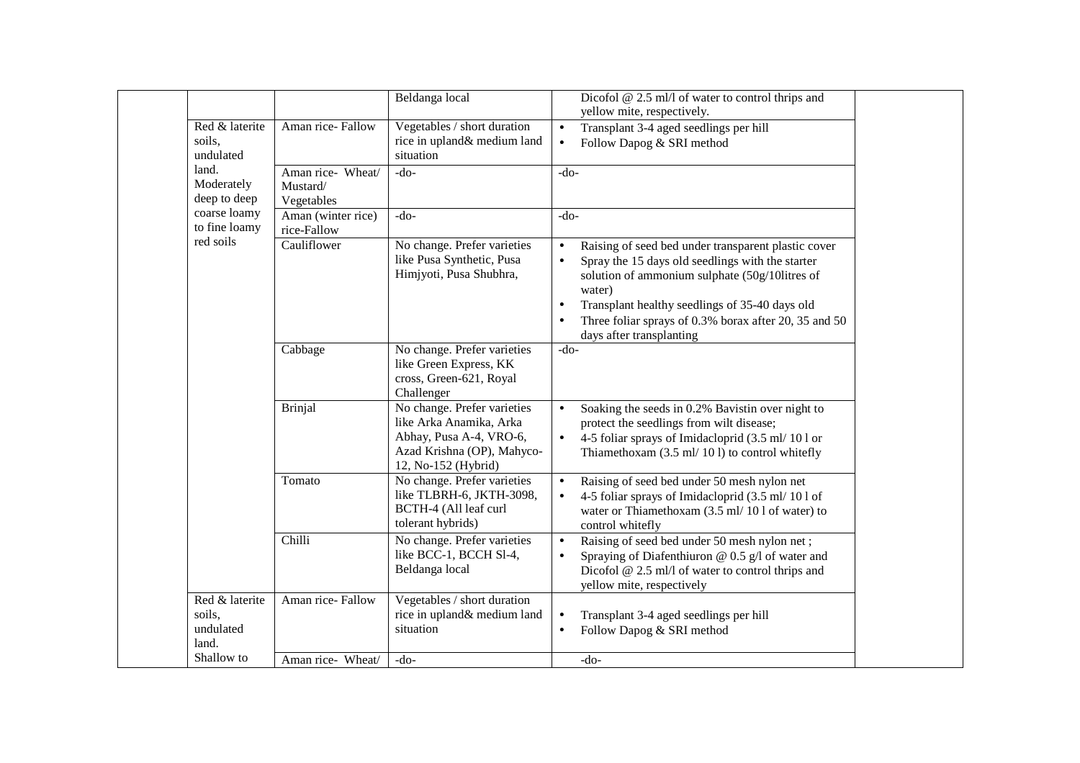|                                                |                                             | Beldanga local                                                                                                                         | Dicofol $@$ 2.5 ml/l of water to control thrips and<br>yellow mite, respectively.                                                                                                                                                                                                                                                                 |
|------------------------------------------------|---------------------------------------------|----------------------------------------------------------------------------------------------------------------------------------------|---------------------------------------------------------------------------------------------------------------------------------------------------------------------------------------------------------------------------------------------------------------------------------------------------------------------------------------------------|
| Red & laterite<br>soils,<br>undulated          | Aman rice-Fallow                            | Vegetables / short duration<br>rice in upland& medium land<br>situation                                                                | Transplant 3-4 aged seedlings per hill<br>$\bullet$<br>Follow Dapog & SRI method<br>$\bullet$                                                                                                                                                                                                                                                     |
| land.<br>Moderately<br>deep to deep            | Aman rice- Wheat/<br>Mustard/<br>Vegetables | $-do-$                                                                                                                                 | $-do-$                                                                                                                                                                                                                                                                                                                                            |
| coarse loamy<br>to fine loamy                  | Aman (winter rice)<br>rice-Fallow           | $-do-$                                                                                                                                 | $-do-$                                                                                                                                                                                                                                                                                                                                            |
| red soils                                      | Cauliflower                                 | No change. Prefer varieties<br>like Pusa Synthetic, Pusa<br>Himjyoti, Pusa Shubhra,                                                    | Raising of seed bed under transparent plastic cover<br>$\bullet$<br>Spray the 15 days old seedlings with the starter<br>$\bullet$<br>solution of ammonium sulphate (50g/10litres of<br>water)<br>Transplant healthy seedlings of 35-40 days old<br>$\bullet$<br>Three foliar sprays of 0.3% borax after 20, 35 and 50<br>days after transplanting |
|                                                | Cabbage                                     | No change. Prefer varieties<br>like Green Express, KK<br>cross, Green-621, Royal<br>Challenger                                         | $-do-$                                                                                                                                                                                                                                                                                                                                            |
|                                                | <b>Brinjal</b>                              | No change. Prefer varieties<br>like Arka Anamika, Arka<br>Abhay, Pusa A-4, VRO-6,<br>Azad Krishna (OP), Mahyco-<br>12, No-152 (Hybrid) | Soaking the seeds in 0.2% Bavistin over night to<br>$\bullet$<br>protect the seedlings from wilt disease;<br>4-5 foliar sprays of Imidacloprid (3.5 ml/ 10 l or<br>$\bullet$<br>Thiamethoxam (3.5 ml/ 10 l) to control whitefly                                                                                                                   |
|                                                | Tomato                                      | No change. Prefer varieties<br>like TLBRH-6, JKTH-3098,<br>BCTH-4 (All leaf curl<br>tolerant hybrids)                                  | Raising of seed bed under 50 mesh nylon net<br>$\bullet$<br>4-5 foliar sprays of Imidacloprid (3.5 ml/ 10 l of<br>$\bullet$<br>water or Thiamethoxam (3.5 ml/ 10 l of water) to<br>control whitefly                                                                                                                                               |
|                                                | Chilli                                      | No change. Prefer varieties<br>like BCC-1, BCCH S1-4,<br>Beldanga local                                                                | Raising of seed bed under 50 mesh nylon net;<br>$\bullet$<br>Spraying of Diafenthiuron $@$ 0.5 g/l of water and<br>$\bullet$<br>Dicofol @ 2.5 ml/l of water to control thrips and<br>yellow mite, respectively                                                                                                                                    |
| Red & laterite<br>soils,<br>undulated<br>land. | Aman rice-Fallow                            | Vegetables / short duration<br>rice in upland& medium land<br>situation                                                                | Transplant 3-4 aged seedlings per hill<br>$\bullet$<br>Follow Dapog & SRI method<br>$\bullet$                                                                                                                                                                                                                                                     |
| Shallow to                                     | Aman rice- Wheat/                           | $-do-$                                                                                                                                 | $-do-$                                                                                                                                                                                                                                                                                                                                            |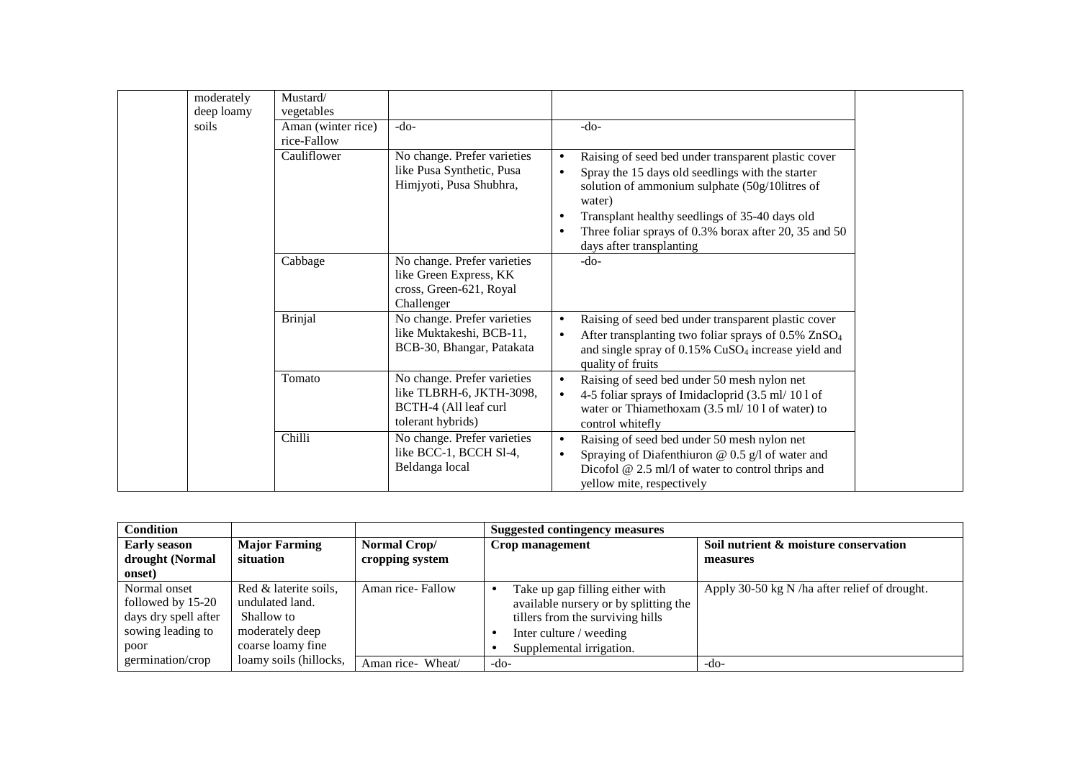|            | Mustard/           |                                                                                                       |                                                                                                                                                                                                                                                                                                                              |  |
|------------|--------------------|-------------------------------------------------------------------------------------------------------|------------------------------------------------------------------------------------------------------------------------------------------------------------------------------------------------------------------------------------------------------------------------------------------------------------------------------|--|
| moderately |                    |                                                                                                       |                                                                                                                                                                                                                                                                                                                              |  |
| deep loamy | vegetables         |                                                                                                       |                                                                                                                                                                                                                                                                                                                              |  |
| soils      | Aman (winter rice) | $-do-$                                                                                                | $-do-$                                                                                                                                                                                                                                                                                                                       |  |
|            | rice-Fallow        |                                                                                                       |                                                                                                                                                                                                                                                                                                                              |  |
|            | Cauliflower        | No change. Prefer varieties<br>like Pusa Synthetic, Pusa<br>Himjyoti, Pusa Shubhra,                   | Raising of seed bed under transparent plastic cover<br>Spray the 15 days old seedlings with the starter<br>$\bullet$<br>solution of ammonium sulphate (50g/10litres of<br>water)<br>Transplant healthy seedlings of 35-40 days old<br>Three foliar sprays of 0.3% borax after 20, 35 and 50<br>٠<br>days after transplanting |  |
|            | Cabbage            | No change. Prefer varieties<br>like Green Express, KK<br>cross, Green-621, Royal<br>Challenger        | $-do-$                                                                                                                                                                                                                                                                                                                       |  |
|            | <b>Brinjal</b>     | No change. Prefer varieties<br>like Muktakeshi, BCB-11,<br>BCB-30, Bhangar, Patakata                  | Raising of seed bed under transparent plastic cover<br>After transplanting two foliar sprays of 0.5% ZnSO <sub>4</sub><br>$\bullet$<br>and single spray of 0.15% CuSO <sub>4</sub> increase yield and<br>quality of fruits                                                                                                   |  |
|            | Tomato             | No change. Prefer varieties<br>like TLBRH-6, JKTH-3098,<br>BCTH-4 (All leaf curl<br>tolerant hybrids) | Raising of seed bed under 50 mesh nylon net<br>$\bullet$<br>4-5 foliar sprays of Imidacloprid (3.5 ml/ 10 l of<br>$\bullet$<br>water or Thiamethoxam (3.5 ml/ 10 l of water) to<br>control whitefly                                                                                                                          |  |
|            | Chilli             | No change. Prefer varieties<br>like BCC-1, BCCH S1-4,<br>Beldanga local                               | Raising of seed bed under 50 mesh nylon net<br>$\bullet$<br>Spraying of Diafenthiuron $@$ 0.5 g/l of water and<br>$\bullet$<br>Dicofol $@$ 2.5 ml/l of water to control thrips and<br>yellow mite, respectively                                                                                                              |  |

| <b>Condition</b>                                                                       |                                                                                                |                                                    | Suggested contingency measures                                                                                                                                      |                                                   |
|----------------------------------------------------------------------------------------|------------------------------------------------------------------------------------------------|----------------------------------------------------|---------------------------------------------------------------------------------------------------------------------------------------------------------------------|---------------------------------------------------|
| <b>Major Farming</b><br><b>Early season</b><br>drought (Normal<br>situation<br>onset)  |                                                                                                | Normal Crop/<br>Crop management<br>cropping system |                                                                                                                                                                     | Soil nutrient & moisture conservation<br>measures |
| Normal onset<br>followed by 15-20<br>days dry spell after<br>sowing leading to<br>poor | Red & laterite soils,<br>undulated land.<br>Shallow to<br>moderately deep<br>coarse loamy fine | Aman rice-Fallow                                   | Take up gap filling either with<br>available nursery or by splitting the<br>tillers from the surviving hills<br>Inter culture / weeding<br>Supplemental irrigation. | Apply 30-50 kg N /ha after relief of drought.     |
| germination/crop                                                                       | loamy soils (hillocks,                                                                         | Aman rice- Wheat/                                  | -do-                                                                                                                                                                | -do-                                              |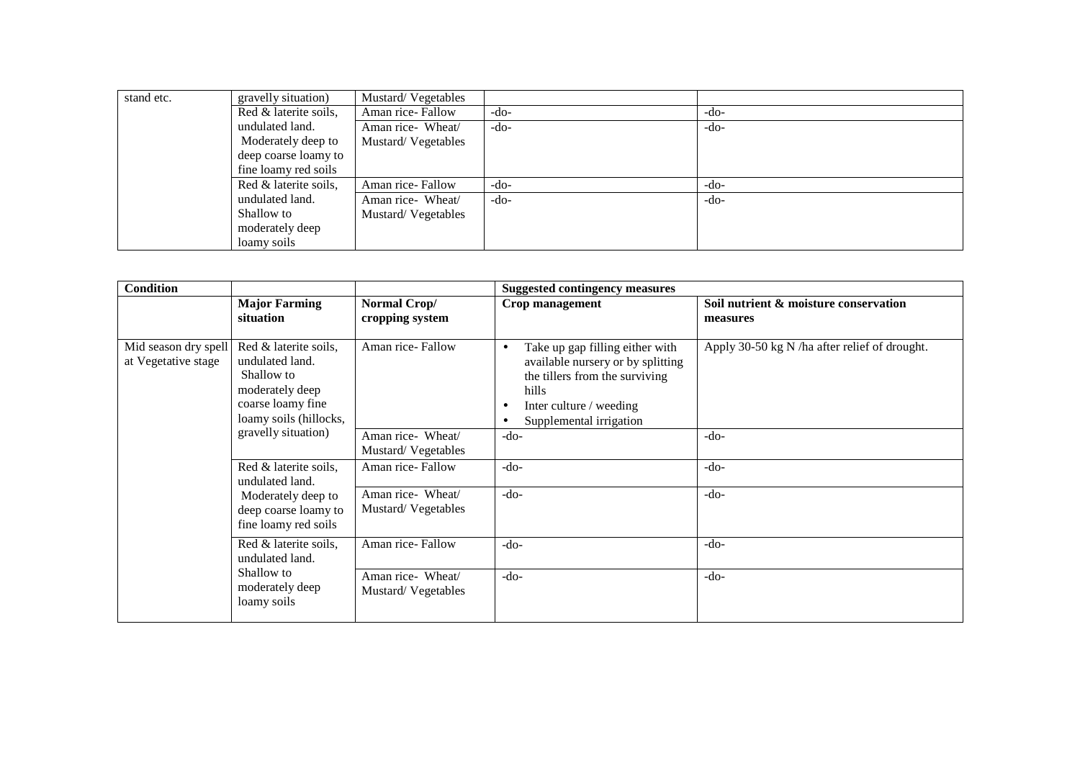| stand etc. | gravelly situation)   | Mustard/Vegetables |        |        |
|------------|-----------------------|--------------------|--------|--------|
|            | Red & laterite soils, | Aman rice-Fallow   | -do-   | -do-   |
|            | undulated land.       | Aman rice- Wheat/  | $-do-$ | $-do-$ |
|            | Moderately deep to    | Mustard/Vegetables |        |        |
|            | deep coarse loamy to  |                    |        |        |
|            | fine loamy red soils  |                    |        |        |
|            | Red & laterite soils, | Aman rice-Fallow   | -do-   | $-do-$ |
|            | undulated land.       | Aman rice- Wheat/  | -do-   | $-do-$ |
|            | Shallow to            | Mustard/Vegetables |        |        |
|            | moderately deep       |                    |        |        |
|            | loamy soils           |                    |        |        |

| <b>Condition</b>                            |                                                                                                                          |                                         | <b>Suggested contingency measures</b>                                                                                                                                                   |                                                   |
|---------------------------------------------|--------------------------------------------------------------------------------------------------------------------------|-----------------------------------------|-----------------------------------------------------------------------------------------------------------------------------------------------------------------------------------------|---------------------------------------------------|
|                                             | <b>Major Farming</b><br>situation                                                                                        | Normal Crop/<br>cropping system         | Crop management                                                                                                                                                                         | Soil nutrient & moisture conservation<br>measures |
| Mid season dry spell<br>at Vegetative stage | Red & laterite soils,<br>undulated land.<br>Shallow to<br>moderately deep<br>coarse loamy fine<br>loamy soils (hillocks, | Aman rice-Fallow                        | Take up gap filling either with<br>$\bullet$<br>available nursery or by splitting<br>the tillers from the surviving<br>hills<br>Inter culture / weeding<br>٠<br>Supplemental irrigation | Apply 30-50 kg N /ha after relief of drought.     |
|                                             | gravelly situation)                                                                                                      | Aman rice- Wheat/<br>Mustard/Vegetables | $-do-$                                                                                                                                                                                  | $-do-$                                            |
|                                             | Red & laterite soils,<br>undulated land.                                                                                 | Aman rice-Fallow                        | $-do-$                                                                                                                                                                                  | $-do-$                                            |
|                                             | Moderately deep to<br>deep coarse loamy to<br>fine loamy red soils                                                       | Aman rice- Wheat/<br>Mustard/Vegetables | $-do-$                                                                                                                                                                                  | $-do-$                                            |
|                                             | Red & laterite soils,<br>undulated land.<br>Shallow to<br>moderately deep<br>loamy soils                                 | Aman rice-Fallow                        | $-do-$                                                                                                                                                                                  | $-do-$                                            |
|                                             |                                                                                                                          | Aman rice- Wheat/<br>Mustard/Vegetables | $-do-$                                                                                                                                                                                  | $-do-$                                            |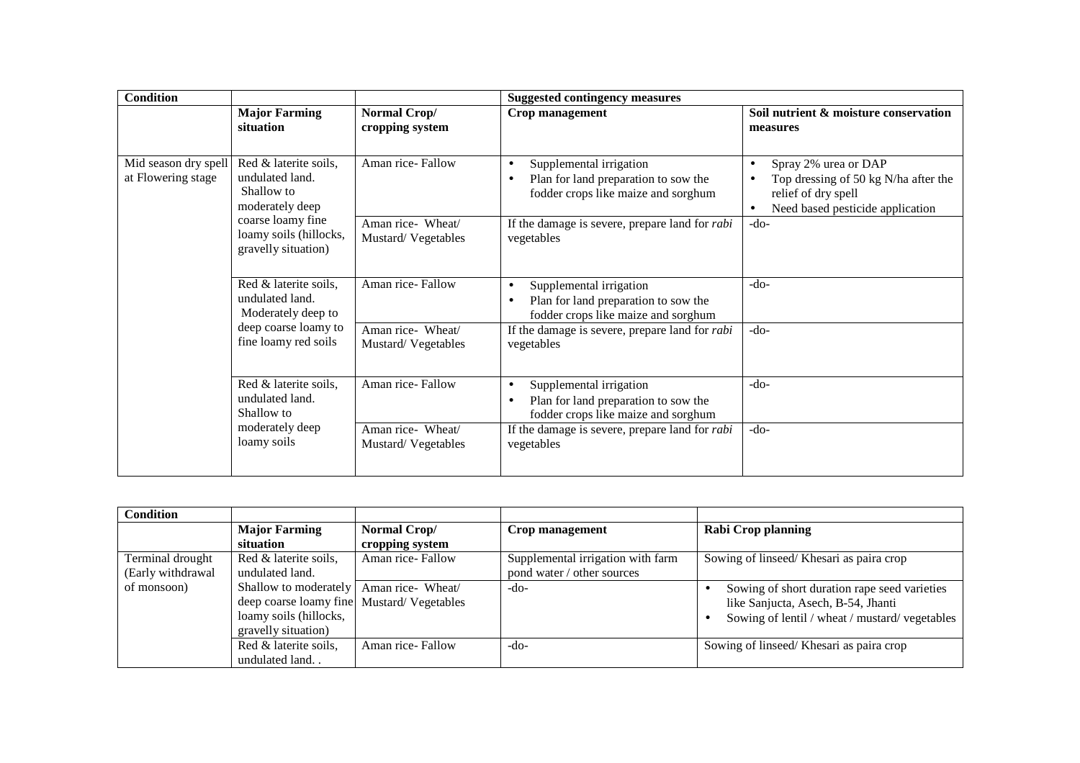| <b>Condition</b>                           |                                                                                                                |                                         | <b>Suggested contingency measures</b>                                                                               |                                                                                                                                                        |  |
|--------------------------------------------|----------------------------------------------------------------------------------------------------------------|-----------------------------------------|---------------------------------------------------------------------------------------------------------------------|--------------------------------------------------------------------------------------------------------------------------------------------------------|--|
|                                            | <b>Major Farming</b><br>situation                                                                              | Normal Crop/<br>cropping system         | Crop management                                                                                                     | Soil nutrient & moisture conservation<br>measures                                                                                                      |  |
| Mid season dry spell<br>at Flowering stage | Red & laterite soils,<br>undulated land.<br>Shallow to<br>moderately deep                                      | Aman rice-Fallow                        | Supplemental irrigation<br>$\bullet$<br>Plan for land preparation to sow the<br>fodder crops like maize and sorghum | Spray 2% urea or DAP<br>$\bullet$<br>Top dressing of 50 kg N/ha after the<br>$\bullet$<br>relief of dry spell<br>Need based pesticide application<br>٠ |  |
|                                            | coarse loamy fine<br>loamy soils (hillocks,<br>gravelly situation)                                             | Aman rice- Wheat/<br>Mustard/Vegetables | If the damage is severe, prepare land for <i>rabi</i><br>vegetables                                                 | $-do-$                                                                                                                                                 |  |
|                                            | Red & laterite soils,<br>undulated land.<br>Moderately deep to<br>deep coarse loamy to<br>fine loamy red soils | Aman rice-Fallow                        | Supplemental irrigation<br>$\bullet$<br>Plan for land preparation to sow the<br>fodder crops like maize and sorghum | $-do-$                                                                                                                                                 |  |
|                                            |                                                                                                                | Aman rice- Wheat/<br>Mustard/Vegetables | If the damage is severe, prepare land for <i>rabi</i><br>vegetables                                                 | $-do-$                                                                                                                                                 |  |
|                                            | Red & laterite soils,<br>undulated land.<br>Shallow to<br>moderately deep<br>loamy soils                       | Aman rice-Fallow                        | Supplemental irrigation<br>$\bullet$<br>Plan for land preparation to sow the<br>fodder crops like maize and sorghum | $-do-$                                                                                                                                                 |  |
|                                            |                                                                                                                | Aman rice- Wheat/<br>Mustard/Vegetables | If the damage is severe, prepare land for <i>rabi</i><br>vegetables                                                 | $-do-$                                                                                                                                                 |  |

| <b>Condition</b>  |                                           |                  |                                   |                                               |
|-------------------|-------------------------------------------|------------------|-----------------------------------|-----------------------------------------------|
|                   | <b>Major Farming</b>                      | Normal Crop/     | Crop management                   | <b>Rabi Crop planning</b>                     |
|                   | situation                                 | cropping system  |                                   |                                               |
| Terminal drought  | Red & laterite soils,                     | Aman rice-Fallow | Supplemental irrigation with farm | Sowing of linseed/ Khesari as paira crop      |
| (Early withdrawal | undulated land.                           |                  | pond water / other sources        |                                               |
| of monsoon)       | Shallow to moderately   Aman rice- Wheat/ |                  | -do-                              | Sowing of short duration rape seed varieties  |
|                   | deep coarse loamy fine Mustard/Vegetables |                  |                                   | like Sanjucta, Asech, B-54, Jhanti            |
|                   | loamy soils (hillocks,                    |                  |                                   | Sowing of lentil / wheat / mustard/vegetables |
|                   | gravelly situation)                       |                  |                                   |                                               |
|                   | Red & laterite soils,                     | Aman rice-Fallow | -do-                              | Sowing of linseed/ Khesari as paira crop      |
|                   | undulated land                            |                  |                                   |                                               |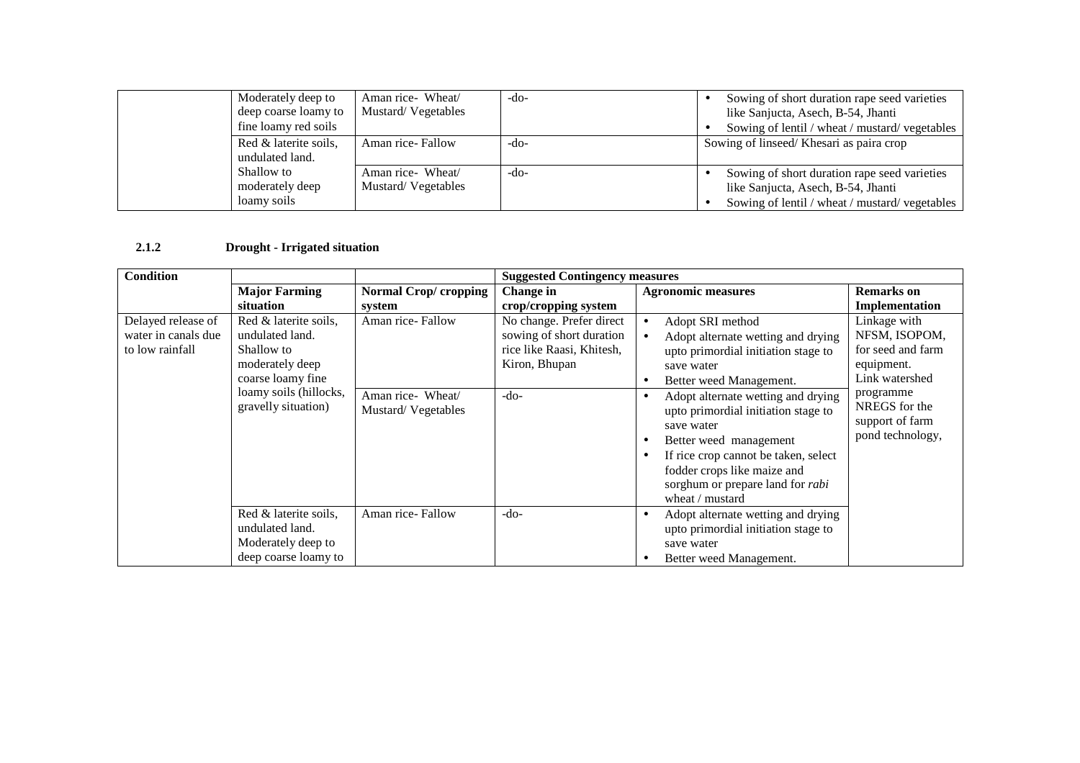| Moderately deep to<br>deep coarse loamy to<br>fine loamy red soils | Aman rice- Wheat/<br>Mustard/Vegetables | -do- | Sowing of short duration rape seed varieties<br>like Sanjucta, Asech, B-54, Jhanti<br>Sowing of lentil / wheat / mustard/ vegetables |
|--------------------------------------------------------------------|-----------------------------------------|------|--------------------------------------------------------------------------------------------------------------------------------------|
| Red & laterite soils,<br>undulated land.                           | Aman rice-Fallow                        | -do- | Sowing of linseed/ Khesari as paira crop                                                                                             |
| Shallow to<br>moderately deep<br>loamy soils                       | Aman rice- Wheat/<br>Mustard/Vegetables | -do- | Sowing of short duration rape seed varieties<br>like Sanjucta, Asech, B-54, Jhanti<br>Sowing of lentil / wheat / mustard/vegetables  |

#### **2.1.2Drought - Irrigated situation**

| <b>Condition</b>                                             |                                                                                                                                                 |                                                             | <b>Suggested Contingency measures</b>                                                                        |                                                                                                                                                                                                                                                                                                                                                                                                                                              |                                                                                                                                                         |  |
|--------------------------------------------------------------|-------------------------------------------------------------------------------------------------------------------------------------------------|-------------------------------------------------------------|--------------------------------------------------------------------------------------------------------------|----------------------------------------------------------------------------------------------------------------------------------------------------------------------------------------------------------------------------------------------------------------------------------------------------------------------------------------------------------------------------------------------------------------------------------------------|---------------------------------------------------------------------------------------------------------------------------------------------------------|--|
|                                                              | <b>Major Farming</b>                                                                                                                            | <b>Normal Crop/cropping</b>                                 | Change in                                                                                                    | <b>Agronomic measures</b>                                                                                                                                                                                                                                                                                                                                                                                                                    | <b>Remarks</b> on                                                                                                                                       |  |
|                                                              | situation                                                                                                                                       | system                                                      | crop/cropping system                                                                                         |                                                                                                                                                                                                                                                                                                                                                                                                                                              | Implementation                                                                                                                                          |  |
| Delayed release of<br>water in canals due<br>to low rainfall | Red & laterite soils,<br>undulated land.<br>Shallow to<br>moderately deep<br>coarse loamy fine<br>loamy soils (hillocks,<br>gravelly situation) | Aman rice-Fallow<br>Aman rice- Wheat/<br>Mustard/Vegetables | No change. Prefer direct<br>sowing of short duration<br>rice like Raasi, Khitesh,<br>Kiron, Bhupan<br>$-do-$ | Adopt SRI method<br>$\bullet$<br>Adopt alternate wetting and drying<br>upto primordial initiation stage to<br>save water<br>Better weed Management.<br>$\bullet$<br>Adopt alternate wetting and drying<br>٠<br>upto primordial initiation stage to<br>save water<br>Better weed management<br>$\bullet$<br>If rice crop cannot be taken, select<br>٠<br>fodder crops like maize and<br>sorghum or prepare land for rabi<br>wheat $/$ mustard | Linkage with<br>NFSM, ISOPOM,<br>for seed and farm<br>equipment.<br>Link watershed<br>programme<br>NREGS for the<br>support of farm<br>pond technology, |  |
|                                                              | Red & laterite soils,<br>undulated land.<br>Moderately deep to<br>deep coarse loamy to                                                          | Aman rice-Fallow                                            | $-do-$                                                                                                       | Adopt alternate wetting and drying<br>٠<br>upto primordial initiation stage to<br>save water<br>Better weed Management.<br>٠                                                                                                                                                                                                                                                                                                                 |                                                                                                                                                         |  |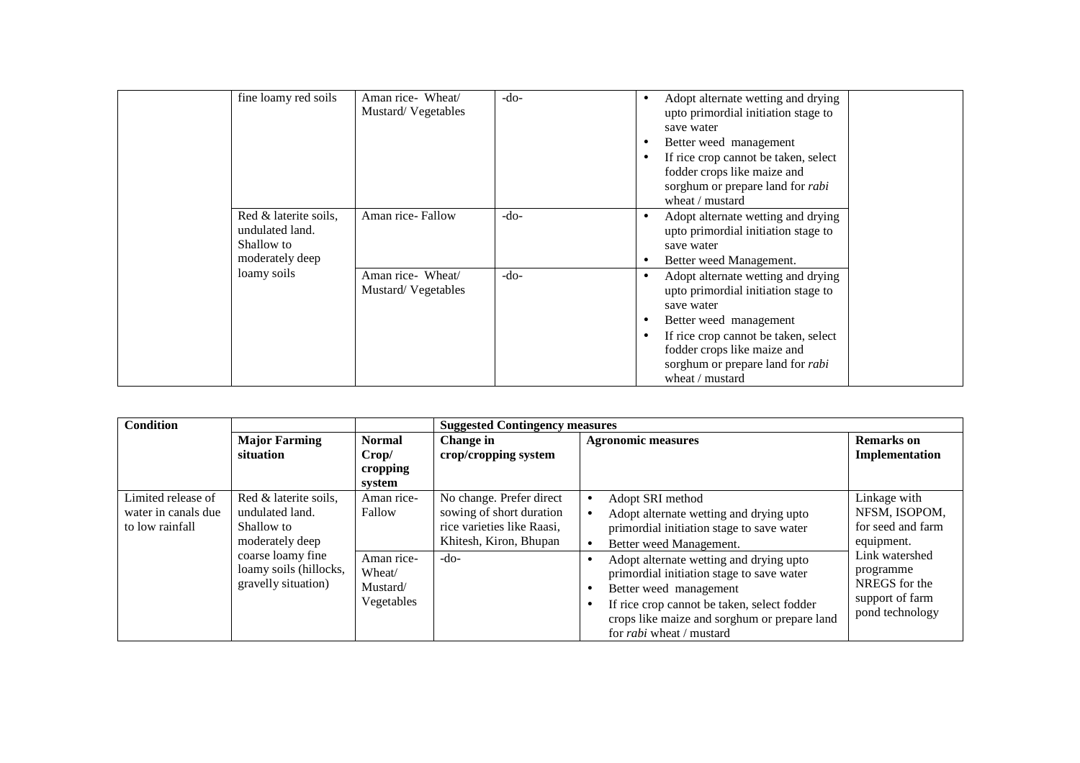| fine loamy red soils                                                      | Aman rice- Wheat/<br>Mustard/Vegetables | $-do-$ | Adopt alternate wetting and drying<br>$\bullet$<br>upto primordial initiation stage to<br>save water<br>Better weed management<br>$\bullet$<br>If rice crop cannot be taken, select<br>$\bullet$<br>fodder crops like maize and<br>sorghum or prepare land for <i>rabi</i><br>wheat $/$ mustard |
|---------------------------------------------------------------------------|-----------------------------------------|--------|-------------------------------------------------------------------------------------------------------------------------------------------------------------------------------------------------------------------------------------------------------------------------------------------------|
| Red & laterite soils,<br>undulated land.<br>Shallow to<br>moderately deep | Aman rice-Fallow                        | $-do-$ | Adopt alternate wetting and drying<br>$\bullet$<br>upto primordial initiation stage to<br>save water<br>Better weed Management.<br>$\bullet$                                                                                                                                                    |
| loamy soils                                                               | Aman rice- Wheat/<br>Mustard/Vegetables | $-do-$ | Adopt alternate wetting and drying<br>$\bullet$<br>upto primordial initiation stage to<br>save water<br>Better weed management<br>$\bullet$<br>If rice crop cannot be taken, select<br>$\bullet$<br>fodder crops like maize and<br>sorghum or prepare land for <i>rabi</i><br>wheat / mustard   |

| <b>Condition</b>    |                        |               | <b>Suggested Contingency measures</b> |                                              |                   |
|---------------------|------------------------|---------------|---------------------------------------|----------------------------------------------|-------------------|
|                     | <b>Major Farming</b>   | <b>Normal</b> | Change in                             | <b>Agronomic measures</b>                    | <b>Remarks</b> on |
|                     | situation              | Crop/         | crop/cropping system                  |                                              | Implementation    |
|                     |                        | cropping      |                                       |                                              |                   |
|                     |                        | system        |                                       |                                              |                   |
| Limited release of  | Red & laterite soils,  | Aman rice-    | No change. Prefer direct              | Adopt SRI method<br>$\bullet$                | Linkage with      |
| water in canals due | undulated land.        | Fallow        | sowing of short duration              | Adopt alternate wetting and drying upto      | NFSM, ISOPOM,     |
| to low rainfall     | Shallow to             |               | rice varieties like Raasi,            | primordial initiation stage to save water    | for seed and farm |
|                     | moderately deep        |               | Khitesh, Kiron, Bhupan                | Better weed Management.                      | equipment.        |
|                     | coarse loamy fine      | Aman rice-    | $-do-$                                | Adopt alternate wetting and drying upto      | Link watershed    |
|                     | loamy soils (hillocks, | Wheat/        |                                       | primordial initiation stage to save water    | programme         |
|                     | gravelly situation)    | Mustard/      |                                       | Better weed management<br>$\bullet$          | NREGS for the     |
|                     |                        | Vegetables    |                                       | If rice crop cannot be taken, select fodder  | support of farm   |
|                     |                        |               |                                       | crops like maize and sorghum or prepare land | pond technology   |
|                     |                        |               |                                       | for <i>rabi</i> wheat / mustard              |                   |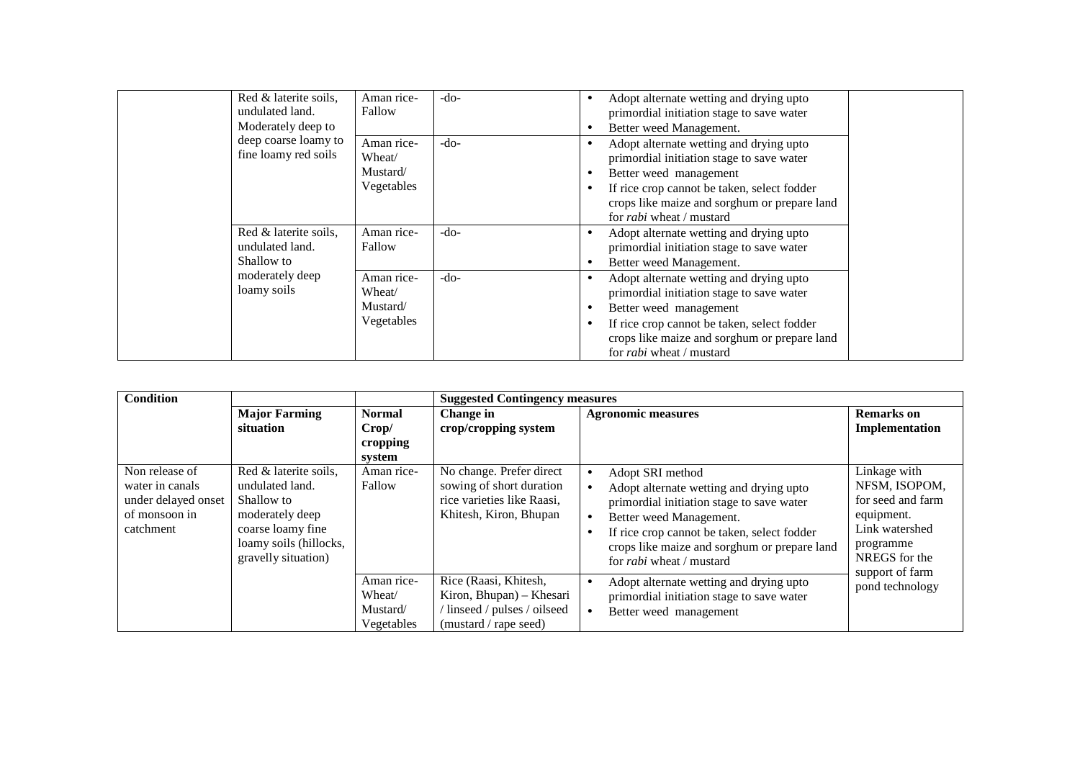| Red & laterite soils,<br>undulated land.               | Aman rice-<br>Fallow                           | -do-   | $\bullet$           | Adopt alternate wetting and drying upto<br>primordial initiation stage to save water                                                                                                                                                             |  |
|--------------------------------------------------------|------------------------------------------------|--------|---------------------|--------------------------------------------------------------------------------------------------------------------------------------------------------------------------------------------------------------------------------------------------|--|
| Moderately deep to                                     |                                                |        | ٠                   | Better weed Management.                                                                                                                                                                                                                          |  |
| deep coarse loamy to<br>fine loamy red soils           | Aman rice-<br>Wheat/<br>Mustard/<br>Vegetables | $-do-$ | ٠<br>٠<br>$\bullet$ | Adopt alternate wetting and drying upto<br>primordial initiation stage to save water<br>Better weed management<br>If rice crop cannot be taken, select fodder<br>crops like maize and sorghum or prepare land<br>for <i>rabi</i> wheat / mustard |  |
| Red & laterite soils,<br>undulated land.<br>Shallow to | Aman rice-<br>Fallow                           | $-do-$ | ٠<br>٠              | Adopt alternate wetting and drying upto<br>primordial initiation stage to save water<br>Better weed Management.                                                                                                                                  |  |
| moderately deep<br>loamy soils                         | Aman rice-<br>Wheat/<br>Mustard/<br>Vegetables | $-do-$ | ٠<br>٠<br>٠         | Adopt alternate wetting and drying upto<br>primordial initiation stage to save water<br>Better weed management<br>If rice crop cannot be taken, select fodder<br>crops like maize and sorghum or prepare land<br>for <i>rabi</i> wheat / mustard |  |

| <b>Condition</b>                                                                       |                                                                                                                                                 |                                                | <b>Suggested Contingency measures</b>                                                                        |                                                                                                                                                                                                                                                                       |                                                                                                                                     |
|----------------------------------------------------------------------------------------|-------------------------------------------------------------------------------------------------------------------------------------------------|------------------------------------------------|--------------------------------------------------------------------------------------------------------------|-----------------------------------------------------------------------------------------------------------------------------------------------------------------------------------------------------------------------------------------------------------------------|-------------------------------------------------------------------------------------------------------------------------------------|
|                                                                                        | <b>Major Farming</b><br>situation                                                                                                               | <b>Normal</b><br>Crop/<br>cropping<br>system   | Change in<br>crop/cropping system                                                                            | <b>Agronomic measures</b>                                                                                                                                                                                                                                             | <b>Remarks</b> on<br>Implementation                                                                                                 |
| Non release of<br>water in canals<br>under delayed onset<br>of monsoon in<br>catchment | Red & laterite soils,<br>undulated land.<br>Shallow to<br>moderately deep<br>coarse loamy fine<br>loamy soils (hillocks,<br>gravelly situation) | Aman rice-<br>Fallow                           | No change. Prefer direct<br>sowing of short duration<br>rice varieties like Raasi,<br>Khitesh, Kiron, Bhupan | Adopt SRI method<br>Adopt alternate wetting and drying upto<br>primordial initiation stage to save water<br>Better weed Management.<br>If rice crop cannot be taken, select fodder<br>crops like maize and sorghum or prepare land<br>for <i>rabi</i> wheat / mustard | Linkage with<br>NFSM, ISOPOM,<br>for seed and farm<br>equipment.<br>Link watershed<br>programme<br>NREGS for the<br>support of farm |
|                                                                                        |                                                                                                                                                 | Aman rice-<br>Wheat/<br>Mustard/<br>Vegetables | Rice (Raasi, Khitesh,<br>Kiron, Bhupan) – Khesari<br>linseed / pulses / oilseed<br>(mustard / rape seed)     | Adopt alternate wetting and drying upto<br>$\bullet$<br>primordial initiation stage to save water<br>Better weed management                                                                                                                                           | pond technology                                                                                                                     |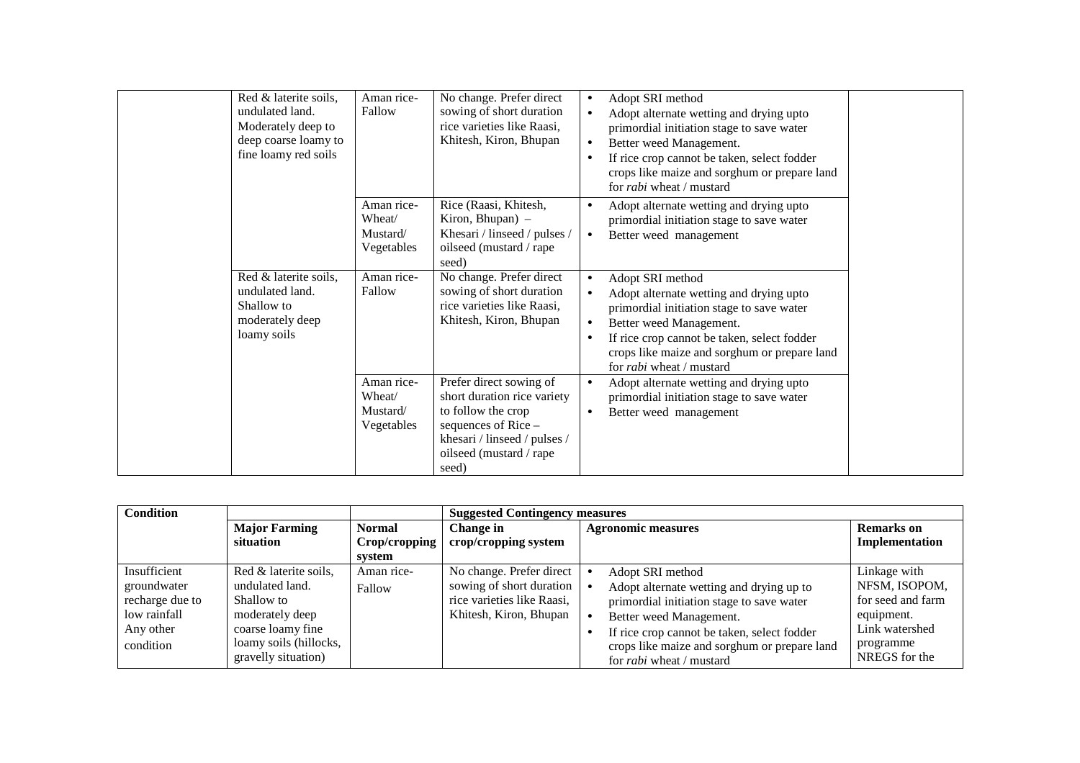| Red & laterite soils,<br>undulated land.<br>Moderately deep to<br>deep coarse loamy to<br>fine loamy red soils | Aman rice-<br>Fallow                           | No change. Prefer direct<br>sowing of short duration<br>rice varieties like Raasi,<br>Khitesh, Kiron, Bhupan                                                            | Adopt SRI method<br>$\bullet$<br>Adopt alternate wetting and drying upto<br>primordial initiation stage to save water<br>Better weed Management.<br>$\bullet$<br>If rice crop cannot be taken, select fodder<br>$\bullet$<br>crops like maize and sorghum or prepare land<br>for <i>rabi</i> wheat / mustard              |
|----------------------------------------------------------------------------------------------------------------|------------------------------------------------|-------------------------------------------------------------------------------------------------------------------------------------------------------------------------|---------------------------------------------------------------------------------------------------------------------------------------------------------------------------------------------------------------------------------------------------------------------------------------------------------------------------|
|                                                                                                                | Aman rice-<br>Wheat/<br>Mustard/<br>Vegetables | Rice (Raasi, Khitesh,<br>Kiron, Bhupan) -<br>Khesari / linseed / pulses /<br>oilseed (mustard / rape<br>seed)                                                           | Adopt alternate wetting and drying upto<br>$\bullet$<br>primordial initiation stage to save water<br>Better weed management<br>$\bullet$                                                                                                                                                                                  |
| Red & laterite soils,<br>undulated land.<br>Shallow to<br>moderately deep<br>loamy soils                       | Aman rice-<br>Fallow                           | No change. Prefer direct<br>sowing of short duration<br>rice varieties like Raasi,<br>Khitesh, Kiron, Bhupan                                                            | Adopt SRI method<br>$\bullet$<br>Adopt alternate wetting and drying upto<br>$\bullet$<br>primordial initiation stage to save water<br>Better weed Management.<br>$\bullet$<br>If rice crop cannot be taken, select fodder<br>$\bullet$<br>crops like maize and sorghum or prepare land<br>for <i>rabi</i> wheat / mustard |
|                                                                                                                | Aman rice-<br>Wheat/<br>Mustard/<br>Vegetables | Prefer direct sowing of<br>short duration rice variety<br>to follow the crop<br>sequences of Rice -<br>khesari / linseed / pulses /<br>oilseed (mustard / rape<br>seed) | Adopt alternate wetting and drying upto<br>$\bullet$<br>primordial initiation stage to save water<br>Better weed management<br>$\bullet$                                                                                                                                                                                  |

| <b>Condition</b>                                                                         |                                                                                                                                                 |                                | <b>Suggested Contingency measures</b>                                                                        |                                                                                                                                                                                                                                                                        |                                                                                                                  |
|------------------------------------------------------------------------------------------|-------------------------------------------------------------------------------------------------------------------------------------------------|--------------------------------|--------------------------------------------------------------------------------------------------------------|------------------------------------------------------------------------------------------------------------------------------------------------------------------------------------------------------------------------------------------------------------------------|------------------------------------------------------------------------------------------------------------------|
|                                                                                          | <b>Major Farming</b><br>situation                                                                                                               | <b>Normal</b><br>Crop/cropping | Change in<br>crop/cropping system                                                                            | <b>Agronomic measures</b>                                                                                                                                                                                                                                              | <b>Remarks</b> on<br>Implementation                                                                              |
|                                                                                          |                                                                                                                                                 | system                         |                                                                                                              |                                                                                                                                                                                                                                                                        |                                                                                                                  |
| Insufficient<br>groundwater<br>recharge due to<br>low rainfall<br>Any other<br>condition | Red & laterite soils,<br>undulated land.<br>Shallow to<br>moderately deep<br>coarse loamy fine<br>loamy soils (hillocks,<br>gravelly situation) | Aman rice-<br>Fallow           | No change. Prefer direct<br>sowing of short duration<br>rice varieties like Raasi,<br>Khitesh, Kiron, Bhupan | Adopt SRI method<br>Adopt alternate wetting and drying up to<br>primordial initiation stage to save water<br>Better weed Management.<br>If rice crop cannot be taken, select fodder<br>crops like maize and sorghum or prepare land<br>for <i>rabi</i> wheat / mustard | Linkage with<br>NFSM, ISOPOM,<br>for seed and farm<br>equipment.<br>Link watershed<br>programme<br>NREGS for the |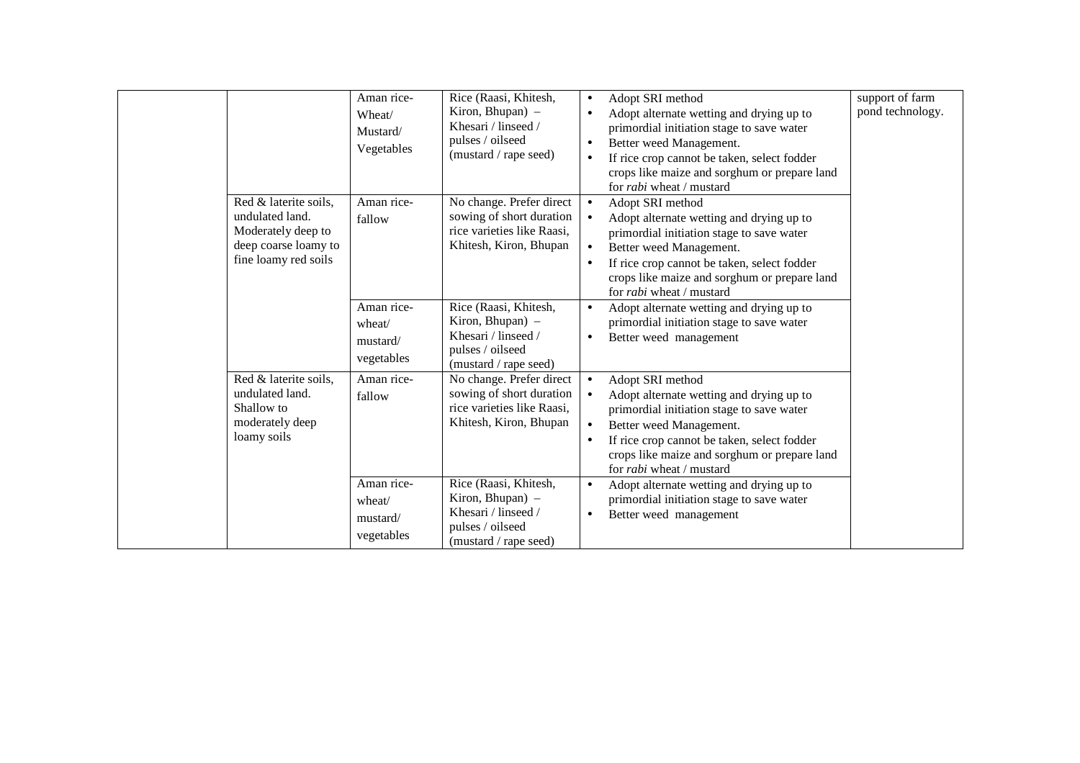|                                                                                                                | Aman rice-<br>Wheat/<br>Mustard/<br>Vegetables | Rice (Raasi, Khitesh,<br>Kiron, Bhupan) -<br>Khesari / linseed /<br>pulses / oilseed<br>(mustard / rape seed) | support of farm<br>Adopt SRI method<br>$\bullet$<br>pond technology.<br>Adopt alternate wetting and drying up to<br>$\bullet$<br>primordial initiation stage to save water<br>Better weed Management.<br>$\bullet$<br>If rice crop cannot be taken, select fodder<br>$\bullet$<br>crops like maize and sorghum or prepare land<br>for <i>rabi</i> wheat / mustard |
|----------------------------------------------------------------------------------------------------------------|------------------------------------------------|---------------------------------------------------------------------------------------------------------------|-------------------------------------------------------------------------------------------------------------------------------------------------------------------------------------------------------------------------------------------------------------------------------------------------------------------------------------------------------------------|
| Red & laterite soils,<br>undulated land.<br>Moderately deep to<br>deep coarse loamy to<br>fine loamy red soils | Aman rice-<br>fallow                           | No change. Prefer direct<br>sowing of short duration<br>rice varieties like Raasi,<br>Khitesh, Kiron, Bhupan  | Adopt SRI method<br>$\bullet$<br>Adopt alternate wetting and drying up to<br>primordial initiation stage to save water<br>Better weed Management.<br>$\bullet$<br>If rice crop cannot be taken, select fodder<br>$\bullet$<br>crops like maize and sorghum or prepare land<br>for <i>rabi</i> wheat / mustard                                                     |
|                                                                                                                | Aman rice-<br>wheat/<br>mustard/<br>vegetables | Rice (Raasi, Khitesh,<br>Kiron, Bhupan) –<br>Khesari / linseed /<br>pulses / oilseed<br>(mustard / rape seed) | Adopt alternate wetting and drying up to<br>$\bullet$<br>primordial initiation stage to save water<br>Better weed management<br>$\bullet$                                                                                                                                                                                                                         |
| Red & laterite soils,<br>undulated land.<br>Shallow to<br>moderately deep<br>loamy soils                       | Aman rice-<br>fallow                           | No change. Prefer direct<br>sowing of short duration<br>rice varieties like Raasi,<br>Khitesh, Kiron, Bhupan  | Adopt SRI method<br>$\bullet$<br>Adopt alternate wetting and drying up to<br>$\bullet$<br>primordial initiation stage to save water<br>Better weed Management.<br>$\bullet$<br>If rice crop cannot be taken, select fodder<br>$\bullet$<br>crops like maize and sorghum or prepare land<br>for <i>rabi</i> wheat / mustard                                        |
|                                                                                                                | Aman rice-<br>wheat/<br>mustard/<br>vegetables | Rice (Raasi, Khitesh,<br>Kiron, Bhupan) -<br>Khesari / linseed /<br>pulses / oilseed<br>(mustard / rape seed) | Adopt alternate wetting and drying up to<br>$\bullet$<br>primordial initiation stage to save water<br>Better weed management<br>$\bullet$                                                                                                                                                                                                                         |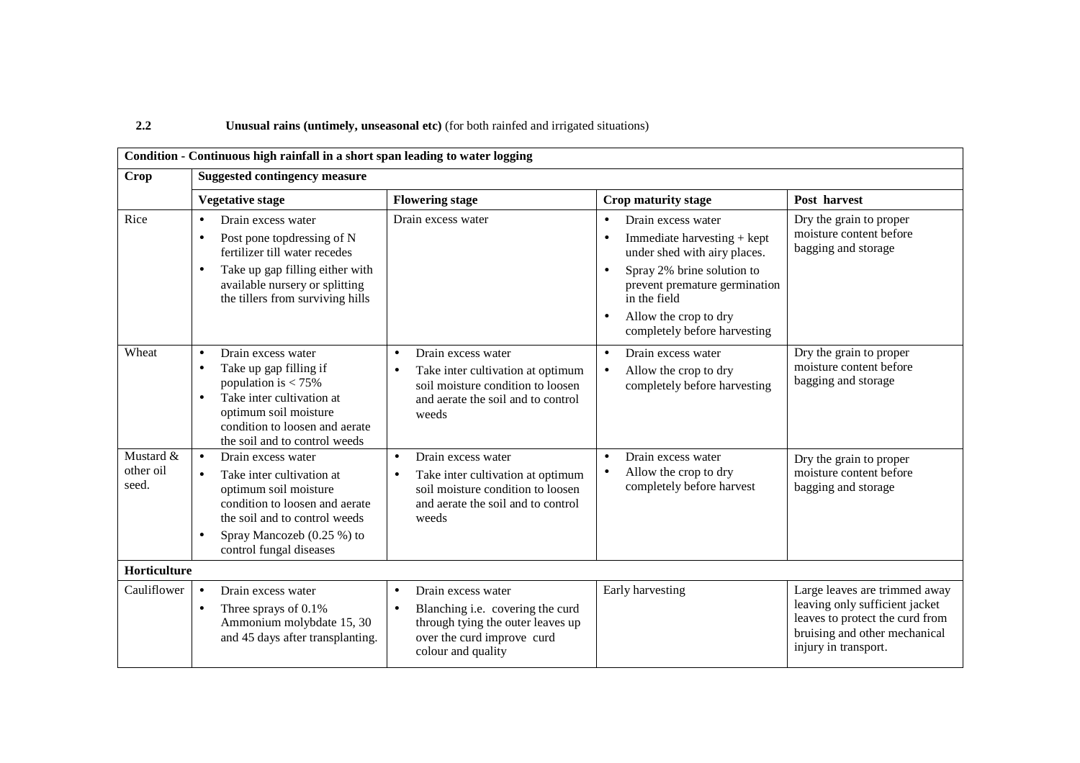### **Unusual rains (untimely, unseasonal etc)** (for both rainfed and irrigated situations)

|                                 | Condition - Continuous high rainfall in a short span leading to water logging                                                                                                                                                               |                                                                                                                                                                           |                                                                                                                                                                                                                                                     |                                                                                                                                                             |
|---------------------------------|---------------------------------------------------------------------------------------------------------------------------------------------------------------------------------------------------------------------------------------------|---------------------------------------------------------------------------------------------------------------------------------------------------------------------------|-----------------------------------------------------------------------------------------------------------------------------------------------------------------------------------------------------------------------------------------------------|-------------------------------------------------------------------------------------------------------------------------------------------------------------|
| <b>Crop</b>                     | <b>Suggested contingency measure</b>                                                                                                                                                                                                        |                                                                                                                                                                           |                                                                                                                                                                                                                                                     |                                                                                                                                                             |
|                                 | <b>Flowering stage</b><br><b>Vegetative stage</b>                                                                                                                                                                                           |                                                                                                                                                                           | <b>Crop maturity stage</b>                                                                                                                                                                                                                          | Post harvest                                                                                                                                                |
| Rice                            | Drain excess water<br>$\bullet$<br>Post pone top dressing of N<br>$\bullet$<br>fertilizer till water recedes<br>Take up gap filling either with<br>$\bullet$<br>available nursery or splitting<br>the tillers from surviving hills          | Drain excess water                                                                                                                                                        | Drain excess water<br>$\bullet$<br>Immediate harvesting + kept<br>under shed with airy places.<br>Spray 2% brine solution to<br>prevent premature germination<br>in the field<br>Allow the crop to dry<br>$\bullet$<br>completely before harvesting | Dry the grain to proper<br>moisture content before<br>bagging and storage                                                                                   |
| Wheat                           | Drain excess water<br>$\bullet$<br>Take up gap filling if<br>$\bullet$<br>population is $< 75\%$<br>Take inter cultivation at<br>$\bullet$<br>optimum soil moisture<br>condition to loosen and aerate<br>the soil and to control weeds      | Drain excess water<br>$\bullet$<br>Take inter cultivation at optimum<br>$\bullet$<br>soil moisture condition to loosen<br>and aerate the soil and to control<br>weeds     | Drain excess water<br>$\bullet$<br>Allow the crop to dry<br>completely before harvesting                                                                                                                                                            | Dry the grain to proper<br>moisture content before<br>bagging and storage                                                                                   |
| Mustard &<br>other oil<br>seed. | Drain excess water<br>$\bullet$<br>Take inter cultivation at<br>$\bullet$<br>optimum soil moisture<br>condition to loosen and aerate<br>the soil and to control weeds<br>Spray Mancozeb (0.25 %) to<br>$\bullet$<br>control fungal diseases | Drain excess water<br>$\bullet$<br>Take inter cultivation at optimum<br>$\bullet$<br>soil moisture condition to loosen<br>and aerate the soil and to control<br>weeds     | Drain excess water<br>$\bullet$<br>Allow the crop to dry<br>completely before harvest                                                                                                                                                               | Dry the grain to proper<br>moisture content before<br>bagging and storage                                                                                   |
| Horticulture                    |                                                                                                                                                                                                                                             |                                                                                                                                                                           |                                                                                                                                                                                                                                                     |                                                                                                                                                             |
| Cauliflower                     | Drain excess water<br>$\bullet$<br>Three sprays of 0.1%<br>$\bullet$<br>Ammonium molybdate 15, 30<br>and 45 days after transplanting.                                                                                                       | Drain excess water<br>$\bullet$<br>Blanching i.e. covering the curd<br>$\bullet$<br>through tying the outer leaves up<br>over the curd improve curd<br>colour and quality | Early harvesting                                                                                                                                                                                                                                    | Large leaves are trimmed away<br>leaving only sufficient jacket<br>leaves to protect the curd from<br>bruising and other mechanical<br>injury in transport. |

**2.2**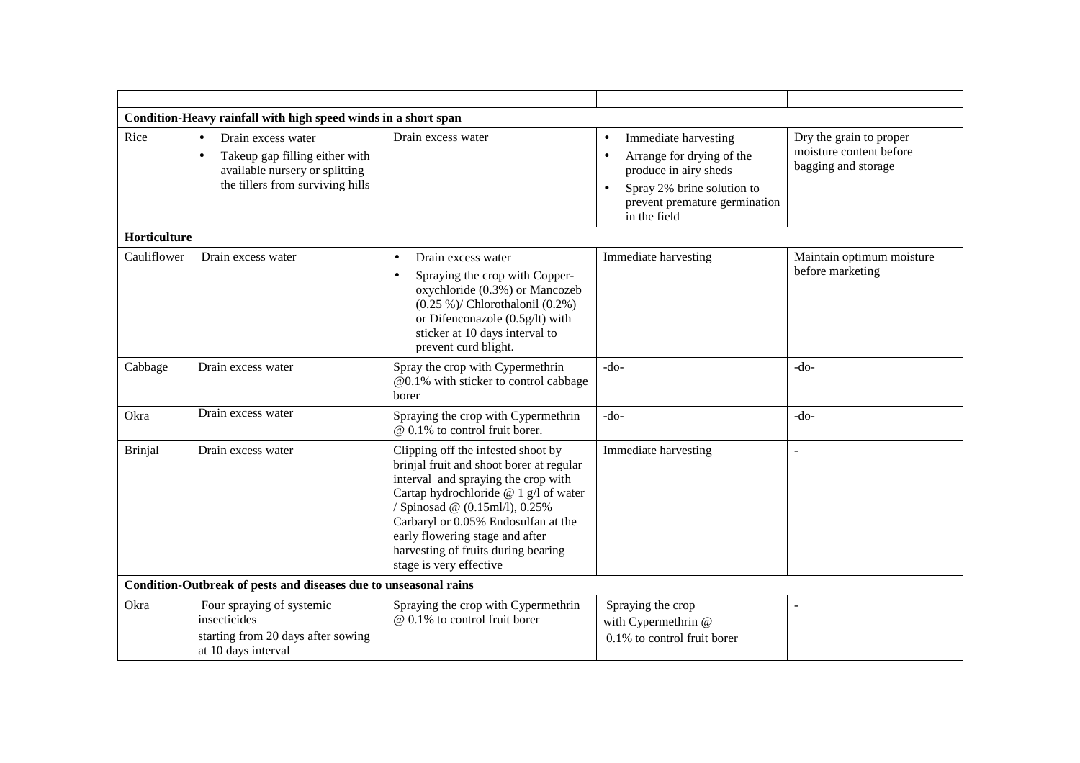|                     | Condition-Heavy rainfall with high speed winds in a short span                                                                                       |                                                                                                                                                                                                                                                                                                                                              |                                                                                                                                                                        |                                                                           |
|---------------------|------------------------------------------------------------------------------------------------------------------------------------------------------|----------------------------------------------------------------------------------------------------------------------------------------------------------------------------------------------------------------------------------------------------------------------------------------------------------------------------------------------|------------------------------------------------------------------------------------------------------------------------------------------------------------------------|---------------------------------------------------------------------------|
| Rice                | Drain excess water<br>$\bullet$<br>Takeup gap filling either with<br>$\bullet$<br>available nursery or splitting<br>the tillers from surviving hills | Drain excess water                                                                                                                                                                                                                                                                                                                           | Immediate harvesting<br>$\bullet$<br>Arrange for drying of the<br>produce in airy sheds<br>Spray 2% brine solution to<br>prevent premature germination<br>in the field | Dry the grain to proper<br>moisture content before<br>bagging and storage |
| <b>Horticulture</b> |                                                                                                                                                      |                                                                                                                                                                                                                                                                                                                                              |                                                                                                                                                                        |                                                                           |
| Cauliflower         | Drain excess water                                                                                                                                   | Drain excess water<br>$\bullet$<br>Spraying the crop with Copper-<br>$\bullet$<br>oxychloride (0.3%) or Mancozeb<br>$(0.25\%)$ / Chlorothalonil $(0.2\%)$<br>or Difenconazole (0.5g/lt) with<br>sticker at 10 days interval to<br>prevent curd blight.                                                                                       | Immediate harvesting                                                                                                                                                   | Maintain optimum moisture<br>before marketing                             |
| Cabbage             | Drain excess water                                                                                                                                   | Spray the crop with Cypermethrin<br>@0.1% with sticker to control cabbage<br>borer                                                                                                                                                                                                                                                           | $-do-$                                                                                                                                                                 | $-do-$                                                                    |
| Okra                | Drain excess water                                                                                                                                   | Spraying the crop with Cypermethrin<br>@ 0.1% to control fruit borer.                                                                                                                                                                                                                                                                        | $-do-$                                                                                                                                                                 | $-do-$                                                                    |
| <b>Brinjal</b>      | Drain excess water                                                                                                                                   | Clipping off the infested shoot by<br>brinjal fruit and shoot borer at regular<br>interval and spraying the crop with<br>Cartap hydrochloride @ 1 g/l of water<br>/ Spinosad @ (0.15ml/l), 0.25%<br>Carbaryl or 0.05% Endosulfan at the<br>early flowering stage and after<br>harvesting of fruits during bearing<br>stage is very effective | Immediate harvesting                                                                                                                                                   | $\overline{a}$                                                            |
|                     | Condition-Outbreak of pests and diseases due to unseasonal rains                                                                                     |                                                                                                                                                                                                                                                                                                                                              |                                                                                                                                                                        |                                                                           |
| Okra                | Four spraying of systemic<br>insecticides<br>starting from 20 days after sowing<br>at 10 days interval                                               | Spraying the crop with Cypermethrin<br>@ 0.1% to control fruit borer                                                                                                                                                                                                                                                                         | Spraying the crop<br>with Cypermethrin @<br>0.1% to control fruit borer                                                                                                |                                                                           |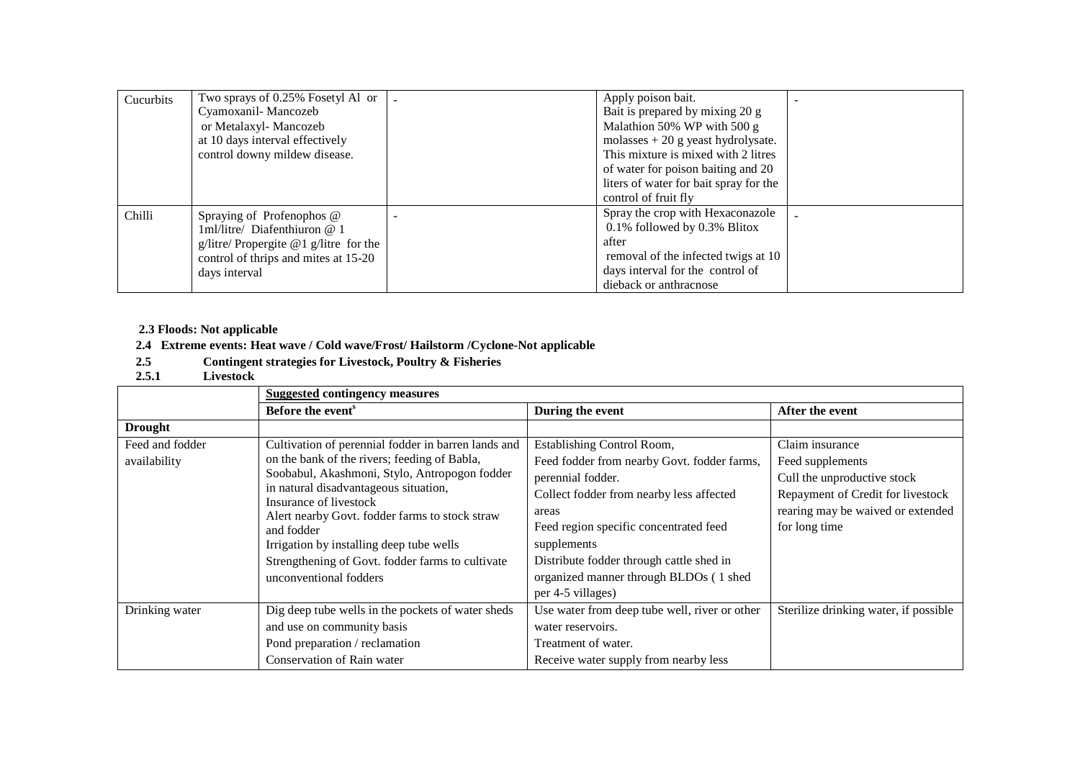| Cucurbits | Two sprays of 0.25% Fosetyl Al or      | Apply poison bait.                     |  |
|-----------|----------------------------------------|----------------------------------------|--|
|           | Cyamoxanil-Mancozeb                    | Bait is prepared by mixing 20 g        |  |
|           | or Metalaxyl-Mancozeb                  | Malathion 50% WP with 500 g            |  |
|           | at 10 days interval effectively        | molasses $+20$ g yeast hydrolysate.    |  |
|           | control downy mildew disease.          | This mixture is mixed with 2 litres    |  |
|           |                                        | of water for poison baiting and 20     |  |
|           |                                        | liters of water for bait spray for the |  |
|           |                                        | control of fruit fly                   |  |
| Chilli    | Spraying of Profenophos @              | Spray the crop with Hexaconazole       |  |
|           | 1ml/litre/ Diafenthiuron @ 1           | $0.1\%$ followed by 0.3% Blitox        |  |
|           | g/litre/ Propergite @1 g/litre for the | after                                  |  |
|           | control of thrips and mites at 15-20   | removal of the infected twigs at 10    |  |
|           | days interval                          | days interval for the control of       |  |
|           |                                        | dieback or anthracnose                 |  |

# **2.3 Floods: Not applicable**

# **2.4 Extreme events: Heat wave / Cold wave/Frost/ Hailstorm /Cyclone-Not applicable**

- **2.5Contingent strategies for Livestock, Poultry & Fisheries 2.5.1 Livestock**
- 

|                                 | <b>Suggested contingency measures</b>                                                                                                                                                                                                                                                                                                                                                                             |                                                                                                                                                                                                                                                                                                                         |                                                                                                                                                               |
|---------------------------------|-------------------------------------------------------------------------------------------------------------------------------------------------------------------------------------------------------------------------------------------------------------------------------------------------------------------------------------------------------------------------------------------------------------------|-------------------------------------------------------------------------------------------------------------------------------------------------------------------------------------------------------------------------------------------------------------------------------------------------------------------------|---------------------------------------------------------------------------------------------------------------------------------------------------------------|
|                                 | Before the event <sup>s</sup>                                                                                                                                                                                                                                                                                                                                                                                     | During the event                                                                                                                                                                                                                                                                                                        | After the event                                                                                                                                               |
| <b>Drought</b>                  |                                                                                                                                                                                                                                                                                                                                                                                                                   |                                                                                                                                                                                                                                                                                                                         |                                                                                                                                                               |
| Feed and fodder<br>availability | Cultivation of perennial fodder in barren lands and<br>on the bank of the rivers; feeding of Babla,<br>Soobabul, Akashmoni, Stylo, Antropogon fodder<br>in natural disadvantageous situation,<br>Insurance of livestock<br>Alert nearby Govt. fodder farms to stock straw<br>and fodder<br>Irrigation by installing deep tube wells<br>Strengthening of Govt. fodder farms to cultivate<br>unconventional fodders | Establishing Control Room,<br>Feed fodder from nearby Govt. fodder farms,<br>perennial fodder.<br>Collect fodder from nearby less affected<br>areas<br>Feed region specific concentrated feed<br>supplements<br>Distribute fodder through cattle shed in<br>organized manner through BLDOs (1 shed<br>per 4-5 villages) | Claim insurance<br>Feed supplements<br>Cull the unproductive stock<br>Repayment of Credit for livestock<br>rearing may be waived or extended<br>for long time |
| Drinking water                  | Dig deep tube wells in the pockets of water sheds<br>and use on community basis<br>Pond preparation / reclamation                                                                                                                                                                                                                                                                                                 | Use water from deep tube well, river or other<br>water reservoirs.<br>Treatment of water.                                                                                                                                                                                                                               | Sterilize drinking water, if possible                                                                                                                         |
|                                 | Conservation of Rain water                                                                                                                                                                                                                                                                                                                                                                                        | Receive water supply from nearby less                                                                                                                                                                                                                                                                                   |                                                                                                                                                               |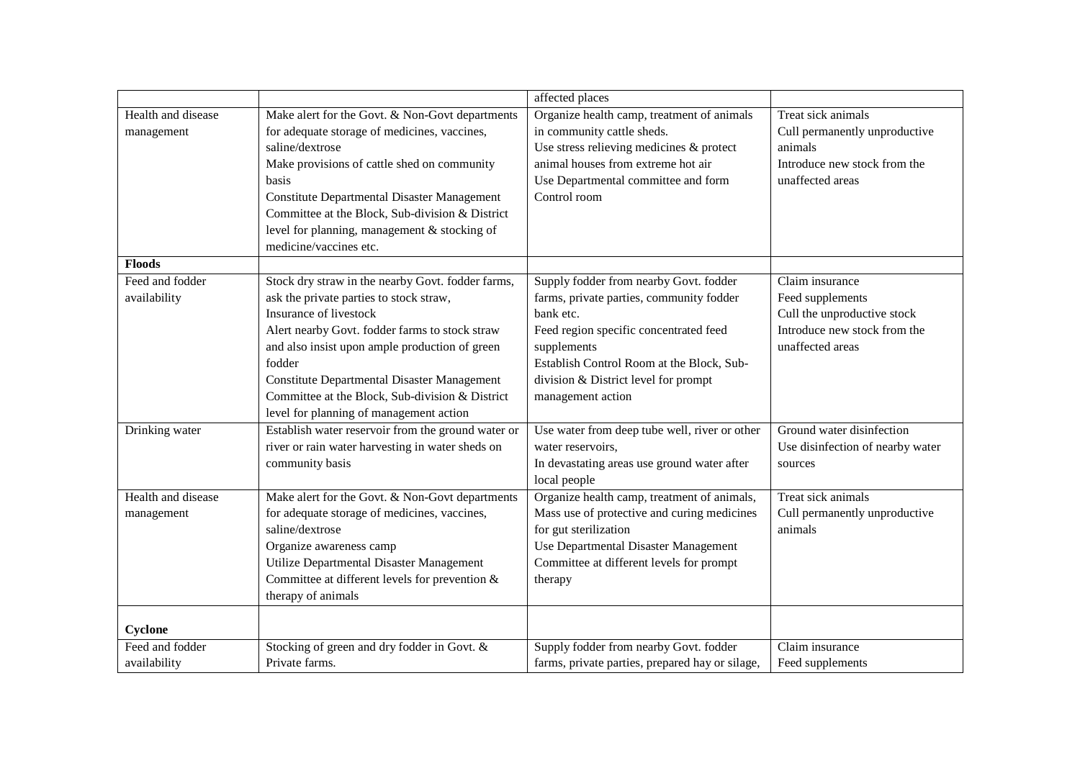|                    |                                                    | affected places                                 |                                  |
|--------------------|----------------------------------------------------|-------------------------------------------------|----------------------------------|
| Health and disease | Make alert for the Govt. & Non-Govt departments    | Organize health camp, treatment of animals      | Treat sick animals               |
| management         | for adequate storage of medicines, vaccines,       | in community cattle sheds.                      | Cull permanently unproductive    |
|                    | saline/dextrose                                    | Use stress relieving medicines & protect        | animals                          |
|                    | Make provisions of cattle shed on community        | animal houses from extreme hot air              | Introduce new stock from the     |
|                    | basis                                              | Use Departmental committee and form             | unaffected areas                 |
|                    | <b>Constitute Departmental Disaster Management</b> | Control room                                    |                                  |
|                    | Committee at the Block, Sub-division & District    |                                                 |                                  |
|                    | level for planning, management & stocking of       |                                                 |                                  |
|                    | medicine/vaccines etc.                             |                                                 |                                  |
| <b>Floods</b>      |                                                    |                                                 |                                  |
| Feed and fodder    | Stock dry straw in the nearby Govt. fodder farms,  | Supply fodder from nearby Govt. fodder          | Claim insurance                  |
| availability       | ask the private parties to stock straw,            | farms, private parties, community fodder        | Feed supplements                 |
|                    | Insurance of livestock                             | bank etc.                                       | Cull the unproductive stock      |
|                    | Alert nearby Govt. fodder farms to stock straw     | Feed region specific concentrated feed          | Introduce new stock from the     |
|                    | and also insist upon ample production of green     | supplements                                     | unaffected areas                 |
|                    | fodder                                             | Establish Control Room at the Block, Sub-       |                                  |
|                    | <b>Constitute Departmental Disaster Management</b> | division & District level for prompt            |                                  |
|                    | Committee at the Block, Sub-division & District    | management action                               |                                  |
|                    | level for planning of management action            |                                                 |                                  |
| Drinking water     | Establish water reservoir from the ground water or | Use water from deep tube well, river or other   | Ground water disinfection        |
|                    | river or rain water harvesting in water sheds on   | water reservoirs.                               | Use disinfection of nearby water |
|                    | community basis                                    | In devastating areas use ground water after     | sources                          |
|                    |                                                    | local people                                    |                                  |
| Health and disease | Make alert for the Govt. & Non-Govt departments    | Organize health camp, treatment of animals,     | Treat sick animals               |
| management         | for adequate storage of medicines, vaccines,       | Mass use of protective and curing medicines     | Cull permanently unproductive    |
|                    | saline/dextrose                                    | for gut sterilization                           | animals                          |
|                    | Organize awareness camp                            | Use Departmental Disaster Management            |                                  |
|                    | Utilize Departmental Disaster Management           | Committee at different levels for prompt        |                                  |
|                    | Committee at different levels for prevention &     | therapy                                         |                                  |
|                    | therapy of animals                                 |                                                 |                                  |
| Cyclone            |                                                    |                                                 |                                  |
| Feed and fodder    | Stocking of green and dry fodder in Govt. &        | Supply fodder from nearby Govt. fodder          | Claim insurance                  |
| availability       | Private farms.                                     | farms, private parties, prepared hay or silage, | Feed supplements                 |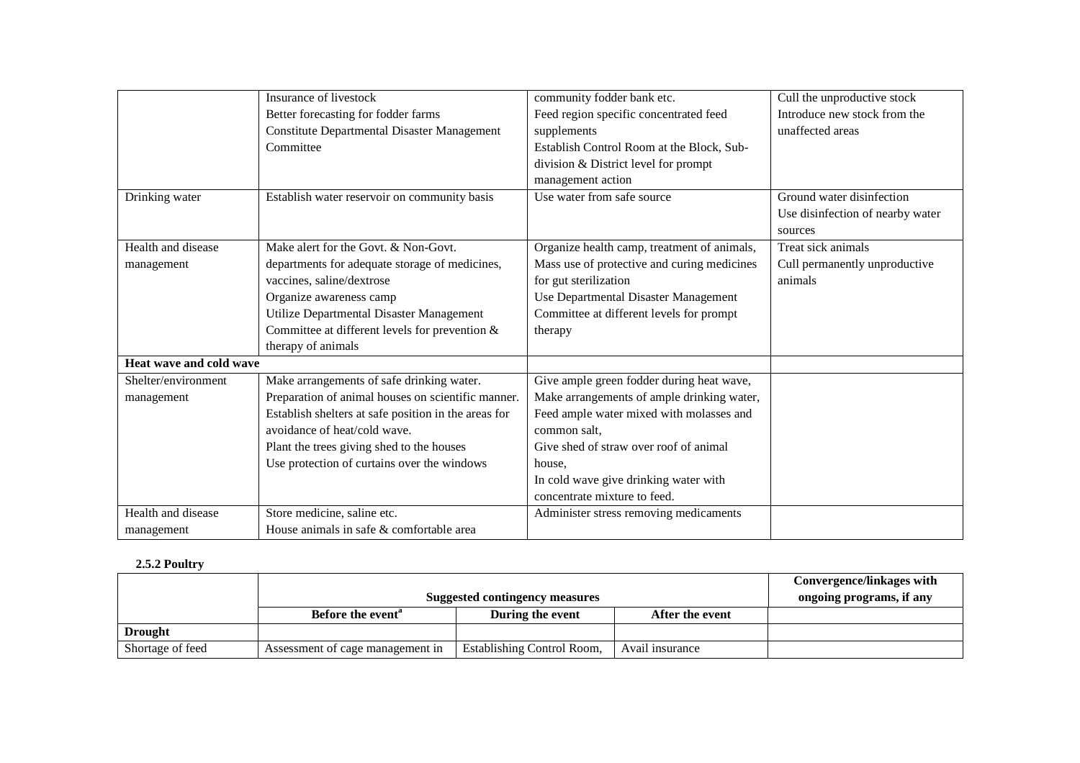|                         | Insurance of livestock                               | community fodder bank etc.                  | Cull the unproductive stock      |
|-------------------------|------------------------------------------------------|---------------------------------------------|----------------------------------|
|                         | Better forecasting for fodder farms                  | Feed region specific concentrated feed      | Introduce new stock from the     |
|                         | <b>Constitute Departmental Disaster Management</b>   | supplements                                 | unaffected areas                 |
|                         | Committee                                            | Establish Control Room at the Block, Sub-   |                                  |
|                         |                                                      | division & District level for prompt        |                                  |
|                         |                                                      | management action                           |                                  |
| Drinking water          | Establish water reservoir on community basis         | Use water from safe source                  | Ground water disinfection        |
|                         |                                                      |                                             | Use disinfection of nearby water |
|                         |                                                      |                                             | sources                          |
| Health and disease      | Make alert for the Govt. & Non-Govt.                 | Organize health camp, treatment of animals, | Treat sick animals               |
| management              | departments for adequate storage of medicines,       | Mass use of protective and curing medicines | Cull permanently unproductive    |
|                         | vaccines, saline/dextrose                            | for gut sterilization                       | animals                          |
|                         | Organize awareness camp                              | Use Departmental Disaster Management        |                                  |
|                         | Utilize Departmental Disaster Management             | Committee at different levels for prompt    |                                  |
|                         | Committee at different levels for prevention $&$     | therapy                                     |                                  |
|                         | therapy of animals                                   |                                             |                                  |
| Heat wave and cold wave |                                                      |                                             |                                  |
| Shelter/environment     | Make arrangements of safe drinking water.            | Give ample green fodder during heat wave,   |                                  |
| management              | Preparation of animal houses on scientific manner.   | Make arrangements of ample drinking water,  |                                  |
|                         | Establish shelters at safe position in the areas for | Feed ample water mixed with molasses and    |                                  |
|                         | avoidance of heat/cold wave.                         | common salt.                                |                                  |
|                         | Plant the trees giving shed to the houses            | Give shed of straw over roof of animal      |                                  |
|                         | Use protection of curtains over the windows          | house.                                      |                                  |
|                         |                                                      | In cold wave give drinking water with       |                                  |
|                         |                                                      | concentrate mixture to feed.                |                                  |
| Health and disease      | Store medicine, saline etc.                          | Administer stress removing medicaments      |                                  |
| management              | House animals in safe & comfortable area             |                                             |                                  |

# **2.5.2 Poultry**

|                  |                                  |                            |                 | Convergence/linkages with |
|------------------|----------------------------------|----------------------------|-----------------|---------------------------|
|                  | Suggested contingency measures   |                            |                 | ongoing programs, if any  |
|                  | Before the event <sup>"</sup>    | During the event           | After the event |                           |
| <b>Drought</b>   |                                  |                            |                 |                           |
| Shortage of feed | Assessment of cage management in | Establishing Control Room, | Avail insurance |                           |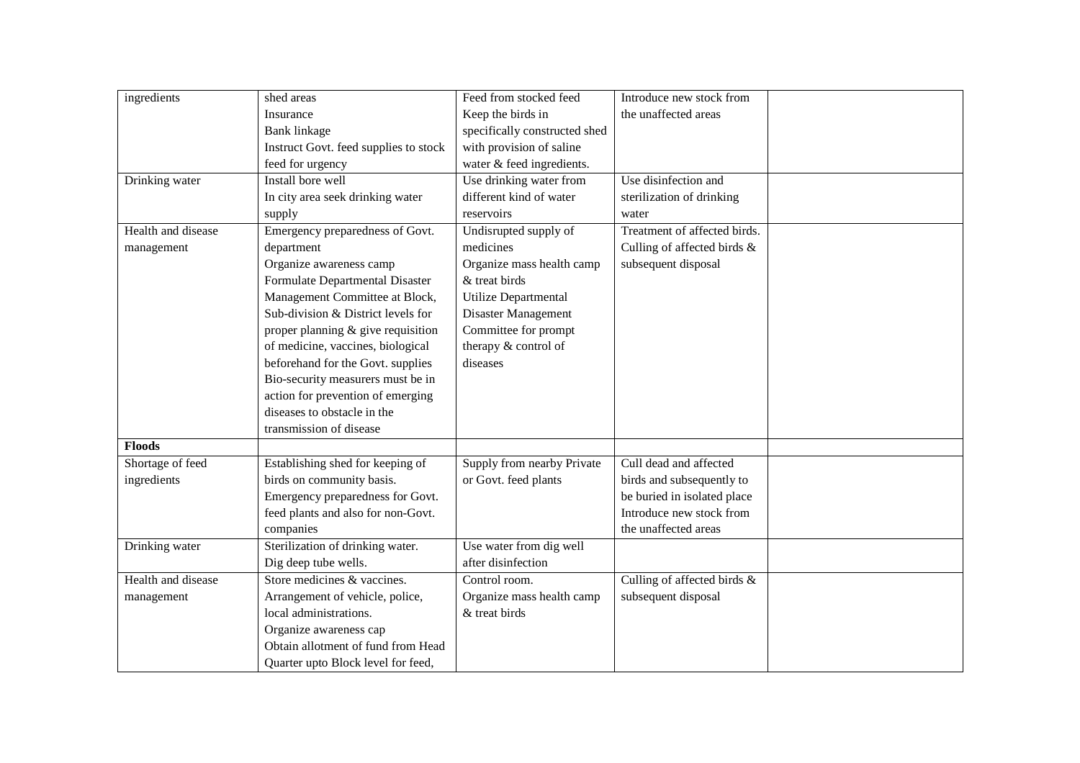| ingredients        | shed areas                            | Feed from stocked feed        | Introduce new stock from     |  |
|--------------------|---------------------------------------|-------------------------------|------------------------------|--|
|                    | Insurance                             | Keep the birds in             | the unaffected areas         |  |
|                    | Bank linkage                          | specifically constructed shed |                              |  |
|                    | Instruct Govt. feed supplies to stock | with provision of saline      |                              |  |
|                    | feed for urgency                      | water & feed ingredients.     |                              |  |
| Drinking water     | Install bore well                     | Use drinking water from       | Use disinfection and         |  |
|                    | In city area seek drinking water      | different kind of water       | sterilization of drinking    |  |
|                    | supply                                | reservoirs                    | water                        |  |
| Health and disease | Emergency preparedness of Govt.       | Undisrupted supply of         | Treatment of affected birds. |  |
| management         | department                            | medicines                     | Culling of affected birds &  |  |
|                    | Organize awareness camp               | Organize mass health camp     | subsequent disposal          |  |
|                    | Formulate Departmental Disaster       | & treat birds                 |                              |  |
|                    | Management Committee at Block,        | Utilize Departmental          |                              |  |
|                    | Sub-division & District levels for    | Disaster Management           |                              |  |
|                    | proper planning & give requisition    | Committee for prompt          |                              |  |
|                    | of medicine, vaccines, biological     | therapy & control of          |                              |  |
|                    | beforehand for the Govt. supplies     | diseases                      |                              |  |
|                    | Bio-security measurers must be in     |                               |                              |  |
|                    | action for prevention of emerging     |                               |                              |  |
|                    | diseases to obstacle in the           |                               |                              |  |
|                    | transmission of disease               |                               |                              |  |
| <b>Floods</b>      |                                       |                               |                              |  |
| Shortage of feed   | Establishing shed for keeping of      | Supply from nearby Private    | Cull dead and affected       |  |
| ingredients        | birds on community basis.             | or Govt. feed plants          | birds and subsequently to    |  |
|                    | Emergency preparedness for Govt.      |                               | be buried in isolated place  |  |
|                    | feed plants and also for non-Govt.    |                               | Introduce new stock from     |  |
|                    | companies                             |                               | the unaffected areas         |  |
| Drinking water     | Sterilization of drinking water.      | Use water from dig well       |                              |  |
|                    | Dig deep tube wells.                  | after disinfection            |                              |  |
| Health and disease | Store medicines & vaccines.           | Control room.                 | Culling of affected birds &  |  |
| management         | Arrangement of vehicle, police,       | Organize mass health camp     | subsequent disposal          |  |
|                    | local administrations.                | & treat birds                 |                              |  |
|                    | Organize awareness cap                |                               |                              |  |
|                    | Obtain allotment of fund from Head    |                               |                              |  |
|                    | Quarter upto Block level for feed,    |                               |                              |  |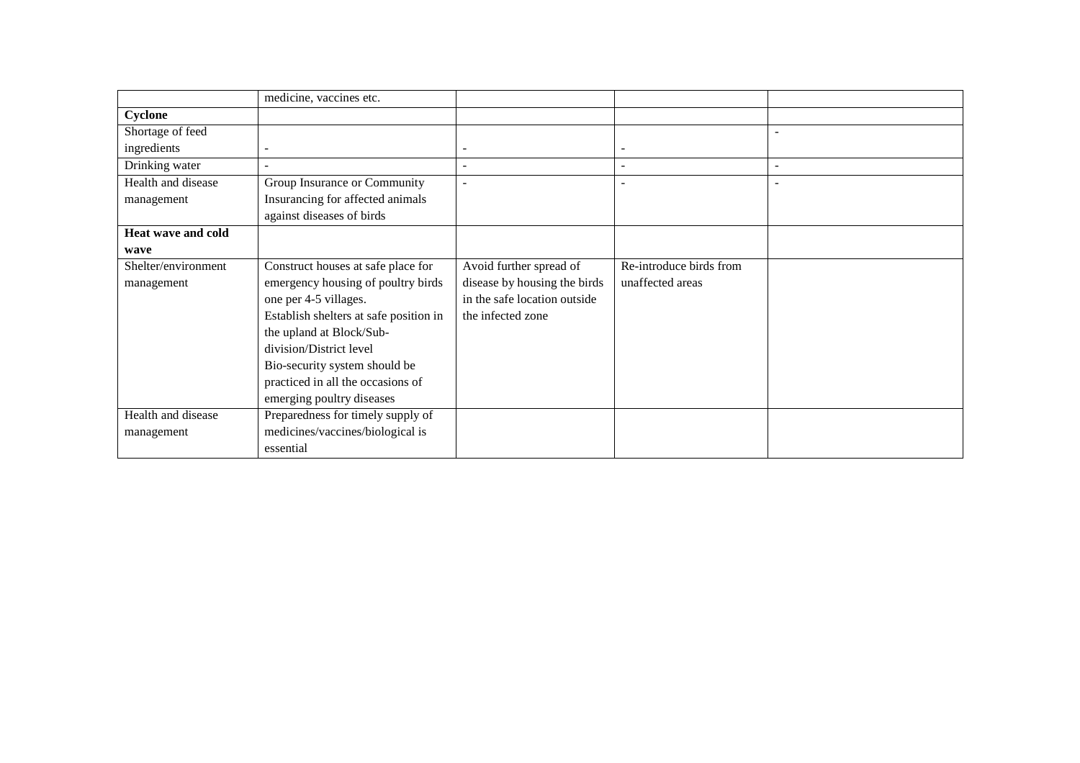|                     | medicine, vaccines etc.                |                              |                          |                          |
|---------------------|----------------------------------------|------------------------------|--------------------------|--------------------------|
| Cyclone             |                                        |                              |                          |                          |
| Shortage of feed    |                                        |                              |                          |                          |
| ingredients         |                                        | $\qquad \qquad \blacksquare$ |                          |                          |
| Drinking water      |                                        | $\overline{\phantom{a}}$     | $\overline{\phantom{0}}$ | $\overline{\phantom{a}}$ |
| Health and disease  | Group Insurance or Community           | $\blacksquare$               |                          |                          |
| management          | Insurancing for affected animals       |                              |                          |                          |
|                     | against diseases of birds              |                              |                          |                          |
| Heat wave and cold  |                                        |                              |                          |                          |
| wave                |                                        |                              |                          |                          |
| Shelter/environment | Construct houses at safe place for     | Avoid further spread of      | Re-introduce birds from  |                          |
| management          | emergency housing of poultry birds     | disease by housing the birds | unaffected areas         |                          |
|                     | one per 4-5 villages.                  | in the safe location outside |                          |                          |
|                     | Establish shelters at safe position in | the infected zone            |                          |                          |
|                     | the upland at Block/Sub-               |                              |                          |                          |
|                     | division/District level                |                              |                          |                          |
|                     | Bio-security system should be          |                              |                          |                          |
|                     | practiced in all the occasions of      |                              |                          |                          |
|                     | emerging poultry diseases              |                              |                          |                          |
| Health and disease  | Preparedness for timely supply of      |                              |                          |                          |
| management          | medicines/vaccines/biological is       |                              |                          |                          |
|                     | essential                              |                              |                          |                          |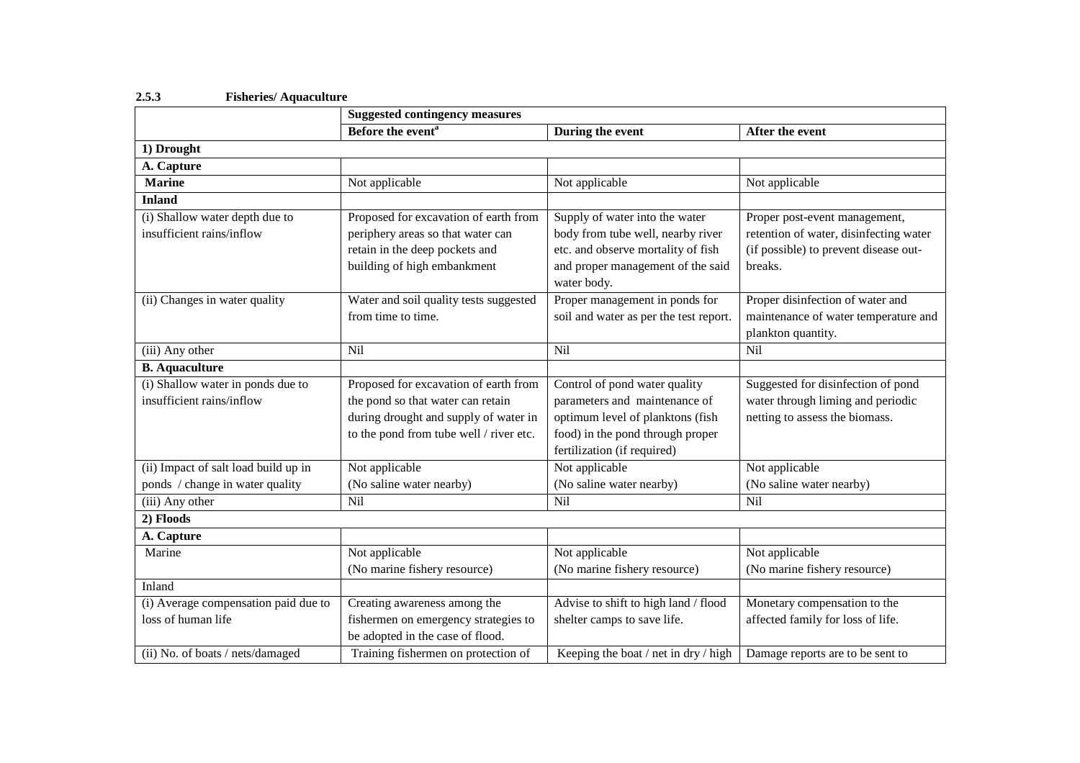|                                      | <b>Suggested contingency measures</b>   |                                        |                                        |
|--------------------------------------|-----------------------------------------|----------------------------------------|----------------------------------------|
|                                      | Before the event <sup>a</sup>           | During the event                       | After the event                        |
| 1) Drought                           |                                         |                                        |                                        |
| A. Capture                           |                                         |                                        |                                        |
| <b>Marine</b>                        | Not applicable                          | Not applicable                         | Not applicable                         |
| <b>Inland</b>                        |                                         |                                        |                                        |
| (i) Shallow water depth due to       | Proposed for excavation of earth from   | Supply of water into the water         | Proper post-event management,          |
| insufficient rains/inflow            | periphery areas so that water can       | body from tube well, nearby river      | retention of water, disinfecting water |
|                                      | retain in the deep pockets and          | etc. and observe mortality of fish     | (if possible) to prevent disease out-  |
|                                      | building of high embankment             | and proper management of the said      | breaks.                                |
|                                      |                                         | water body.                            |                                        |
| (ii) Changes in water quality        | Water and soil quality tests suggested  | Proper management in ponds for         | Proper disinfection of water and       |
|                                      | from time to time.                      | soil and water as per the test report. | maintenance of water temperature and   |
|                                      |                                         |                                        | plankton quantity.                     |
| (iii) Any other                      | Nil                                     | Nil                                    | Nil                                    |
| <b>B.</b> Aquaculture                |                                         |                                        |                                        |
| (i) Shallow water in ponds due to    | Proposed for excavation of earth from   | Control of pond water quality          | Suggested for disinfection of pond     |
| insufficient rains/inflow            | the pond so that water can retain       | parameters and maintenance of          | water through liming and periodic      |
|                                      | during drought and supply of water in   | optimum level of planktons (fish       | netting to assess the biomass.         |
|                                      | to the pond from tube well / river etc. | food) in the pond through proper       |                                        |
|                                      |                                         | fertilization (if required)            |                                        |
| (ii) Impact of salt load build up in | Not applicable                          | Not applicable                         | Not applicable                         |
| ponds / change in water quality      | (No saline water nearby)                | (No saline water nearby)               | (No saline water nearby)               |
| (iii) Any other                      | Nil                                     | Nil                                    | Nil                                    |
| 2) Floods                            |                                         |                                        |                                        |
| A. Capture                           |                                         |                                        |                                        |
| Marine                               | Not applicable                          | Not applicable                         | Not applicable                         |
|                                      | (No marine fishery resource)            | (No marine fishery resource)           | (No marine fishery resource)           |
| Inland                               |                                         |                                        |                                        |
| (i) Average compensation paid due to | Creating awareness among the            | Advise to shift to high land / flood   | Monetary compensation to the           |
| loss of human life                   | fishermen on emergency strategies to    | shelter camps to save life.            | affected family for loss of life.      |
|                                      | be adopted in the case of flood.        |                                        |                                        |
| (ii) No. of boats / nets/damaged     | Training fishermen on protection of     | Keeping the boat / net in dry / high   | Damage reports are to be sent to       |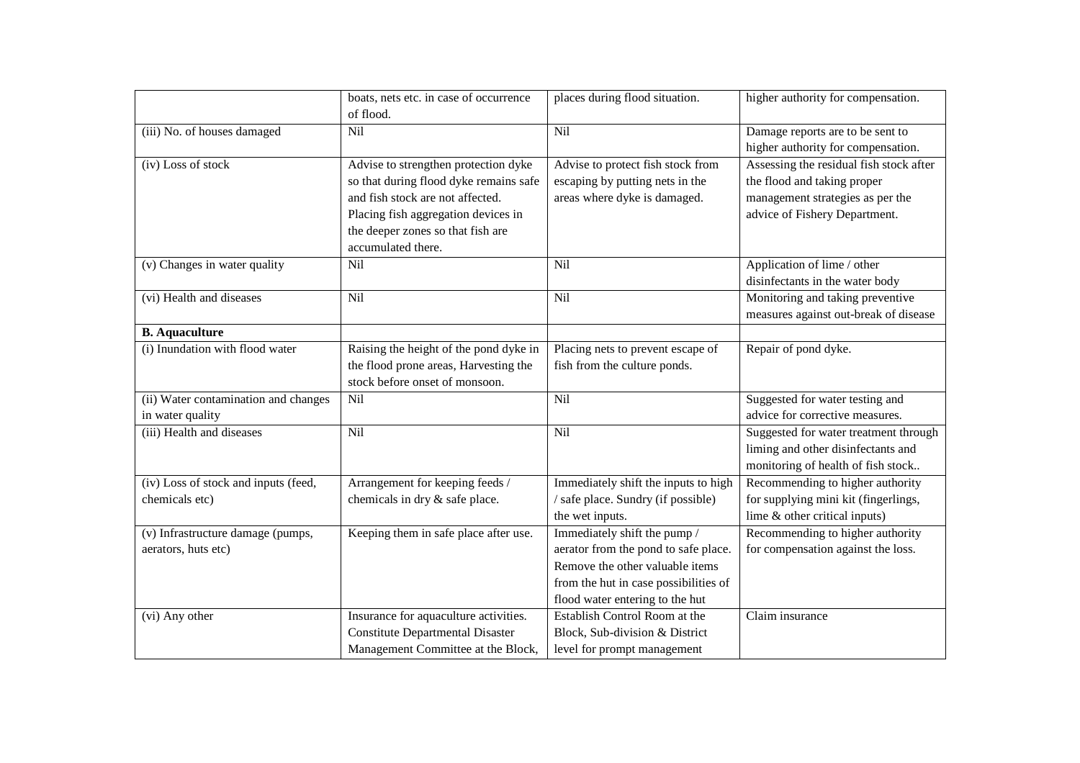|                                      | boats, nets etc. in case of occurrence                  | places during flood situation.        | higher authority for compensation.      |
|--------------------------------------|---------------------------------------------------------|---------------------------------------|-----------------------------------------|
|                                      | of flood.                                               |                                       |                                         |
| (iii) No. of houses damaged          | Nil                                                     | Nil                                   | Damage reports are to be sent to        |
|                                      |                                                         |                                       | higher authority for compensation.      |
| (iv) Loss of stock                   | Advise to strengthen protection dyke                    | Advise to protect fish stock from     | Assessing the residual fish stock after |
|                                      | so that during flood dyke remains safe                  | escaping by putting nets in the       | the flood and taking proper             |
|                                      | and fish stock are not affected.                        | areas where dyke is damaged.          | management strategies as per the        |
|                                      | Placing fish aggregation devices in                     |                                       | advice of Fishery Department.           |
|                                      | the deeper zones so that fish are<br>accumulated there. |                                       |                                         |
| (v) Changes in water quality         | Nil                                                     | Nil                                   | Application of lime / other             |
|                                      |                                                         |                                       | disinfectants in the water body         |
| (vi) Health and diseases             | Nil                                                     | Nil                                   | Monitoring and taking preventive        |
|                                      |                                                         |                                       | measures against out-break of disease   |
| <b>B.</b> Aquaculture                |                                                         |                                       |                                         |
| (i) Inundation with flood water      | Raising the height of the pond dyke in                  | Placing nets to prevent escape of     | Repair of pond dyke.                    |
|                                      | the flood prone areas, Harvesting the                   | fish from the culture ponds.          |                                         |
|                                      | stock before onset of monsoon.                          |                                       |                                         |
| (ii) Water contamination and changes | Nil                                                     | Nil                                   | Suggested for water testing and         |
| in water quality                     |                                                         |                                       | advice for corrective measures.         |
| (iii) Health and diseases            | Nil                                                     | Nil                                   | Suggested for water treatment through   |
|                                      |                                                         |                                       | liming and other disinfectants and      |
|                                      |                                                         |                                       | monitoring of health of fish stock      |
| (iv) Loss of stock and inputs (feed, | Arrangement for keeping feeds /                         | Immediately shift the inputs to high  | Recommending to higher authority        |
| chemicals etc)                       | chemicals in dry & safe place.                          | / safe place. Sundry (if possible)    | for supplying mini kit (fingerlings,    |
|                                      |                                                         | the wet inputs.                       | lime & other critical inputs)           |
| (v) Infrastructure damage (pumps,    | Keeping them in safe place after use.                   | Immediately shift the pump /          | Recommending to higher authority        |
| aerators, huts etc)                  |                                                         | aerator from the pond to safe place.  | for compensation against the loss.      |
|                                      |                                                         | Remove the other valuable items       |                                         |
|                                      |                                                         | from the hut in case possibilities of |                                         |
|                                      |                                                         | flood water entering to the hut       |                                         |
| (vi) Any other                       | Insurance for aquaculture activities.                   | Establish Control Room at the         | Claim insurance                         |
|                                      | <b>Constitute Departmental Disaster</b>                 | Block, Sub-division & District        |                                         |
|                                      | Management Committee at the Block,                      | level for prompt management           |                                         |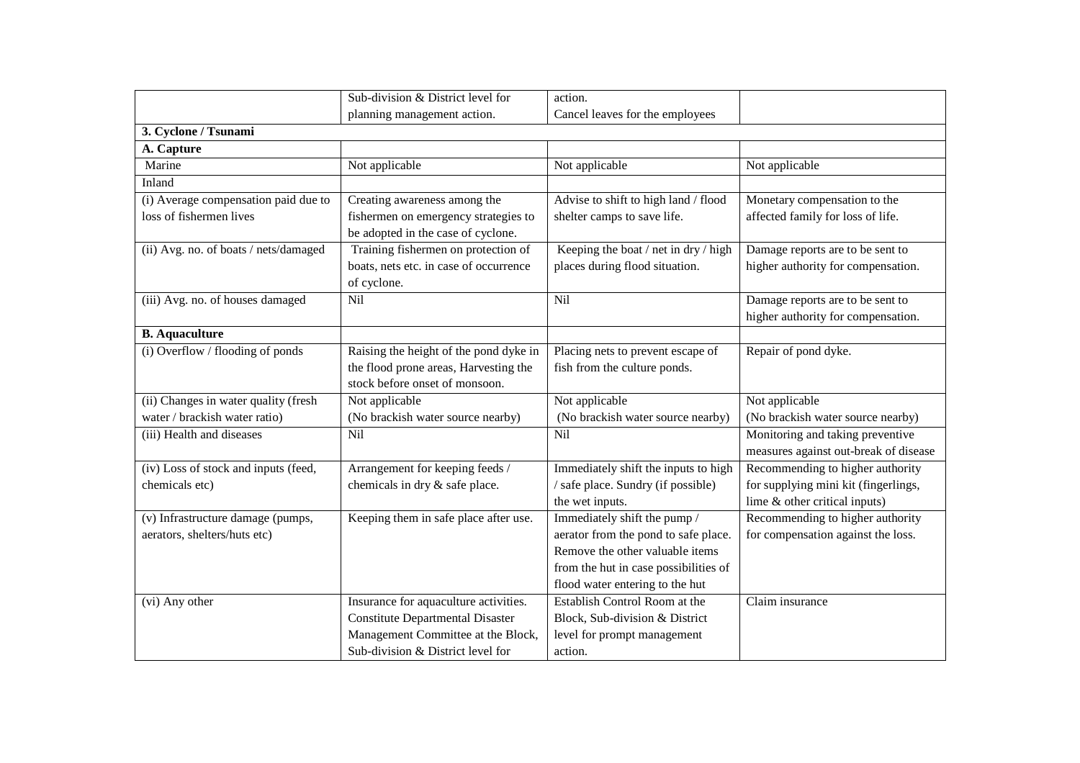|                                       | Sub-division & District level for       | action.                               |                                       |
|---------------------------------------|-----------------------------------------|---------------------------------------|---------------------------------------|
|                                       | planning management action.             | Cancel leaves for the employees       |                                       |
| 3. Cyclone / Tsunami                  |                                         |                                       |                                       |
| A. Capture                            |                                         |                                       |                                       |
| Marine                                | Not applicable                          | Not applicable                        | Not applicable                        |
| Inland                                |                                         |                                       |                                       |
| (i) Average compensation paid due to  | Creating awareness among the            | Advise to shift to high land / flood  | Monetary compensation to the          |
| loss of fishermen lives               | fishermen on emergency strategies to    | shelter camps to save life.           | affected family for loss of life.     |
|                                       | be adopted in the case of cyclone.      |                                       |                                       |
| (ii) Avg. no. of boats / nets/damaged | Training fishermen on protection of     | Keeping the boat / net in dry / high  | Damage reports are to be sent to      |
|                                       | boats, nets etc. in case of occurrence  | places during flood situation.        | higher authority for compensation.    |
|                                       | of cyclone.                             |                                       |                                       |
| (iii) Avg. no. of houses damaged      | Nil                                     | Nil                                   | Damage reports are to be sent to      |
|                                       |                                         |                                       | higher authority for compensation.    |
| <b>B.</b> Aquaculture                 |                                         |                                       |                                       |
| (i) Overflow / flooding of ponds      | Raising the height of the pond dyke in  | Placing nets to prevent escape of     | Repair of pond dyke.                  |
|                                       | the flood prone areas, Harvesting the   | fish from the culture ponds.          |                                       |
|                                       | stock before onset of monsoon.          |                                       |                                       |
| (ii) Changes in water quality (fresh  | Not applicable                          | Not applicable                        | Not applicable                        |
| water / brackish water ratio)         | (No brackish water source nearby)       | (No brackish water source nearby)     | (No brackish water source nearby)     |
| (iii) Health and diseases             | Nil                                     | $\overline{Nil}$                      | Monitoring and taking preventive      |
|                                       |                                         |                                       | measures against out-break of disease |
| (iv) Loss of stock and inputs (feed,  | Arrangement for keeping feeds /         | Immediately shift the inputs to high  | Recommending to higher authority      |
| chemicals etc)                        | chemicals in dry & safe place.          | / safe place. Sundry (if possible)    | for supplying mini kit (fingerlings,  |
|                                       |                                         | the wet inputs.                       | lime & other critical inputs)         |
| (v) Infrastructure damage (pumps,     | Keeping them in safe place after use.   | Immediately shift the pump /          | Recommending to higher authority      |
| aerators, shelters/huts etc)          |                                         | aerator from the pond to safe place.  | for compensation against the loss.    |
|                                       |                                         | Remove the other valuable items       |                                       |
|                                       |                                         | from the hut in case possibilities of |                                       |
|                                       |                                         | flood water entering to the hut       |                                       |
| (vi) Any other                        | Insurance for aquaculture activities.   | Establish Control Room at the         | Claim insurance                       |
|                                       | <b>Constitute Departmental Disaster</b> | Block, Sub-division & District        |                                       |
|                                       | Management Committee at the Block,      | level for prompt management           |                                       |
|                                       | Sub-division & District level for       | action.                               |                                       |